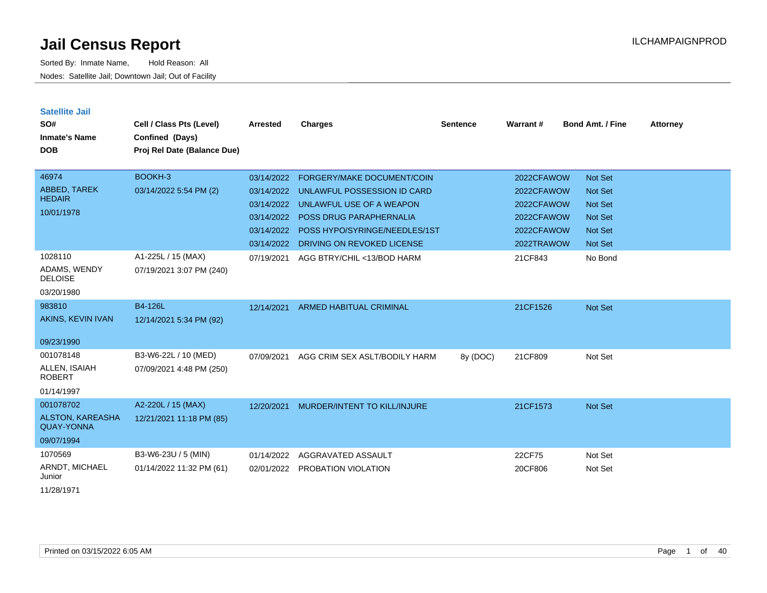Sorted By: Inmate Name, Hold Reason: All Nodes: Satellite Jail; Downtown Jail; Out of Facility

| <b>Satellite Jail</b><br>SO#<br><b>Inmate's Name</b><br><b>DOB</b> | Cell / Class Pts (Level)<br>Confined (Days)<br>Proj Rel Date (Balance Due) | <b>Arrested</b> | <b>Charges</b>                    | <b>Sentence</b> | Warrant#   | <b>Bond Amt. / Fine</b> | <b>Attorney</b> |
|--------------------------------------------------------------------|----------------------------------------------------------------------------|-----------------|-----------------------------------|-----------------|------------|-------------------------|-----------------|
| 46974                                                              | BOOKH-3                                                                    | 03/14/2022      | <b>FORGERY/MAKE DOCUMENT/COIN</b> |                 | 2022CFAWOW | <b>Not Set</b>          |                 |
| ABBED, TAREK<br><b>HEDAIR</b>                                      | 03/14/2022 5:54 PM (2)                                                     | 03/14/2022      | UNLAWFUL POSSESSION ID CARD       |                 | 2022CFAWOW | <b>Not Set</b>          |                 |
| 10/01/1978                                                         |                                                                            | 03/14/2022      | UNLAWFUL USE OF A WEAPON          |                 | 2022CFAWOW | <b>Not Set</b>          |                 |
|                                                                    |                                                                            | 03/14/2022      | <b>POSS DRUG PARAPHERNALIA</b>    |                 | 2022CFAWOW | <b>Not Set</b>          |                 |
|                                                                    |                                                                            | 03/14/2022      | POSS HYPO/SYRINGE/NEEDLES/1ST     |                 | 2022CFAWOW | <b>Not Set</b>          |                 |
|                                                                    |                                                                            | 03/14/2022      | DRIVING ON REVOKED LICENSE        |                 | 2022TRAWOW | <b>Not Set</b>          |                 |
| 1028110                                                            | A1-225L / 15 (MAX)                                                         | 07/19/2021      | AGG BTRY/CHIL <13/BOD HARM        |                 | 21CF843    | No Bond                 |                 |
| ADAMS, WENDY<br><b>DELOISE</b>                                     | 07/19/2021 3:07 PM (240)                                                   |                 |                                   |                 |            |                         |                 |
| 03/20/1980                                                         |                                                                            |                 |                                   |                 |            |                         |                 |
| 983810                                                             | B4-126L                                                                    | 12/14/2021      | <b>ARMED HABITUAL CRIMINAL</b>    |                 | 21CF1526   | Not Set                 |                 |
| AKINS, KEVIN IVAN                                                  | 12/14/2021 5:34 PM (92)                                                    |                 |                                   |                 |            |                         |                 |
| 09/23/1990                                                         |                                                                            |                 |                                   |                 |            |                         |                 |
| 001078148                                                          | B3-W6-22L / 10 (MED)                                                       | 07/09/2021      | AGG CRIM SEX ASLT/BODILY HARM     | 8y (DOC)        | 21CF809    | Not Set                 |                 |
| ALLEN, ISAIAH<br><b>ROBERT</b>                                     | 07/09/2021 4:48 PM (250)                                                   |                 |                                   |                 |            |                         |                 |
| 01/14/1997                                                         |                                                                            |                 |                                   |                 |            |                         |                 |
| 001078702                                                          | A2-220L / 15 (MAX)                                                         | 12/20/2021      | MURDER/INTENT TO KILL/INJURE      |                 | 21CF1573   | <b>Not Set</b>          |                 |
| ALSTON, KAREASHA<br><b>QUAY-YONNA</b>                              | 12/21/2021 11:18 PM (85)                                                   |                 |                                   |                 |            |                         |                 |
| 09/07/1994                                                         |                                                                            |                 |                                   |                 |            |                         |                 |
| 1070569                                                            | B3-W6-23U / 5 (MIN)                                                        | 01/14/2022      | AGGRAVATED ASSAULT                |                 | 22CF75     | Not Set                 |                 |
| ARNDT, MICHAEL<br>Junior                                           | 01/14/2022 11:32 PM (61)                                                   | 02/01/2022      | PROBATION VIOLATION               |                 | 20CF806    | Not Set                 |                 |
|                                                                    |                                                                            |                 |                                   |                 |            |                         |                 |

11/28/1971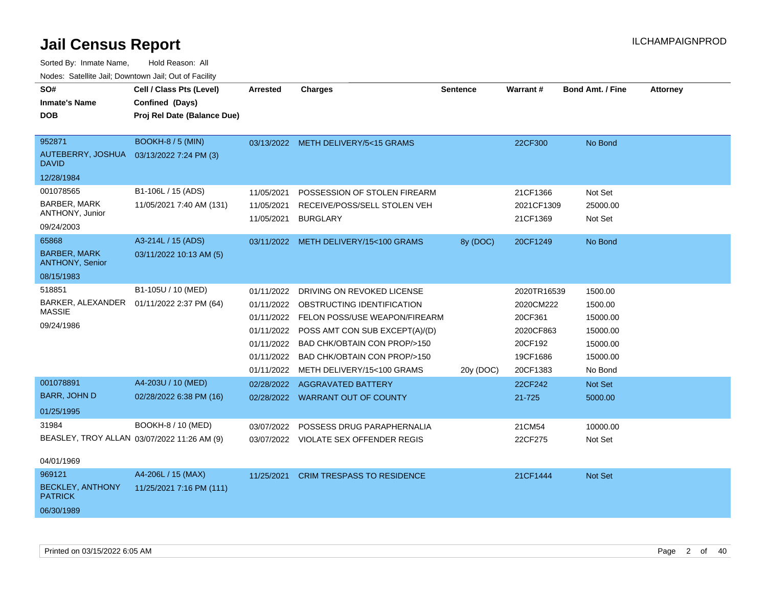| SO#<br><b>Inmate's Name</b><br><b>DOB</b><br>952871      | Cell / Class Pts (Level)<br>Confined (Days)<br>Proj Rel Date (Balance Due)<br>BOOKH-8 / 5 (MIN) | <b>Arrested</b>          | <b>Charges</b><br>03/13/2022 METH DELIVERY/5<15 GRAMS | <b>Sentence</b> | Warrant#<br>22CF300    | <b>Bond Amt. / Fine</b><br>No Bond | <b>Attorney</b> |
|----------------------------------------------------------|-------------------------------------------------------------------------------------------------|--------------------------|-------------------------------------------------------|-----------------|------------------------|------------------------------------|-----------------|
| AUTEBERRY, JOSHUA 03/13/2022 7:24 PM (3)<br><b>DAVID</b> |                                                                                                 |                          |                                                       |                 |                        |                                    |                 |
| 12/28/1984                                               |                                                                                                 |                          |                                                       |                 |                        |                                    |                 |
| 001078565                                                | B1-106L / 15 (ADS)                                                                              | 11/05/2021               | POSSESSION OF STOLEN FIREARM                          |                 | 21CF1366               | Not Set                            |                 |
| <b>BARBER, MARK</b><br>ANTHONY, Junior                   | 11/05/2021 7:40 AM (131)                                                                        | 11/05/2021<br>11/05/2021 | RECEIVE/POSS/SELL STOLEN VEH<br><b>BURGLARY</b>       |                 | 2021CF1309<br>21CF1369 | 25000.00<br>Not Set                |                 |
| 09/24/2003                                               |                                                                                                 |                          |                                                       |                 |                        |                                    |                 |
| 65868                                                    | A3-214L / 15 (ADS)                                                                              |                          | 03/11/2022 METH DELIVERY/15<100 GRAMS                 | 8y (DOC)        | 20CF1249               | No Bond                            |                 |
| <b>BARBER, MARK</b><br><b>ANTHONY, Senior</b>            | 03/11/2022 10:13 AM (5)                                                                         |                          |                                                       |                 |                        |                                    |                 |
| 08/15/1983                                               |                                                                                                 |                          |                                                       |                 |                        |                                    |                 |
| 518851                                                   | B1-105U / 10 (MED)                                                                              | 01/11/2022               | DRIVING ON REVOKED LICENSE                            |                 | 2020TR16539            | 1500.00                            |                 |
| BARKER, ALEXANDER  01/11/2022 2:37 PM (64)               |                                                                                                 |                          | 01/11/2022 OBSTRUCTING IDENTIFICATION                 |                 | 2020CM222              | 1500.00                            |                 |
| <b>MASSIE</b>                                            |                                                                                                 |                          | 01/11/2022 FELON POSS/USE WEAPON/FIREARM              |                 | 20CF361                | 15000.00                           |                 |
| 09/24/1986                                               |                                                                                                 | 01/11/2022               | POSS AMT CON SUB EXCEPT(A)/(D)                        |                 | 2020CF863              | 15000.00                           |                 |
|                                                          |                                                                                                 |                          | 01/11/2022 BAD CHK/OBTAIN CON PROP/>150               |                 | 20CF192                | 15000.00                           |                 |
|                                                          |                                                                                                 | 01/11/2022               | BAD CHK/OBTAIN CON PROP/>150                          |                 | 19CF1686               | 15000.00                           |                 |
|                                                          |                                                                                                 |                          | 01/11/2022 METH DELIVERY/15<100 GRAMS                 | 20y (DOC)       | 20CF1383               | No Bond                            |                 |
| 001078891                                                | A4-203U / 10 (MED)                                                                              | 02/28/2022               | AGGRAVATED BATTERY                                    |                 | 22CF242                | Not Set                            |                 |
| <b>BARR, JOHN D</b>                                      | 02/28/2022 6:38 PM (16)                                                                         |                          | 02/28/2022 WARRANT OUT OF COUNTY                      |                 | 21-725                 | 5000.00                            |                 |
| 01/25/1995                                               |                                                                                                 |                          |                                                       |                 |                        |                                    |                 |
| 31984                                                    | BOOKH-8 / 10 (MED)                                                                              | 03/07/2022               | POSSESS DRUG PARAPHERNALIA                            |                 | 21CM54                 | 10000.00                           |                 |
| BEASLEY, TROY ALLAN 03/07/2022 11:26 AM (9)              |                                                                                                 |                          | 03/07/2022 VIOLATE SEX OFFENDER REGIS                 |                 | 22CF275                | Not Set                            |                 |
| 04/01/1969                                               |                                                                                                 |                          |                                                       |                 |                        |                                    |                 |
| 969121                                                   | A4-206L / 15 (MAX)                                                                              |                          | 11/25/2021 CRIM TRESPASS TO RESIDENCE                 |                 | 21CF1444               | <b>Not Set</b>                     |                 |
| <b>BECKLEY, ANTHONY</b><br><b>PATRICK</b>                | 11/25/2021 7:16 PM (111)                                                                        |                          |                                                       |                 |                        |                                    |                 |
| 06/30/1989                                               |                                                                                                 |                          |                                                       |                 |                        |                                    |                 |
|                                                          |                                                                                                 |                          |                                                       |                 |                        |                                    |                 |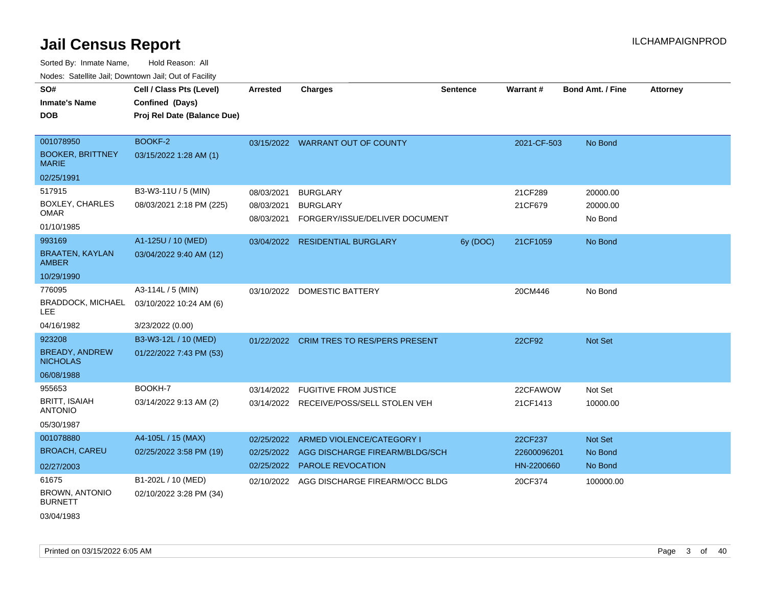| ivuutos. Saltiilit Jali, Duwilluwii Jali, Oul of Facility |                             |                 |                                           |                 |             |                  |                 |
|-----------------------------------------------------------|-----------------------------|-----------------|-------------------------------------------|-----------------|-------------|------------------|-----------------|
| SO#                                                       | Cell / Class Pts (Level)    | <b>Arrested</b> | <b>Charges</b>                            | <b>Sentence</b> | Warrant#    | Bond Amt. / Fine | <b>Attorney</b> |
| <b>Inmate's Name</b>                                      | Confined (Days)             |                 |                                           |                 |             |                  |                 |
| <b>DOB</b>                                                | Proj Rel Date (Balance Due) |                 |                                           |                 |             |                  |                 |
|                                                           |                             |                 |                                           |                 |             |                  |                 |
| 001078950                                                 | BOOKF-2                     |                 | 03/15/2022 WARRANT OUT OF COUNTY          |                 | 2021-CF-503 | No Bond          |                 |
| <b>BOOKER, BRITTNEY</b><br><b>MARIE</b>                   | 03/15/2022 1:28 AM (1)      |                 |                                           |                 |             |                  |                 |
| 02/25/1991                                                |                             |                 |                                           |                 |             |                  |                 |
| 517915                                                    | B3-W3-11U / 5 (MIN)         | 08/03/2021      | <b>BURGLARY</b>                           |                 | 21CF289     | 20000.00         |                 |
| BOXLEY, CHARLES                                           | 08/03/2021 2:18 PM (225)    | 08/03/2021      | <b>BURGLARY</b>                           |                 | 21CF679     | 20000.00         |                 |
| <b>OMAR</b>                                               |                             | 08/03/2021      | FORGERY/ISSUE/DELIVER DOCUMENT            |                 |             | No Bond          |                 |
| 01/10/1985                                                |                             |                 |                                           |                 |             |                  |                 |
| 993169                                                    | A1-125U / 10 (MED)          |                 | 03/04/2022 RESIDENTIAL BURGLARY           | 6y (DOC)        | 21CF1059    | No Bond          |                 |
| <b>BRAATEN, KAYLAN</b><br><b>AMBER</b>                    | 03/04/2022 9:40 AM (12)     |                 |                                           |                 |             |                  |                 |
| 10/29/1990                                                |                             |                 |                                           |                 |             |                  |                 |
| 776095                                                    | A3-114L / 5 (MIN)           |                 | 03/10/2022 DOMESTIC BATTERY               |                 | 20CM446     | No Bond          |                 |
| <b>BRADDOCK, MICHAEL</b><br>LEE                           | 03/10/2022 10:24 AM (6)     |                 |                                           |                 |             |                  |                 |
| 04/16/1982                                                | 3/23/2022 (0.00)            |                 |                                           |                 |             |                  |                 |
| 923208                                                    | B3-W3-12L / 10 (MED)        |                 | 01/22/2022 CRIM TRES TO RES/PERS PRESENT  |                 | 22CF92      | Not Set          |                 |
| <b>BREADY, ANDREW</b><br><b>NICHOLAS</b>                  | 01/22/2022 7:43 PM (53)     |                 |                                           |                 |             |                  |                 |
| 06/08/1988                                                |                             |                 |                                           |                 |             |                  |                 |
| 955653                                                    | BOOKH-7                     | 03/14/2022      | <b>FUGITIVE FROM JUSTICE</b>              |                 | 22CFAWOW    | Not Set          |                 |
| <b>BRITT, ISAIAH</b><br><b>ANTONIO</b>                    | 03/14/2022 9:13 AM (2)      |                 | 03/14/2022 RECEIVE/POSS/SELL STOLEN VEH   |                 | 21CF1413    | 10000.00         |                 |
| 05/30/1987                                                |                             |                 |                                           |                 |             |                  |                 |
| 001078880                                                 | A4-105L / 15 (MAX)          | 02/25/2022      | ARMED VIOLENCE/CATEGORY I                 |                 | 22CF237     | Not Set          |                 |
| <b>BROACH, CAREU</b>                                      | 02/25/2022 3:58 PM (19)     | 02/25/2022      | AGG DISCHARGE FIREARM/BLDG/SCH            |                 | 22600096201 | No Bond          |                 |
| 02/27/2003                                                |                             |                 | 02/25/2022 PAROLE REVOCATION              |                 | HN-2200660  | No Bond          |                 |
| 61675                                                     | B1-202L / 10 (MED)          |                 | 02/10/2022 AGG DISCHARGE FIREARM/OCC BLDG |                 | 20CF374     | 100000.00        |                 |
| <b>BROWN, ANTONIO</b><br><b>BURNETT</b>                   | 02/10/2022 3:28 PM (34)     |                 |                                           |                 |             |                  |                 |
| 03/04/1983                                                |                             |                 |                                           |                 |             |                  |                 |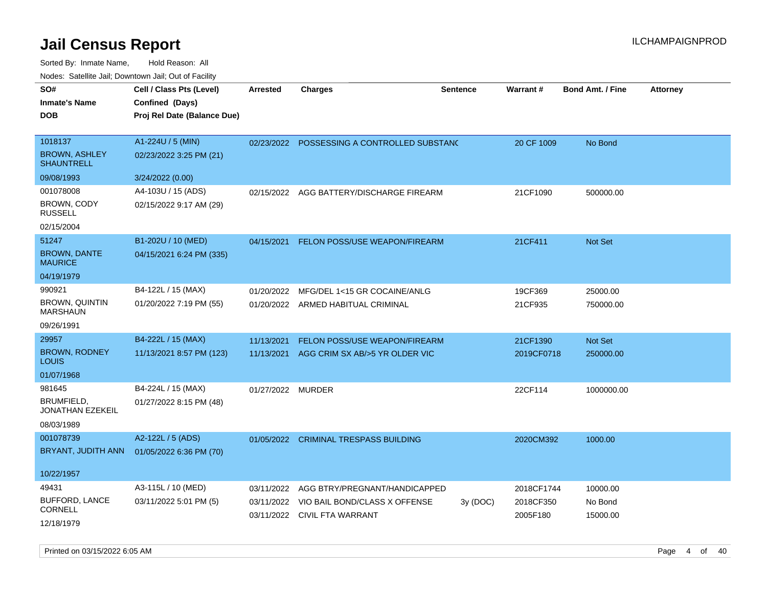Sorted By: Inmate Name, Hold Reason: All Nodes: Satellite Jail; Downtown Jail; Out of Facility

| SO#                                          | Cell / Class Pts (Level)    | <b>Arrested</b>   | <b>Charges</b>                                                           | <b>Sentence</b> | <b>Warrant#</b>       | <b>Bond Amt. / Fine</b> | <b>Attorney</b> |
|----------------------------------------------|-----------------------------|-------------------|--------------------------------------------------------------------------|-----------------|-----------------------|-------------------------|-----------------|
| <b>Inmate's Name</b>                         | Confined (Days)             |                   |                                                                          |                 |                       |                         |                 |
| <b>DOB</b>                                   | Proj Rel Date (Balance Due) |                   |                                                                          |                 |                       |                         |                 |
|                                              |                             |                   |                                                                          |                 |                       |                         |                 |
| 1018137                                      | A1-224U / 5 (MIN)           | 02/23/2022        | POSSESSING A CONTROLLED SUBSTANC                                         |                 | 20 CF 1009            | No Bond                 |                 |
| <b>BROWN, ASHLEY</b><br><b>SHAUNTRELL</b>    | 02/23/2022 3:25 PM (21)     |                   |                                                                          |                 |                       |                         |                 |
| 09/08/1993                                   | 3/24/2022 (0.00)            |                   |                                                                          |                 |                       |                         |                 |
| 001078008                                    | A4-103U / 15 (ADS)          | 02/15/2022        | AGG BATTERY/DISCHARGE FIREARM                                            |                 | 21CF1090              | 500000.00               |                 |
| BROWN, CODY<br><b>RUSSELL</b>                | 02/15/2022 9:17 AM (29)     |                   |                                                                          |                 |                       |                         |                 |
| 02/15/2004                                   |                             |                   |                                                                          |                 |                       |                         |                 |
| 51247                                        | B1-202U / 10 (MED)          | 04/15/2021        | FELON POSS/USE WEAPON/FIREARM                                            |                 | 21CF411               | Not Set                 |                 |
| <b>BROWN, DANTE</b><br><b>MAURICE</b>        | 04/15/2021 6:24 PM (335)    |                   |                                                                          |                 |                       |                         |                 |
| 04/19/1979                                   |                             |                   |                                                                          |                 |                       |                         |                 |
| 990921                                       | B4-122L / 15 (MAX)          | 01/20/2022        | MFG/DEL 1<15 GR COCAINE/ANLG                                             |                 | 19CF369               | 25000.00                |                 |
| <b>BROWN, QUINTIN</b><br><b>MARSHAUN</b>     | 01/20/2022 7:19 PM (55)     |                   | 01/20/2022 ARMED HABITUAL CRIMINAL                                       |                 | 21CF935               | 750000.00               |                 |
| 09/26/1991                                   |                             |                   |                                                                          |                 |                       |                         |                 |
| 29957                                        | B4-222L / 15 (MAX)          | 11/13/2021        | FELON POSS/USE WEAPON/FIREARM                                            |                 | 21CF1390              | Not Set                 |                 |
| <b>BROWN, RODNEY</b><br>LOUIS                | 11/13/2021 8:57 PM (123)    | 11/13/2021        | AGG CRIM SX AB/>5 YR OLDER VIC                                           |                 | 2019CF0718            | 250000.00               |                 |
| 01/07/1968                                   |                             |                   |                                                                          |                 |                       |                         |                 |
| 981645                                       | B4-224L / 15 (MAX)          | 01/27/2022 MURDER |                                                                          |                 | 22CF114               | 1000000.00              |                 |
| <b>BRUMFIELD.</b><br><b>JONATHAN EZEKEIL</b> | 01/27/2022 8:15 PM (48)     |                   |                                                                          |                 |                       |                         |                 |
| 08/03/1989                                   |                             |                   |                                                                          |                 |                       |                         |                 |
| 001078739                                    | A2-122L / 5 (ADS)           |                   | 01/05/2022 CRIMINAL TRESPASS BUILDING                                    |                 | 2020CM392             | 1000.00                 |                 |
| BRYANT, JUDITH ANN                           | 01/05/2022 6:36 PM (70)     |                   |                                                                          |                 |                       |                         |                 |
| 10/22/1957                                   |                             |                   |                                                                          |                 |                       |                         |                 |
| 49431                                        | A3-115L / 10 (MED)          | 03/11/2022        | AGG BTRY/PREGNANT/HANDICAPPED                                            |                 | 2018CF1744            | 10000.00                |                 |
| <b>BUFFORD, LANCE</b><br><b>CORNELL</b>      | 03/11/2022 5:01 PM (5)      |                   | 03/11/2022 VIO BAIL BOND/CLASS X OFFENSE<br>03/11/2022 CIVIL FTA WARRANT | 3y (DOC)        | 2018CF350<br>2005F180 | No Bond<br>15000.00     |                 |
| 12/18/1979                                   |                             |                   |                                                                          |                 |                       |                         |                 |

Printed on 03/15/2022 6:05 AM Page 4 of 40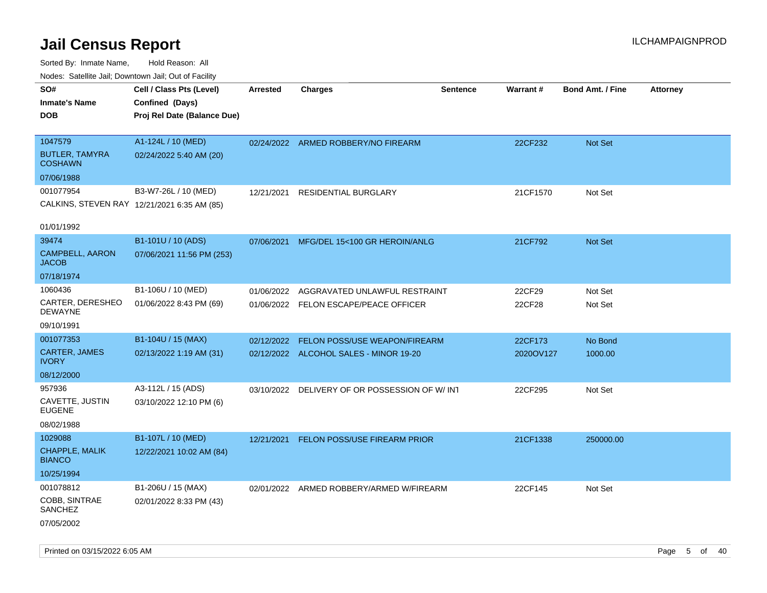| ivouss. Satellite Jali, Downtown Jali, Out of Facility |                                             |                 |                                               |                 |           |                         |                 |
|--------------------------------------------------------|---------------------------------------------|-----------------|-----------------------------------------------|-----------------|-----------|-------------------------|-----------------|
| SO#                                                    | Cell / Class Pts (Level)                    | <b>Arrested</b> | <b>Charges</b>                                | <b>Sentence</b> | Warrant#  | <b>Bond Amt. / Fine</b> | <b>Attorney</b> |
| <b>Inmate's Name</b>                                   | Confined (Days)                             |                 |                                               |                 |           |                         |                 |
| <b>DOB</b>                                             | Proj Rel Date (Balance Due)                 |                 |                                               |                 |           |                         |                 |
|                                                        |                                             |                 |                                               |                 |           |                         |                 |
| 1047579                                                | A1-124L / 10 (MED)                          |                 | 02/24/2022 ARMED ROBBERY/NO FIREARM           |                 | 22CF232   | <b>Not Set</b>          |                 |
| <b>BUTLER, TAMYRA</b><br><b>COSHAWN</b>                | 02/24/2022 5:40 AM (20)                     |                 |                                               |                 |           |                         |                 |
| 07/06/1988                                             |                                             |                 |                                               |                 |           |                         |                 |
| 001077954                                              | B3-W7-26L / 10 (MED)                        | 12/21/2021      | <b>RESIDENTIAL BURGLARY</b>                   |                 | 21CF1570  | Not Set                 |                 |
|                                                        | CALKINS, STEVEN RAY 12/21/2021 6:35 AM (85) |                 |                                               |                 |           |                         |                 |
|                                                        |                                             |                 |                                               |                 |           |                         |                 |
| 01/01/1992                                             |                                             |                 |                                               |                 |           |                         |                 |
| 39474                                                  | B1-101U / 10 (ADS)                          | 07/06/2021      | MFG/DEL 15<100 GR HEROIN/ANLG                 |                 | 21CF792   | <b>Not Set</b>          |                 |
| <b>CAMPBELL, AARON</b><br>JACOB                        | 07/06/2021 11:56 PM (253)                   |                 |                                               |                 |           |                         |                 |
| 07/18/1974                                             |                                             |                 |                                               |                 |           |                         |                 |
| 1060436                                                | B1-106U / 10 (MED)                          | 01/06/2022      | AGGRAVATED UNLAWFUL RESTRAINT                 |                 | 22CF29    | Not Set                 |                 |
| CARTER, DERESHEO<br>DEWAYNE                            | 01/06/2022 8:43 PM (69)                     |                 | 01/06/2022 FELON ESCAPE/PEACE OFFICER         |                 | 22CF28    | Not Set                 |                 |
| 09/10/1991                                             |                                             |                 |                                               |                 |           |                         |                 |
| 001077353                                              | B1-104U / 15 (MAX)                          | 02/12/2022      | <b>FELON POSS/USE WEAPON/FIREARM</b>          |                 | 22CF173   | No Bond                 |                 |
| CARTER, JAMES<br>IVORY                                 | 02/13/2022 1:19 AM (31)                     |                 | 02/12/2022 ALCOHOL SALES - MINOR 19-20        |                 | 2020OV127 | 1000.00                 |                 |
| 08/12/2000                                             |                                             |                 |                                               |                 |           |                         |                 |
| 957936                                                 | A3-112L / 15 (ADS)                          |                 | 03/10/2022 DELIVERY OF OR POSSESSION OF W/INT |                 | 22CF295   | Not Set                 |                 |
| CAVETTE, JUSTIN<br>EUGENE                              | 03/10/2022 12:10 PM (6)                     |                 |                                               |                 |           |                         |                 |
| 08/02/1988                                             |                                             |                 |                                               |                 |           |                         |                 |
| 1029088                                                | B1-107L / 10 (MED)                          |                 | 12/21/2021 FELON POSS/USE FIREARM PRIOR       |                 | 21CF1338  | 250000.00               |                 |
| <b>CHAPPLE, MALIK</b><br><b>BIANCO</b>                 | 12/22/2021 10:02 AM (84)                    |                 |                                               |                 |           |                         |                 |
| 10/25/1994                                             |                                             |                 |                                               |                 |           |                         |                 |
| 001078812                                              | B1-206U / 15 (MAX)                          |                 | 02/01/2022 ARMED ROBBERY/ARMED W/FIREARM      |                 | 22CF145   | Not Set                 |                 |
| COBB, SINTRAE<br>SANCHEZ                               | 02/01/2022 8:33 PM (43)                     |                 |                                               |                 |           |                         |                 |
| 07/05/2002                                             |                                             |                 |                                               |                 |           |                         |                 |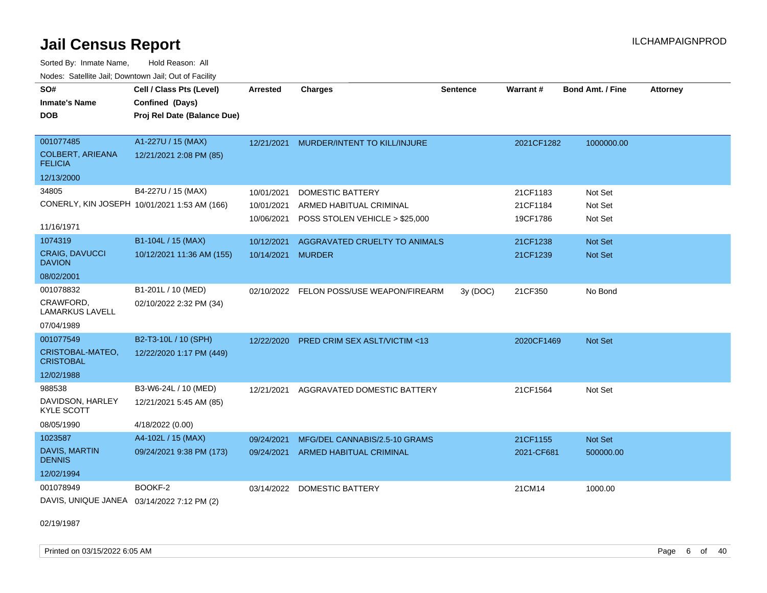Sorted By: Inmate Name, Hold Reason: All Nodes: Satellite Jail; Downtown Jail; Out of Facility

| SO#<br><b>Inmate's Name</b><br><b>DOB</b>  | Cell / Class Pts (Level)<br>Confined (Days)<br>Proj Rel Date (Balance Due) | <b>Arrested</b> | <b>Charges</b>                            | <b>Sentence</b> | Warrant#   | <b>Bond Amt. / Fine</b> | <b>Attorney</b> |
|--------------------------------------------|----------------------------------------------------------------------------|-----------------|-------------------------------------------|-----------------|------------|-------------------------|-----------------|
| 001077485<br><b>COLBERT, ARIEANA</b>       | A1-227U / 15 (MAX)<br>12/21/2021 2:08 PM (85)                              | 12/21/2021      | MURDER/INTENT TO KILL/INJURE              |                 | 2021CF1282 | 1000000.00              |                 |
| <b>FELICIA</b>                             |                                                                            |                 |                                           |                 |            |                         |                 |
| 12/13/2000                                 |                                                                            |                 |                                           |                 |            |                         |                 |
| 34805                                      | B4-227U / 15 (MAX)                                                         | 10/01/2021      | <b>DOMESTIC BATTERY</b>                   |                 | 21CF1183   | Not Set                 |                 |
|                                            | CONERLY, KIN JOSEPH 10/01/2021 1:53 AM (166)                               | 10/01/2021      | ARMED HABITUAL CRIMINAL                   |                 | 21CF1184   | Not Set                 |                 |
| 11/16/1971                                 |                                                                            |                 | 10/06/2021 POSS STOLEN VEHICLE > \$25,000 |                 | 19CF1786   | Not Set                 |                 |
| 1074319                                    | B1-104L / 15 (MAX)                                                         | 10/12/2021      | AGGRAVATED CRUELTY TO ANIMALS             |                 | 21CF1238   | Not Set                 |                 |
| <b>CRAIG, DAVUCCI</b><br><b>DAVION</b>     | 10/12/2021 11:36 AM (155)                                                  | 10/14/2021      | <b>MURDER</b>                             |                 | 21CF1239   | <b>Not Set</b>          |                 |
| 08/02/2001                                 |                                                                            |                 |                                           |                 |            |                         |                 |
| 001078832                                  | B1-201L / 10 (MED)                                                         |                 | 02/10/2022 FELON POSS/USE WEAPON/FIREARM  | 3y(DOC)         | 21CF350    | No Bond                 |                 |
| CRAWFORD,<br><b>LAMARKUS LAVELL</b>        | 02/10/2022 2:32 PM (34)                                                    |                 |                                           |                 |            |                         |                 |
| 07/04/1989                                 |                                                                            |                 |                                           |                 |            |                         |                 |
| 001077549                                  | B2-T3-10L / 10 (SPH)                                                       | 12/22/2020      | PRED CRIM SEX ASLT/VICTIM <13             |                 | 2020CF1469 | Not Set                 |                 |
| CRISTOBAL-MATEO,<br><b>CRISTOBAL</b>       | 12/22/2020 1:17 PM (449)                                                   |                 |                                           |                 |            |                         |                 |
| 12/02/1988                                 |                                                                            |                 |                                           |                 |            |                         |                 |
| 988538                                     | B3-W6-24L / 10 (MED)                                                       | 12/21/2021      | AGGRAVATED DOMESTIC BATTERY               |                 | 21CF1564   | Not Set                 |                 |
| DAVIDSON, HARLEY<br><b>KYLE SCOTT</b>      | 12/21/2021 5:45 AM (85)                                                    |                 |                                           |                 |            |                         |                 |
| 08/05/1990                                 | 4/18/2022 (0.00)                                                           |                 |                                           |                 |            |                         |                 |
| 1023587                                    | A4-102L / 15 (MAX)                                                         | 09/24/2021      | MFG/DEL CANNABIS/2.5-10 GRAMS             |                 | 21CF1155   | Not Set                 |                 |
| DAVIS, MARTIN<br><b>DENNIS</b>             | 09/24/2021 9:38 PM (173)                                                   |                 | 09/24/2021 ARMED HABITUAL CRIMINAL        |                 | 2021-CF681 | 500000.00               |                 |
| 12/02/1994                                 |                                                                            |                 |                                           |                 |            |                         |                 |
| 001078949                                  | BOOKF-2                                                                    | 03/14/2022      | <b>DOMESTIC BATTERY</b>                   |                 | 21CM14     | 1000.00                 |                 |
| DAVIS, UNIQUE JANEA 03/14/2022 7:12 PM (2) |                                                                            |                 |                                           |                 |            |                         |                 |

02/19/1987

Printed on 03/15/2022 6:05 AM Page 6 of 40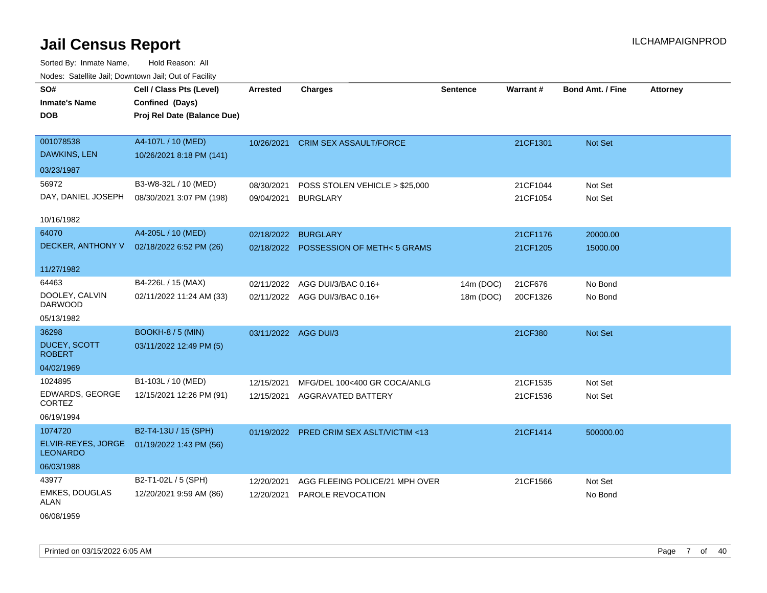| SO#                                   | Cell / Class Pts (Level)    | <b>Arrested</b>      | <b>Charges</b>                           | <b>Sentence</b> | Warrant# | Bond Amt. / Fine | <b>Attorney</b> |
|---------------------------------------|-----------------------------|----------------------|------------------------------------------|-----------------|----------|------------------|-----------------|
| <b>Inmate's Name</b>                  | Confined (Days)             |                      |                                          |                 |          |                  |                 |
| <b>DOB</b>                            | Proj Rel Date (Balance Due) |                      |                                          |                 |          |                  |                 |
|                                       |                             |                      |                                          |                 |          |                  |                 |
| 001078538                             | A4-107L / 10 (MED)          |                      | 10/26/2021 CRIM SEX ASSAULT/FORCE        |                 | 21CF1301 | Not Set          |                 |
| DAWKINS, LEN                          | 10/26/2021 8:18 PM (141)    |                      |                                          |                 |          |                  |                 |
| 03/23/1987                            |                             |                      |                                          |                 |          |                  |                 |
| 56972                                 | B3-W8-32L / 10 (MED)        | 08/30/2021           | POSS STOLEN VEHICLE > \$25,000           |                 | 21CF1044 | Not Set          |                 |
| DAY, DANIEL JOSEPH                    | 08/30/2021 3:07 PM (198)    | 09/04/2021           | <b>BURGLARY</b>                          |                 | 21CF1054 | Not Set          |                 |
|                                       |                             |                      |                                          |                 |          |                  |                 |
| 10/16/1982                            |                             |                      |                                          |                 |          |                  |                 |
| 64070                                 | A4-205L / 10 (MED)          | 02/18/2022           | <b>BURGLARY</b>                          |                 | 21CF1176 | 20000.00         |                 |
| DECKER, ANTHONY V                     | 02/18/2022 6:52 PM (26)     |                      | 02/18/2022 POSSESSION OF METH<5 GRAMS    |                 | 21CF1205 | 15000.00         |                 |
|                                       |                             |                      |                                          |                 |          |                  |                 |
| 11/27/1982                            |                             |                      |                                          |                 |          |                  |                 |
| 64463                                 | B4-226L / 15 (MAX)          | 02/11/2022           | AGG DUI/3/BAC 0.16+                      | 14m (DOC)       | 21CF676  | No Bond          |                 |
| DOOLEY, CALVIN<br><b>DARWOOD</b>      | 02/11/2022 11:24 AM (33)    |                      | 02/11/2022 AGG DUI/3/BAC 0.16+           | 18m (DOC)       | 20CF1326 | No Bond          |                 |
| 05/13/1982                            |                             |                      |                                          |                 |          |                  |                 |
| 36298                                 | BOOKH-8 / 5 (MIN)           | 03/11/2022 AGG DUI/3 |                                          |                 | 21CF380  | Not Set          |                 |
| DUCEY, SCOTT<br><b>ROBERT</b>         | 03/11/2022 12:49 PM (5)     |                      |                                          |                 |          |                  |                 |
| 04/02/1969                            |                             |                      |                                          |                 |          |                  |                 |
| 1024895                               | B1-103L / 10 (MED)          | 12/15/2021           | MFG/DEL 100<400 GR COCA/ANLG             |                 | 21CF1535 | Not Set          |                 |
| <b>EDWARDS, GEORGE</b>                | 12/15/2021 12:26 PM (91)    | 12/15/2021           | <b>AGGRAVATED BATTERY</b>                |                 | 21CF1536 | Not Set          |                 |
| CORTEZ                                |                             |                      |                                          |                 |          |                  |                 |
| 06/19/1994                            |                             |                      |                                          |                 |          |                  |                 |
| 1074720                               | B2-T4-13U / 15 (SPH)        |                      | 01/19/2022 PRED CRIM SEX ASLT/VICTIM <13 |                 | 21CF1414 | 500000.00        |                 |
| ELVIR-REYES, JORGE<br><b>LEONARDO</b> | 01/19/2022 1:43 PM (56)     |                      |                                          |                 |          |                  |                 |
| 06/03/1988                            |                             |                      |                                          |                 |          |                  |                 |
| 43977                                 | B2-T1-02L / 5 (SPH)         | 12/20/2021           | AGG FLEEING POLICE/21 MPH OVER           |                 | 21CF1566 | Not Set          |                 |
| <b>EMKES, DOUGLAS</b>                 | 12/20/2021 9:59 AM (86)     | 12/20/2021           | PAROLE REVOCATION                        |                 |          | No Bond          |                 |
| ALAN                                  |                             |                      |                                          |                 |          |                  |                 |
| 06/08/1959                            |                             |                      |                                          |                 |          |                  |                 |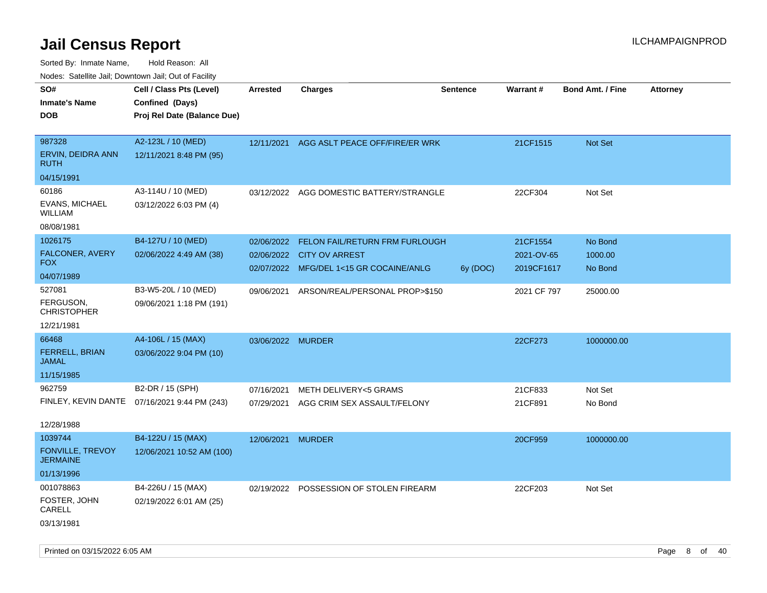Sorted By: Inmate Name, Hold Reason: All

| Nodes: Satellite Jail; Downtown Jail; Out of Facility |  |
|-------------------------------------------------------|--|
|                                                       |  |

| SO#<br><b>Inmate's Name</b><br><b>DOB</b>                    | Cell / Class Pts (Level)<br>Confined (Days)<br>Proj Rel Date (Balance Due) | <b>Arrested</b>          | <b>Charges</b>                                                                                         | <b>Sentence</b> | <b>Warrant#</b>                      | <b>Bond Amt. / Fine</b>       | Attorney |
|--------------------------------------------------------------|----------------------------------------------------------------------------|--------------------------|--------------------------------------------------------------------------------------------------------|-----------------|--------------------------------------|-------------------------------|----------|
| 987328<br>ERVIN, DEIDRA ANN<br><b>RUTH</b><br>04/15/1991     | A2-123L / 10 (MED)<br>12/11/2021 8:48 PM (95)                              | 12/11/2021               | AGG ASLT PEACE OFF/FIRE/ER WRK                                                                         |                 | 21CF1515                             | Not Set                       |          |
| 60186<br><b>EVANS, MICHAEL</b><br>WILLIAM<br>08/08/1981      | A3-114U / 10 (MED)<br>03/12/2022 6:03 PM (4)                               | 03/12/2022               | AGG DOMESTIC BATTERY/STRANGLE                                                                          |                 | 22CF304                              | Not Set                       |          |
| 1026175<br>FALCONER, AVERY<br><b>FOX</b><br>04/07/1989       | B4-127U / 10 (MED)<br>02/06/2022 4:49 AM (38)                              | 02/06/2022               | FELON FAIL/RETURN FRM FURLOUGH<br>02/06/2022 CITY OV ARREST<br>02/07/2022 MFG/DEL 1<15 GR COCAINE/ANLG | 6y (DOC)        | 21CF1554<br>2021-OV-65<br>2019CF1617 | No Bond<br>1000.00<br>No Bond |          |
| 527081<br>FERGUSON,<br><b>CHRISTOPHER</b><br>12/21/1981      | B3-W5-20L / 10 (MED)<br>09/06/2021 1:18 PM (191)                           | 09/06/2021               | ARSON/REAL/PERSONAL PROP>\$150                                                                         |                 | 2021 CF 797                          | 25000.00                      |          |
| 66468<br>FERRELL, BRIAN<br><b>JAMAL</b><br>11/15/1985        | A4-106L / 15 (MAX)<br>03/06/2022 9:04 PM (10)                              | 03/06/2022 MURDER        |                                                                                                        |                 | 22CF273                              | 1000000.00                    |          |
| 962759<br>FINLEY, KEVIN DANTE<br>12/28/1988                  | B2-DR / 15 (SPH)<br>07/16/2021 9:44 PM (243)                               | 07/16/2021<br>07/29/2021 | METH DELIVERY<5 GRAMS<br>AGG CRIM SEX ASSAULT/FELONY                                                   |                 | 21CF833<br>21CF891                   | Not Set<br>No Bond            |          |
| 1039744<br>FONVILLE, TREVOY<br><b>JERMAINE</b><br>01/13/1996 | B4-122U / 15 (MAX)<br>12/06/2021 10:52 AM (100)                            | 12/06/2021 MURDER        |                                                                                                        |                 | 20CF959                              | 1000000.00                    |          |
| 001078863<br>FOSTER, JOHN<br>CARELL<br>03/13/1981            | B4-226U / 15 (MAX)<br>02/19/2022 6:01 AM (25)                              |                          | 02/19/2022 POSSESSION OF STOLEN FIREARM                                                                |                 | 22CF203                              | Not Set                       |          |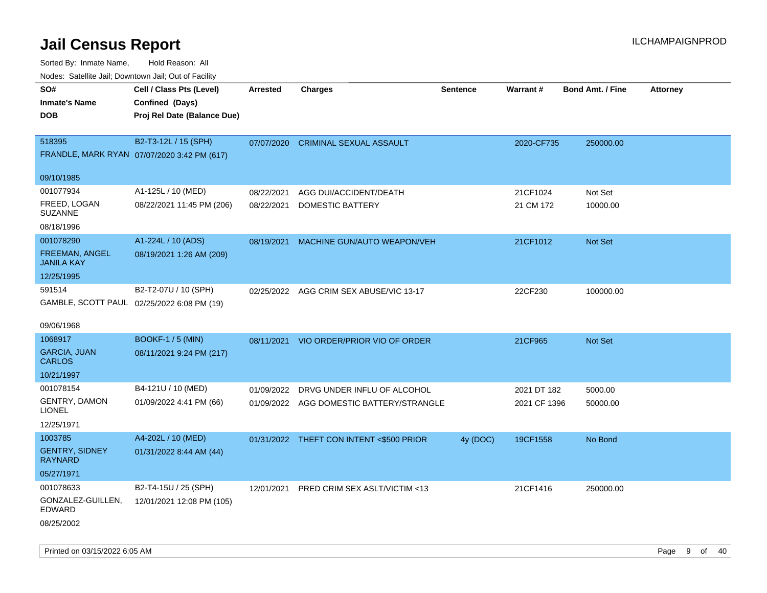Sorted By: Inmate Name, Hold Reason: All

| Nodes: Satellite Jail; Downtown Jail; Out of Facility |                                             |                 |                                          |                 |              |                  |                 |
|-------------------------------------------------------|---------------------------------------------|-----------------|------------------------------------------|-----------------|--------------|------------------|-----------------|
| SO#                                                   | Cell / Class Pts (Level)                    | <b>Arrested</b> | <b>Charges</b>                           | <b>Sentence</b> | Warrant#     | Bond Amt. / Fine | <b>Attorney</b> |
| <b>Inmate's Name</b>                                  | Confined (Days)                             |                 |                                          |                 |              |                  |                 |
| <b>DOB</b>                                            | Proj Rel Date (Balance Due)                 |                 |                                          |                 |              |                  |                 |
|                                                       |                                             |                 |                                          |                 |              |                  |                 |
| 518395                                                | B2-T3-12L / 15 (SPH)                        | 07/07/2020      | <b>CRIMINAL SEXUAL ASSAULT</b>           |                 | 2020-CF735   | 250000.00        |                 |
|                                                       | FRANDLE, MARK RYAN 07/07/2020 3:42 PM (617) |                 |                                          |                 |              |                  |                 |
| 09/10/1985                                            |                                             |                 |                                          |                 |              |                  |                 |
| 001077934                                             | A1-125L / 10 (MED)                          | 08/22/2021      | AGG DUI/ACCIDENT/DEATH                   |                 | 21CF1024     | Not Set          |                 |
| FREED, LOGAN                                          | 08/22/2021 11:45 PM (206)                   | 08/22/2021      | <b>DOMESTIC BATTERY</b>                  |                 | 21 CM 172    | 10000.00         |                 |
| <b>SUZANNE</b>                                        |                                             |                 |                                          |                 |              |                  |                 |
| 08/18/1996                                            |                                             |                 |                                          |                 |              |                  |                 |
| 001078290                                             | A1-224L / 10 (ADS)                          | 08/19/2021      | MACHINE GUN/AUTO WEAPON/VEH              |                 | 21CF1012     | Not Set          |                 |
| <b>FREEMAN, ANGEL</b><br><b>JANILA KAY</b>            | 08/19/2021 1:26 AM (209)                    |                 |                                          |                 |              |                  |                 |
| 12/25/1995                                            |                                             |                 |                                          |                 |              |                  |                 |
| 591514                                                | B2-T2-07U / 10 (SPH)                        |                 |                                          |                 |              |                  |                 |
|                                                       | GAMBLE, SCOTT PAUL 02/25/2022 6:08 PM (19)  |                 | 02/25/2022 AGG CRIM SEX ABUSE/VIC 13-17  |                 | 22CF230      | 100000.00        |                 |
|                                                       |                                             |                 |                                          |                 |              |                  |                 |
| 09/06/1968                                            |                                             |                 |                                          |                 |              |                  |                 |
| 1068917                                               | <b>BOOKF-1 / 5 (MIN)</b>                    |                 | 08/11/2021 VIO ORDER/PRIOR VIO OF ORDER  |                 | 21CF965      | Not Set          |                 |
| <b>GARCIA, JUAN</b>                                   | 08/11/2021 9:24 PM (217)                    |                 |                                          |                 |              |                  |                 |
| <b>CARLOS</b>                                         |                                             |                 |                                          |                 |              |                  |                 |
| 10/21/1997                                            |                                             |                 |                                          |                 |              |                  |                 |
| 001078154                                             | B4-121U / 10 (MED)                          | 01/09/2022      | DRVG UNDER INFLU OF ALCOHOL              |                 | 2021 DT 182  | 5000.00          |                 |
| <b>GENTRY, DAMON</b><br><b>LIONEL</b>                 | 01/09/2022 4:41 PM (66)                     |                 | 01/09/2022 AGG DOMESTIC BATTERY/STRANGLE |                 | 2021 CF 1396 | 50000.00         |                 |
| 12/25/1971                                            |                                             |                 |                                          |                 |              |                  |                 |
| 1003785                                               | A4-202L / 10 (MED)                          |                 | 01/31/2022 THEFT CON INTENT <\$500 PRIOR | 4y (DOC)        | 19CF1558     | No Bond          |                 |
| <b>GENTRY, SIDNEY</b>                                 | 01/31/2022 8:44 AM (44)                     |                 |                                          |                 |              |                  |                 |
| <b>RAYNARD</b>                                        |                                             |                 |                                          |                 |              |                  |                 |
| 05/27/1971                                            |                                             |                 |                                          |                 |              |                  |                 |
| 001078633                                             | B2-T4-15U / 25 (SPH)                        | 12/01/2021      | PRED CRIM SEX ASLT/VICTIM <13            |                 | 21CF1416     | 250000.00        |                 |
| GONZALEZ-GUILLEN,<br><b>EDWARD</b>                    | 12/01/2021 12:08 PM (105)                   |                 |                                          |                 |              |                  |                 |
| 08/25/2002                                            |                                             |                 |                                          |                 |              |                  |                 |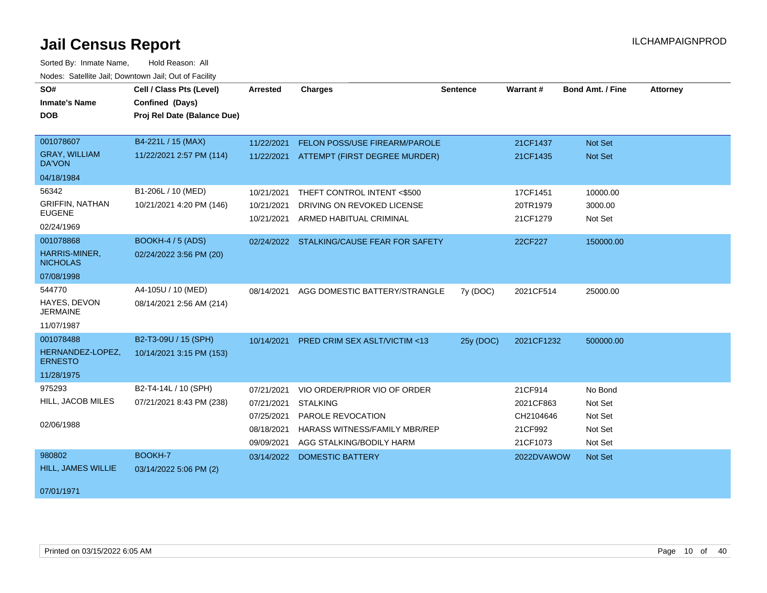| SO#                                   | Cell / Class Pts (Level)                       | <b>Arrested</b> | <b>Charges</b>                            | <b>Sentence</b> | <b>Warrant#</b> | <b>Bond Amt. / Fine</b> | <b>Attorney</b> |
|---------------------------------------|------------------------------------------------|-----------------|-------------------------------------------|-----------------|-----------------|-------------------------|-----------------|
| <b>Inmate's Name</b><br><b>DOB</b>    | Confined (Days)<br>Proj Rel Date (Balance Due) |                 |                                           |                 |                 |                         |                 |
|                                       |                                                |                 |                                           |                 |                 |                         |                 |
| 001078607                             | B4-221L / 15 (MAX)                             | 11/22/2021      | FELON POSS/USE FIREARM/PAROLE             |                 | 21CF1437        | Not Set                 |                 |
| <b>GRAY, WILLIAM</b><br><b>DA'VON</b> | 11/22/2021 2:57 PM (114)                       |                 | 11/22/2021 ATTEMPT (FIRST DEGREE MURDER)  |                 | 21CF1435        | <b>Not Set</b>          |                 |
| 04/18/1984                            |                                                |                 |                                           |                 |                 |                         |                 |
| 56342                                 | B1-206L / 10 (MED)                             | 10/21/2021      | THEFT CONTROL INTENT <\$500               |                 | 17CF1451        | 10000.00                |                 |
| <b>GRIFFIN, NATHAN</b>                | 10/21/2021 4:20 PM (146)                       | 10/21/2021      | DRIVING ON REVOKED LICENSE                |                 | 20TR1979        | 3000.00                 |                 |
| <b>EUGENE</b><br>02/24/1969           |                                                | 10/21/2021      | ARMED HABITUAL CRIMINAL                   |                 | 21CF1279        | Not Set                 |                 |
| 001078868                             | <b>BOOKH-4 / 5 (ADS)</b>                       |                 | 02/24/2022 STALKING/CAUSE FEAR FOR SAFETY |                 | 22CF227         | 150000.00               |                 |
| HARRIS-MINER,<br><b>NICHOLAS</b>      | 02/24/2022 3:56 PM (20)                        |                 |                                           |                 |                 |                         |                 |
| 07/08/1998                            |                                                |                 |                                           |                 |                 |                         |                 |
| 544770                                | A4-105U / 10 (MED)                             | 08/14/2021      | AGG DOMESTIC BATTERY/STRANGLE             | 7y (DOC)        | 2021CF514       | 25000.00                |                 |
| HAYES, DEVON<br><b>JERMAINE</b>       | 08/14/2021 2:56 AM (214)                       |                 |                                           |                 |                 |                         |                 |
| 11/07/1987                            |                                                |                 |                                           |                 |                 |                         |                 |
| 001078488                             | B2-T3-09U / 15 (SPH)                           | 10/14/2021      | PRED CRIM SEX ASLT/VICTIM <13             | 25y (DOC)       | 2021CF1232      | 500000.00               |                 |
| HERNANDEZ-LOPEZ,<br><b>ERNESTO</b>    | 10/14/2021 3:15 PM (153)                       |                 |                                           |                 |                 |                         |                 |
| 11/28/1975                            |                                                |                 |                                           |                 |                 |                         |                 |
| 975293                                | B2-T4-14L / 10 (SPH)                           | 07/21/2021      | VIO ORDER/PRIOR VIO OF ORDER              |                 | 21CF914         | No Bond                 |                 |
| HILL, JACOB MILES                     | 07/21/2021 8:43 PM (238)                       | 07/21/2021      | <b>STALKING</b>                           |                 | 2021CF863       | Not Set                 |                 |
|                                       |                                                | 07/25/2021      | PAROLE REVOCATION                         |                 | CH2104646       | Not Set                 |                 |
| 02/06/1988                            |                                                | 08/18/2021      | HARASS WITNESS/FAMILY MBR/REP             |                 | 21CF992         | Not Set                 |                 |
|                                       |                                                | 09/09/2021      | AGG STALKING/BODILY HARM                  |                 | 21CF1073        | Not Set                 |                 |
| 980802                                | <b>BOOKH-7</b>                                 | 03/14/2022      | <b>DOMESTIC BATTERY</b>                   |                 | 2022DVAWOW      | Not Set                 |                 |
| <b>HILL, JAMES WILLIE</b>             | 03/14/2022 5:06 PM (2)                         |                 |                                           |                 |                 |                         |                 |
| 07/01/1971                            |                                                |                 |                                           |                 |                 |                         |                 |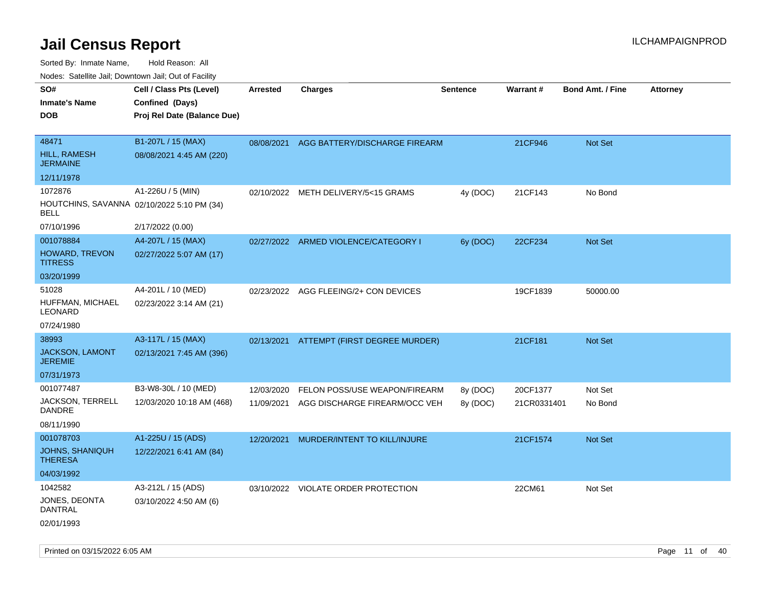| roaco. Catolino dall, Downtown dall, Out of Fability      |                             |                 |                                          |                 |                 |                         |                 |
|-----------------------------------------------------------|-----------------------------|-----------------|------------------------------------------|-----------------|-----------------|-------------------------|-----------------|
| SO#                                                       | Cell / Class Pts (Level)    | <b>Arrested</b> | Charges                                  | <b>Sentence</b> | <b>Warrant#</b> | <b>Bond Amt. / Fine</b> | <b>Attorney</b> |
| <b>Inmate's Name</b>                                      | Confined (Days)             |                 |                                          |                 |                 |                         |                 |
| <b>DOB</b>                                                | Proj Rel Date (Balance Due) |                 |                                          |                 |                 |                         |                 |
|                                                           |                             |                 |                                          |                 |                 |                         |                 |
| 48471                                                     | B1-207L / 15 (MAX)          | 08/08/2021      | AGG BATTERY/DISCHARGE FIREARM            |                 | 21CF946         | Not Set                 |                 |
| <b>HILL, RAMESH</b><br><b>JERMAINE</b>                    | 08/08/2021 4:45 AM (220)    |                 |                                          |                 |                 |                         |                 |
| 12/11/1978                                                |                             |                 |                                          |                 |                 |                         |                 |
| 1072876                                                   | A1-226U / 5 (MIN)           |                 | 02/10/2022 METH DELIVERY/5<15 GRAMS      | 4y (DOC)        | 21CF143         | No Bond                 |                 |
| HOUTCHINS, SAVANNA 02/10/2022 5:10 PM (34)<br><b>BELL</b> |                             |                 |                                          |                 |                 |                         |                 |
| 07/10/1996                                                | 2/17/2022 (0.00)            |                 |                                          |                 |                 |                         |                 |
| 001078884                                                 | A4-207L / 15 (MAX)          |                 | 02/27/2022 ARMED VIOLENCE/CATEGORY I     | 6y (DOC)        | 22CF234         | Not Set                 |                 |
| <b>HOWARD, TREVON</b><br><b>TITRESS</b>                   | 02/27/2022 5:07 AM (17)     |                 |                                          |                 |                 |                         |                 |
| 03/20/1999                                                |                             |                 |                                          |                 |                 |                         |                 |
| 51028                                                     | A4-201L / 10 (MED)          |                 | 02/23/2022 AGG FLEEING/2+ CON DEVICES    |                 | 19CF1839        | 50000.00                |                 |
| HUFFMAN, MICHAEL<br>LEONARD                               | 02/23/2022 3:14 AM (21)     |                 |                                          |                 |                 |                         |                 |
| 07/24/1980                                                |                             |                 |                                          |                 |                 |                         |                 |
| 38993                                                     | A3-117L / 15 (MAX)          |                 | 02/13/2021 ATTEMPT (FIRST DEGREE MURDER) |                 | 21CF181         | Not Set                 |                 |
| <b>JACKSON, LAMONT</b><br><b>JEREMIE</b>                  | 02/13/2021 7:45 AM (396)    |                 |                                          |                 |                 |                         |                 |
| 07/31/1973                                                |                             |                 |                                          |                 |                 |                         |                 |
| 001077487                                                 | B3-W8-30L / 10 (MED)        | 12/03/2020      | FELON POSS/USE WEAPON/FIREARM            | 8y (DOC)        | 20CF1377        | Not Set                 |                 |
| <b>JACKSON, TERRELL</b><br>DANDRE                         | 12/03/2020 10:18 AM (468)   | 11/09/2021      | AGG DISCHARGE FIREARM/OCC VEH            | 8y (DOC)        | 21CR0331401     | No Bond                 |                 |
| 08/11/1990                                                |                             |                 |                                          |                 |                 |                         |                 |
| 001078703                                                 | A1-225U / 15 (ADS)          | 12/20/2021      | MURDER/INTENT TO KILL/INJURE             |                 | 21CF1574        | <b>Not Set</b>          |                 |
| <b>JOHNS, SHANIQUH</b><br><b>THERESA</b>                  | 12/22/2021 6:41 AM (84)     |                 |                                          |                 |                 |                         |                 |
| 04/03/1992                                                |                             |                 |                                          |                 |                 |                         |                 |
| 1042582                                                   | A3-212L / 15 (ADS)          |                 | 03/10/2022 VIOLATE ORDER PROTECTION      |                 | 22CM61          | Not Set                 |                 |
| JONES, DEONTA<br>DANTRAL                                  | 03/10/2022 4:50 AM (6)      |                 |                                          |                 |                 |                         |                 |
| 02/01/1993                                                |                             |                 |                                          |                 |                 |                         |                 |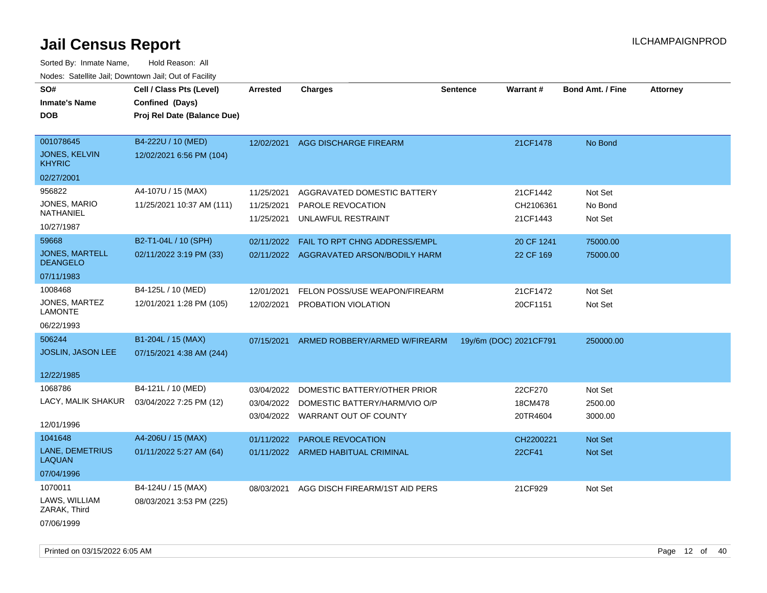| SO#                                      | Cell / Class Pts (Level)    | <b>Arrested</b> | <b>Charges</b>                          | <b>Sentence</b>        | <b>Warrant#</b> | <b>Bond Amt. / Fine</b> | <b>Attorney</b> |
|------------------------------------------|-----------------------------|-----------------|-----------------------------------------|------------------------|-----------------|-------------------------|-----------------|
| <b>Inmate's Name</b>                     | Confined (Days)             |                 |                                         |                        |                 |                         |                 |
| <b>DOB</b>                               | Proj Rel Date (Balance Due) |                 |                                         |                        |                 |                         |                 |
|                                          |                             |                 |                                         |                        |                 |                         |                 |
| 001078645                                | B4-222U / 10 (MED)          | 12/02/2021      | <b>AGG DISCHARGE FIREARM</b>            |                        | 21CF1478        | No Bond                 |                 |
| <b>JONES, KELVIN</b><br><b>KHYRIC</b>    | 12/02/2021 6:56 PM (104)    |                 |                                         |                        |                 |                         |                 |
| 02/27/2001                               |                             |                 |                                         |                        |                 |                         |                 |
| 956822                                   | A4-107U / 15 (MAX)          | 11/25/2021      | AGGRAVATED DOMESTIC BATTERY             |                        | 21CF1442        | Not Set                 |                 |
| JONES, MARIO                             | 11/25/2021 10:37 AM (111)   | 11/25/2021      | PAROLE REVOCATION                       |                        | CH2106361       | No Bond                 |                 |
| <b>NATHANIEL</b>                         |                             | 11/25/2021      | UNLAWFUL RESTRAINT                      |                        | 21CF1443        | Not Set                 |                 |
| 10/27/1987                               |                             |                 |                                         |                        |                 |                         |                 |
| 59668                                    | B2-T1-04L / 10 (SPH)        | 02/11/2022      | FAIL TO RPT CHNG ADDRESS/EMPL           |                        | 20 CF 1241      | 75000.00                |                 |
| <b>JONES, MARTELL</b><br><b>DEANGELO</b> | 02/11/2022 3:19 PM (33)     |                 | 02/11/2022 AGGRAVATED ARSON/BODILY HARM |                        | 22 CF 169       | 75000.00                |                 |
| 07/11/1983                               |                             |                 |                                         |                        |                 |                         |                 |
| 1008468                                  | B4-125L / 10 (MED)          | 12/01/2021      | FELON POSS/USE WEAPON/FIREARM           |                        | 21CF1472        | Not Set                 |                 |
| JONES, MARTEZ<br><b>LAMONTE</b>          | 12/01/2021 1:28 PM (105)    | 12/02/2021      | PROBATION VIOLATION                     |                        | 20CF1151        | Not Set                 |                 |
| 06/22/1993                               |                             |                 |                                         |                        |                 |                         |                 |
| 506244                                   | B1-204L / 15 (MAX)          | 07/15/2021      | ARMED ROBBERY/ARMED W/FIREARM           | 19y/6m (DOC) 2021CF791 |                 | 250000.00               |                 |
| JOSLIN, JASON LEE                        | 07/15/2021 4:38 AM (244)    |                 |                                         |                        |                 |                         |                 |
|                                          |                             |                 |                                         |                        |                 |                         |                 |
| 12/22/1985                               |                             |                 |                                         |                        |                 |                         |                 |
| 1068786                                  | B4-121L / 10 (MED)          | 03/04/2022      | DOMESTIC BATTERY/OTHER PRIOR            |                        | 22CF270         | Not Set                 |                 |
| LACY, MALIK SHAKUR                       | 03/04/2022 7:25 PM (12)     | 03/04/2022      | DOMESTIC BATTERY/HARM/VIO O/P           |                        | 18CM478         | 2500.00                 |                 |
|                                          |                             |                 | 03/04/2022 WARRANT OUT OF COUNTY        |                        | 20TR4604        | 3000.00                 |                 |
| 12/01/1996                               |                             |                 |                                         |                        |                 |                         |                 |
| 1041648                                  | A4-206U / 15 (MAX)          | 01/11/2022      | <b>PAROLE REVOCATION</b>                |                        | CH2200221       | Not Set                 |                 |
| LANE, DEMETRIUS<br><b>LAQUAN</b>         | 01/11/2022 5:27 AM (64)     |                 | 01/11/2022 ARMED HABITUAL CRIMINAL      |                        | 22CF41          | Not Set                 |                 |
| 07/04/1996                               |                             |                 |                                         |                        |                 |                         |                 |
| 1070011                                  | B4-124U / 15 (MAX)          | 08/03/2021      | AGG DISCH FIREARM/1ST AID PERS          |                        | 21CF929         | Not Set                 |                 |
| LAWS, WILLIAM<br>ZARAK, Third            | 08/03/2021 3:53 PM (225)    |                 |                                         |                        |                 |                         |                 |
| 07/06/1999                               |                             |                 |                                         |                        |                 |                         |                 |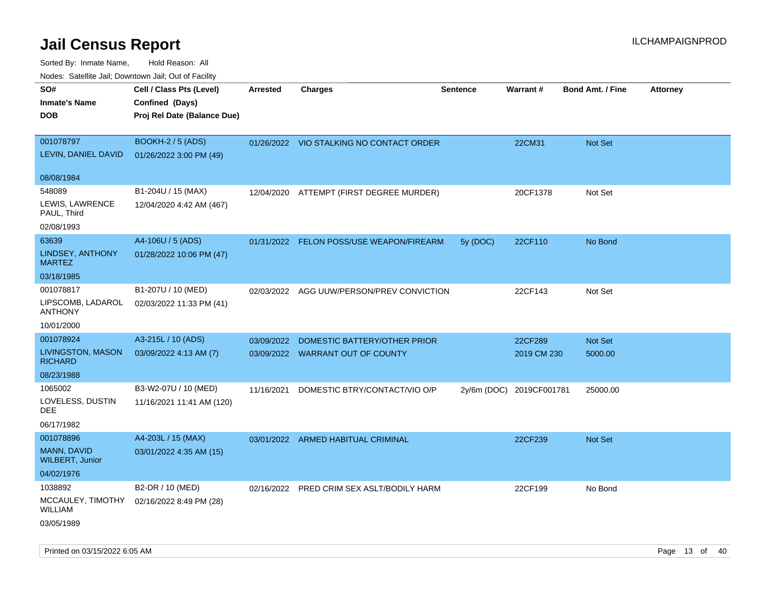| ivuutos. Saltiilit Jali, Duwilluwii Jali, Oul of Facility |                             |                 |                                           |                 |                          |                         |                 |
|-----------------------------------------------------------|-----------------------------|-----------------|-------------------------------------------|-----------------|--------------------------|-------------------------|-----------------|
| SO#                                                       | Cell / Class Pts (Level)    | <b>Arrested</b> | <b>Charges</b>                            | <b>Sentence</b> | Warrant#                 | <b>Bond Amt. / Fine</b> | <b>Attorney</b> |
| <b>Inmate's Name</b>                                      | Confined (Days)             |                 |                                           |                 |                          |                         |                 |
| <b>DOB</b>                                                | Proj Rel Date (Balance Due) |                 |                                           |                 |                          |                         |                 |
|                                                           |                             |                 |                                           |                 |                          |                         |                 |
| 001078797                                                 | BOOKH-2 / 5 (ADS)           |                 | 01/26/2022 VIO STALKING NO CONTACT ORDER  |                 | 22CM31                   | Not Set                 |                 |
| LEVIN, DANIEL DAVID                                       | 01/26/2022 3:00 PM (49)     |                 |                                           |                 |                          |                         |                 |
|                                                           |                             |                 |                                           |                 |                          |                         |                 |
| 08/08/1984                                                |                             |                 |                                           |                 |                          |                         |                 |
| 548089                                                    | B1-204U / 15 (MAX)          |                 | 12/04/2020 ATTEMPT (FIRST DEGREE MURDER)  |                 | 20CF1378                 | Not Set                 |                 |
| LEWIS, LAWRENCE                                           | 12/04/2020 4:42 AM (467)    |                 |                                           |                 |                          |                         |                 |
| PAUL, Third                                               |                             |                 |                                           |                 |                          |                         |                 |
| 02/08/1993                                                |                             |                 |                                           |                 |                          |                         |                 |
| 63639                                                     | A4-106U / 5 (ADS)           |                 | 01/31/2022 FELON POSS/USE WEAPON/FIREARM  | 5y (DOC)        | 22CF110                  | No Bond                 |                 |
| <b>LINDSEY, ANTHONY</b><br><b>MARTEZ</b>                  | 01/28/2022 10:06 PM (47)    |                 |                                           |                 |                          |                         |                 |
| 03/18/1985                                                |                             |                 |                                           |                 |                          |                         |                 |
| 001078817                                                 | B1-207U / 10 (MED)          |                 | 02/03/2022 AGG UUW/PERSON/PREV CONVICTION |                 | 22CF143                  | Not Set                 |                 |
| LIPSCOMB, LADAROL<br><b>ANTHONY</b>                       | 02/03/2022 11:33 PM (41)    |                 |                                           |                 |                          |                         |                 |
| 10/01/2000                                                |                             |                 |                                           |                 |                          |                         |                 |
| 001078924                                                 | A3-215L / 10 (ADS)          | 03/09/2022      | DOMESTIC BATTERY/OTHER PRIOR              |                 | 22CF289                  | Not Set                 |                 |
| <b>LIVINGSTON, MASON</b><br><b>RICHARD</b>                | 03/09/2022 4:13 AM (7)      |                 | 03/09/2022 WARRANT OUT OF COUNTY          |                 | 2019 CM 230              | 5000.00                 |                 |
| 08/23/1988                                                |                             |                 |                                           |                 |                          |                         |                 |
| 1065002                                                   | B3-W2-07U / 10 (MED)        | 11/16/2021      | DOMESTIC BTRY/CONTACT/VIO O/P             |                 | 2y/6m (DOC) 2019CF001781 | 25000.00                |                 |
| LOVELESS, DUSTIN<br>DEE                                   | 11/16/2021 11:41 AM (120)   |                 |                                           |                 |                          |                         |                 |
| 06/17/1982                                                |                             |                 |                                           |                 |                          |                         |                 |
| 001078896                                                 | A4-203L / 15 (MAX)          |                 | 03/01/2022 ARMED HABITUAL CRIMINAL        |                 | 22CF239                  | <b>Not Set</b>          |                 |
| MANN, DAVID<br><b>WILBERT, Junior</b>                     | 03/01/2022 4:35 AM (15)     |                 |                                           |                 |                          |                         |                 |
| 04/02/1976                                                |                             |                 |                                           |                 |                          |                         |                 |
| 1038892                                                   | B2-DR / 10 (MED)            |                 | 02/16/2022 PRED CRIM SEX ASLT/BODILY HARM |                 | 22CF199                  | No Bond                 |                 |
| MCCAULEY, TIMOTHY<br>WILLIAM                              | 02/16/2022 8:49 PM (28)     |                 |                                           |                 |                          |                         |                 |
| 03/05/1989                                                |                             |                 |                                           |                 |                          |                         |                 |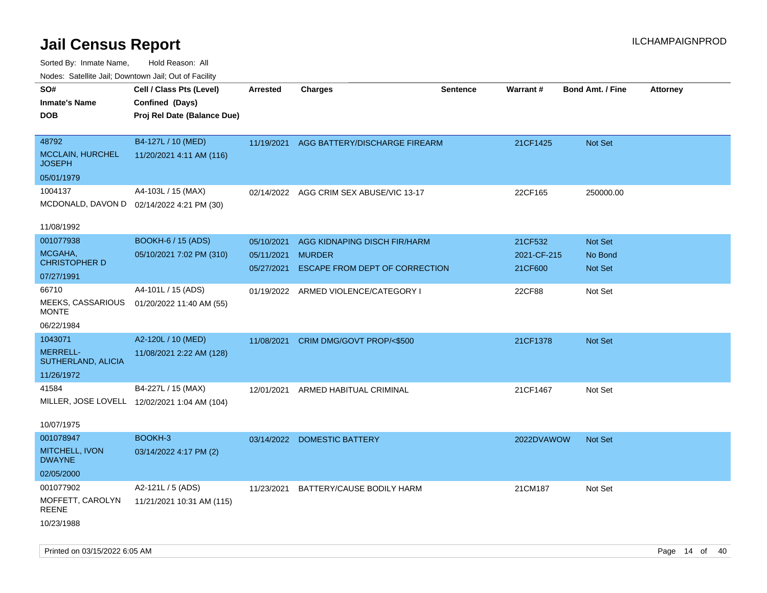Sorted By: Inmate Name, Hold Reason: All Nodes: Satellite Jail; Downtown Jail; Out of Facility

| Nudes. Satellite Jali, Downtown Jali, Out of Facility |                                              |                 |                                          |                 |                 |                         |                 |
|-------------------------------------------------------|----------------------------------------------|-----------------|------------------------------------------|-----------------|-----------------|-------------------------|-----------------|
| SO#                                                   | Cell / Class Pts (Level)                     | <b>Arrested</b> | <b>Charges</b>                           | <b>Sentence</b> | <b>Warrant#</b> | <b>Bond Amt. / Fine</b> | <b>Attorney</b> |
| <b>Inmate's Name</b>                                  | Confined (Days)                              |                 |                                          |                 |                 |                         |                 |
| DOB                                                   | Proj Rel Date (Balance Due)                  |                 |                                          |                 |                 |                         |                 |
|                                                       |                                              |                 |                                          |                 |                 |                         |                 |
| 48792                                                 | B4-127L / 10 (MED)                           |                 | 11/19/2021 AGG BATTERY/DISCHARGE FIREARM |                 | 21CF1425        | <b>Not Set</b>          |                 |
| <b>MCCLAIN, HURCHEL</b><br>JOSEPH                     | 11/20/2021 4:11 AM (116)                     |                 |                                          |                 |                 |                         |                 |
| 05/01/1979                                            |                                              |                 |                                          |                 |                 |                         |                 |
| 1004137                                               | A4-103L / 15 (MAX)                           |                 | 02/14/2022 AGG CRIM SEX ABUSE/VIC 13-17  |                 | 22CF165         | 250000.00               |                 |
|                                                       | MCDONALD, DAVON D 02/14/2022 4:21 PM (30)    |                 |                                          |                 |                 |                         |                 |
|                                                       |                                              |                 |                                          |                 |                 |                         |                 |
| 11/08/1992                                            |                                              |                 |                                          |                 |                 |                         |                 |
| 001077938                                             | <b>BOOKH-6 / 15 (ADS)</b>                    | 05/10/2021      | AGG KIDNAPING DISCH FIR/HARM             |                 | 21CF532         | Not Set                 |                 |
| MCGAHA,                                               | 05/10/2021 7:02 PM (310)                     | 05/11/2021      | <b>MURDER</b>                            |                 | 2021-CF-215     | No Bond                 |                 |
| <b>CHRISTOPHER D</b>                                  |                                              | 05/27/2021      | ESCAPE FROM DEPT OF CORRECTION           |                 | 21CF600         | Not Set                 |                 |
| 07/27/1991                                            |                                              |                 |                                          |                 |                 |                         |                 |
| 66710                                                 | A4-101L / 15 (ADS)                           |                 | 01/19/2022 ARMED VIOLENCE/CATEGORY I     |                 | 22CF88          | Not Set                 |                 |
| MEEKS, CASSARIOUS<br>MONTE                            | 01/20/2022 11:40 AM (55)                     |                 |                                          |                 |                 |                         |                 |
|                                                       |                                              |                 |                                          |                 |                 |                         |                 |
| 06/22/1984                                            |                                              |                 |                                          |                 |                 |                         |                 |
| 1043071                                               | A2-120L / 10 (MED)                           | 11/08/2021      | CRIM DMG/GOVT PROP/<\$500                |                 | 21CF1378        | <b>Not Set</b>          |                 |
| <b>MERRELL-</b><br>SUTHERLAND, ALICIA                 | 11/08/2021 2:22 AM (128)                     |                 |                                          |                 |                 |                         |                 |
| 11/26/1972                                            |                                              |                 |                                          |                 |                 |                         |                 |
| 41584                                                 | B4-227L / 15 (MAX)                           | 12/01/2021      | ARMED HABITUAL CRIMINAL                  |                 | 21CF1467        | Not Set                 |                 |
|                                                       | MILLER, JOSE LOVELL 12/02/2021 1:04 AM (104) |                 |                                          |                 |                 |                         |                 |
|                                                       |                                              |                 |                                          |                 |                 |                         |                 |
| 10/07/1975                                            |                                              |                 |                                          |                 |                 |                         |                 |
| 001078947                                             | BOOKH-3                                      |                 | 03/14/2022 DOMESTIC BATTERY              |                 | 2022DVAWOW      | <b>Not Set</b>          |                 |
| MITCHELL, IVON                                        | 03/14/2022 4:17 PM (2)                       |                 |                                          |                 |                 |                         |                 |
| <b>DWAYNE</b>                                         |                                              |                 |                                          |                 |                 |                         |                 |
| 02/05/2000                                            |                                              |                 |                                          |                 |                 |                         |                 |
| 001077902                                             | A2-121L / 5 (ADS)                            | 11/23/2021      | BATTERY/CAUSE BODILY HARM                |                 | 21CM187         | Not Set                 |                 |
| MOFFETT, CAROLYN                                      | 11/21/2021 10:31 AM (115)                    |                 |                                          |                 |                 |                         |                 |
| REENE                                                 |                                              |                 |                                          |                 |                 |                         |                 |
| 10/23/1988                                            |                                              |                 |                                          |                 |                 |                         |                 |
|                                                       |                                              |                 |                                          |                 |                 |                         |                 |

Printed on 03/15/2022 6:05 AM **Page 14** of 40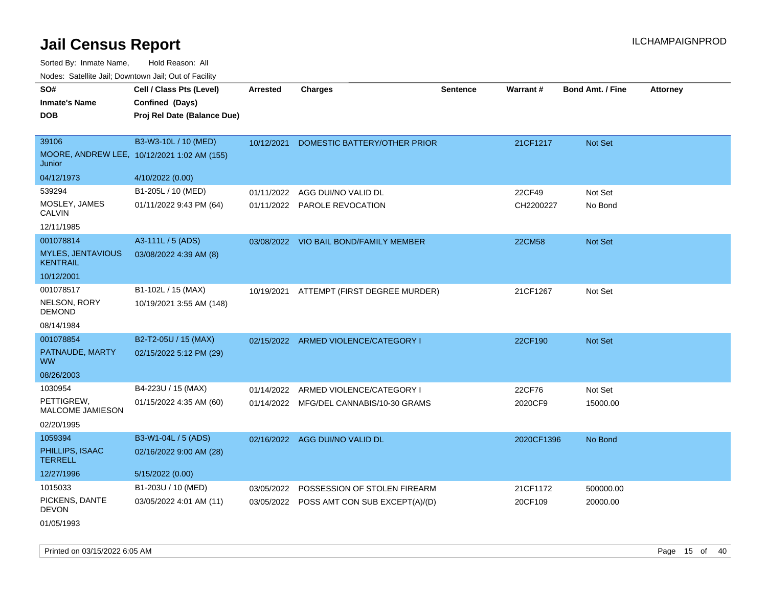Sorted By: Inmate Name, Hold Reason: All Nodes: Satellite Jail; Downtown Jail; Out of Facility

| SO#                                         | Cell / Class Pts (Level)                    | <b>Arrested</b> | <b>Charges</b>                            | <b>Sentence</b> | Warrant#      | <b>Bond Amt. / Fine</b> | <b>Attorney</b> |
|---------------------------------------------|---------------------------------------------|-----------------|-------------------------------------------|-----------------|---------------|-------------------------|-----------------|
| <b>Inmate's Name</b>                        | Confined (Days)                             |                 |                                           |                 |               |                         |                 |
| <b>DOB</b>                                  | Proj Rel Date (Balance Due)                 |                 |                                           |                 |               |                         |                 |
|                                             |                                             |                 |                                           |                 |               |                         |                 |
| 39106                                       | B3-W3-10L / 10 (MED)                        | 10/12/2021      | DOMESTIC BATTERY/OTHER PRIOR              |                 | 21CF1217      | Not Set                 |                 |
| Junior                                      | MOORE, ANDREW LEE, 10/12/2021 1:02 AM (155) |                 |                                           |                 |               |                         |                 |
| 04/12/1973                                  | 4/10/2022 (0.00)                            |                 |                                           |                 |               |                         |                 |
| 539294                                      | B1-205L / 10 (MED)                          | 01/11/2022      | AGG DUI/NO VALID DL                       |                 | 22CF49        | Not Set                 |                 |
| MOSLEY, JAMES<br><b>CALVIN</b>              | 01/11/2022 9:43 PM (64)                     |                 | 01/11/2022 PAROLE REVOCATION              |                 | CH2200227     | No Bond                 |                 |
| 12/11/1985                                  |                                             |                 |                                           |                 |               |                         |                 |
| 001078814                                   | A3-111L / 5 (ADS)                           |                 | 03/08/2022 VIO BAIL BOND/FAMILY MEMBER    |                 | <b>22CM58</b> | Not Set                 |                 |
| <b>MYLES, JENTAVIOUS</b><br><b>KENTRAIL</b> | 03/08/2022 4:39 AM (8)                      |                 |                                           |                 |               |                         |                 |
| 10/12/2001                                  |                                             |                 |                                           |                 |               |                         |                 |
| 001078517                                   | B1-102L / 15 (MAX)                          | 10/19/2021      | ATTEMPT (FIRST DEGREE MURDER)             |                 | 21CF1267      | Not Set                 |                 |
| NELSON, RORY<br><b>DEMOND</b>               | 10/19/2021 3:55 AM (148)                    |                 |                                           |                 |               |                         |                 |
| 08/14/1984                                  |                                             |                 |                                           |                 |               |                         |                 |
| 001078854                                   | B2-T2-05U / 15 (MAX)                        |                 | 02/15/2022 ARMED VIOLENCE/CATEGORY I      |                 | 22CF190       | Not Set                 |                 |
| PATNAUDE, MARTY<br><b>WW</b>                | 02/15/2022 5:12 PM (29)                     |                 |                                           |                 |               |                         |                 |
| 08/26/2003                                  |                                             |                 |                                           |                 |               |                         |                 |
| 1030954                                     | B4-223U / 15 (MAX)                          | 01/14/2022      | ARMED VIOLENCE/CATEGORY I                 |                 | 22CF76        | Not Set                 |                 |
| PETTIGREW,<br>MALCOME JAMIESON              | 01/15/2022 4:35 AM (60)                     |                 | 01/14/2022 MFG/DEL CANNABIS/10-30 GRAMS   |                 | 2020CF9       | 15000.00                |                 |
| 02/20/1995                                  |                                             |                 |                                           |                 |               |                         |                 |
| 1059394                                     | B3-W1-04L / 5 (ADS)                         |                 | 02/16/2022 AGG DUI/NO VALID DL            |                 | 2020CF1396    | No Bond                 |                 |
| PHILLIPS, ISAAC<br><b>TERRELL</b>           | 02/16/2022 9:00 AM (28)                     |                 |                                           |                 |               |                         |                 |
| 12/27/1996                                  | 5/15/2022 (0.00)                            |                 |                                           |                 |               |                         |                 |
| 1015033                                     | B1-203U / 10 (MED)                          | 03/05/2022      | POSSESSION OF STOLEN FIREARM              |                 | 21CF1172      | 500000.00               |                 |
| PICKENS, DANTE<br><b>DEVON</b>              | 03/05/2022 4:01 AM (11)                     |                 | 03/05/2022 POSS AMT CON SUB EXCEPT(A)/(D) |                 | 20CF109       | 20000.00                |                 |
| 01/05/1993                                  |                                             |                 |                                           |                 |               |                         |                 |

Printed on 03/15/2022 6:05 AM Page 15 of 40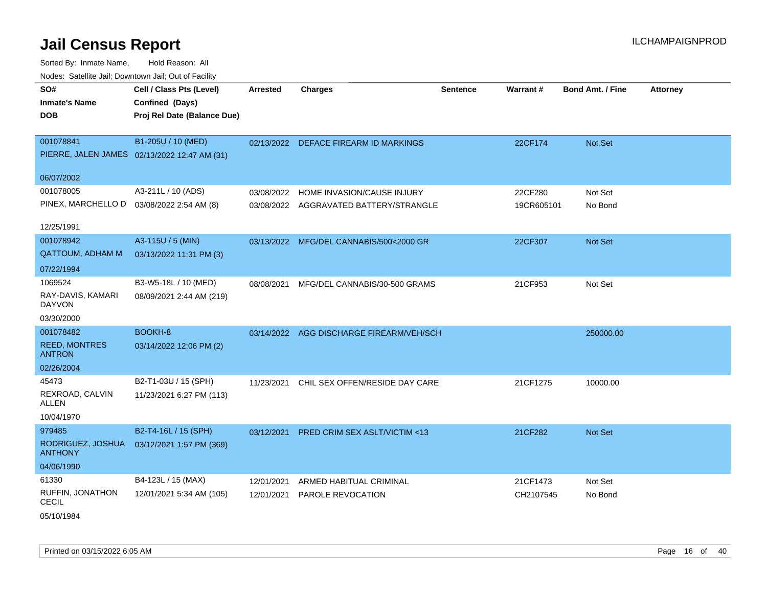| SO#<br><b>Inmate's Name</b><br>DOB         | Cell / Class Pts (Level)<br>Confined (Days)<br>Proj Rel Date (Balance Due) | <b>Arrested</b> | <b>Charges</b>                           | <b>Sentence</b> | Warrant#   | <b>Bond Amt. / Fine</b> | <b>Attorney</b> |
|--------------------------------------------|----------------------------------------------------------------------------|-----------------|------------------------------------------|-----------------|------------|-------------------------|-----------------|
|                                            |                                                                            |                 |                                          |                 |            |                         |                 |
| 001078841                                  | B1-205U / 10 (MED)                                                         |                 | 02/13/2022 DEFACE FIREARM ID MARKINGS    |                 | 22CF174    | <b>Not Set</b>          |                 |
|                                            | PIERRE, JALEN JAMES 02/13/2022 12:47 AM (31)                               |                 |                                          |                 |            |                         |                 |
| 06/07/2002                                 |                                                                            |                 |                                          |                 |            |                         |                 |
| 001078005                                  | A3-211L / 10 (ADS)                                                         | 03/08/2022      | HOME INVASION/CAUSE INJURY               |                 | 22CF280    | Not Set                 |                 |
| PINEX, MARCHELLO D  03/08/2022 2:54 AM (8) |                                                                            | 03/08/2022      | AGGRAVATED BATTERY/STRANGLE              |                 | 19CR605101 | No Bond                 |                 |
| 12/25/1991                                 |                                                                            |                 |                                          |                 |            |                         |                 |
| 001078942                                  | A3-115U / 5 (MIN)                                                          |                 | 03/13/2022 MFG/DEL CANNABIS/500<2000 GR  |                 | 22CF307    | Not Set                 |                 |
| <b>QATTOUM, ADHAM M</b>                    | 03/13/2022 11:31 PM (3)                                                    |                 |                                          |                 |            |                         |                 |
| 07/22/1994                                 |                                                                            |                 |                                          |                 |            |                         |                 |
| 1069524                                    | B3-W5-18L / 10 (MED)                                                       | 08/08/2021      | MFG/DEL CANNABIS/30-500 GRAMS            |                 | 21CF953    | Not Set                 |                 |
| RAY-DAVIS, KAMARI<br><b>DAYVON</b>         | 08/09/2021 2:44 AM (219)                                                   |                 |                                          |                 |            |                         |                 |
| 03/30/2000                                 |                                                                            |                 |                                          |                 |            |                         |                 |
| 001078482                                  | BOOKH-8                                                                    |                 | 03/14/2022 AGG DISCHARGE FIREARM/VEH/SCH |                 |            | 250000.00               |                 |
| <b>REED, MONTRES</b><br><b>ANTRON</b>      | 03/14/2022 12:06 PM (2)                                                    |                 |                                          |                 |            |                         |                 |
| 02/26/2004                                 |                                                                            |                 |                                          |                 |            |                         |                 |
| 45473                                      | B2-T1-03U / 15 (SPH)                                                       | 11/23/2021      | CHIL SEX OFFEN/RESIDE DAY CARE           |                 | 21CF1275   | 10000.00                |                 |
| REXROAD, CALVIN<br>ALLEN                   | 11/23/2021 6:27 PM (113)                                                   |                 |                                          |                 |            |                         |                 |
| 10/04/1970                                 |                                                                            |                 |                                          |                 |            |                         |                 |
| 979485                                     | B2-T4-16L / 15 (SPH)                                                       | 03/12/2021      | <b>PRED CRIM SEX ASLT/VICTIM &lt;13</b>  |                 | 21CF282    | <b>Not Set</b>          |                 |
| RODRIGUEZ, JOSHUA<br><b>ANTHONY</b>        | 03/12/2021 1:57 PM (369)                                                   |                 |                                          |                 |            |                         |                 |
| 04/06/1990                                 |                                                                            |                 |                                          |                 |            |                         |                 |
| 61330                                      | B4-123L / 15 (MAX)                                                         | 12/01/2021      | ARMED HABITUAL CRIMINAL                  |                 | 21CF1473   | Not Set                 |                 |
| RUFFIN, JONATHON<br><b>CECIL</b>           | 12/01/2021 5:34 AM (105)                                                   | 12/01/2021      | PAROLE REVOCATION                        |                 | CH2107545  | No Bond                 |                 |
| 05/10/1984                                 |                                                                            |                 |                                          |                 |            |                         |                 |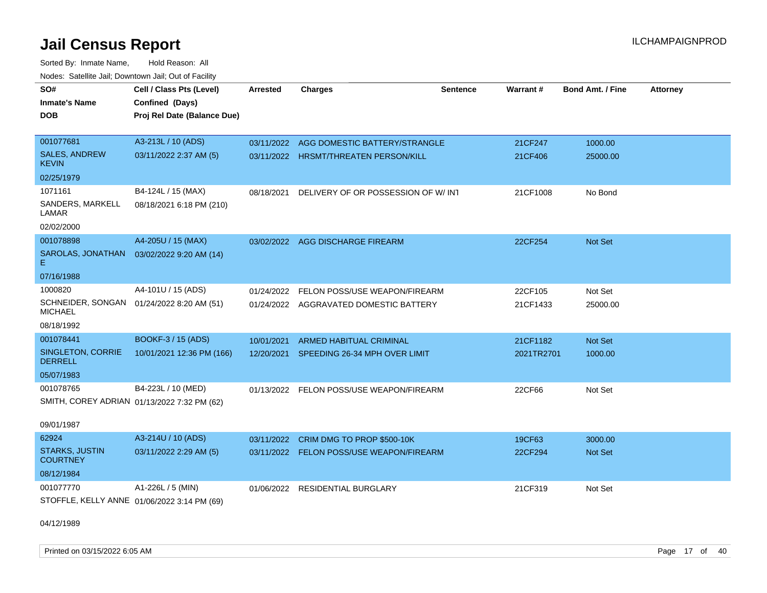Sorted By: Inmate Name, Hold Reason: All Nodes: Satellite Jail; Downtown Jail; Out of Facility

| SO#<br><b>Inmate's Name</b>                                 | Cell / Class Pts (Level)<br>Confined (Days) | <b>Arrested</b> | <b>Charges</b>                           | <b>Sentence</b> | Warrant#   | <b>Bond Amt. / Fine</b> | <b>Attorney</b> |
|-------------------------------------------------------------|---------------------------------------------|-----------------|------------------------------------------|-----------------|------------|-------------------------|-----------------|
| <b>DOB</b>                                                  | Proj Rel Date (Balance Due)                 |                 |                                          |                 |            |                         |                 |
| 001077681                                                   | A3-213L / 10 (ADS)                          | 03/11/2022      | AGG DOMESTIC BATTERY/STRANGLE            |                 | 21CF247    | 1000.00                 |                 |
| <b>SALES, ANDREW</b><br><b>KEVIN</b>                        | 03/11/2022 2:37 AM (5)                      |                 | 03/11/2022 HRSMT/THREATEN PERSON/KILL    |                 | 21CF406    | 25000.00                |                 |
| 02/25/1979                                                  |                                             |                 |                                          |                 |            |                         |                 |
| 1071161                                                     | B4-124L / 15 (MAX)                          | 08/18/2021      | DELIVERY OF OR POSSESSION OF W/INT       |                 | 21CF1008   | No Bond                 |                 |
| SANDERS, MARKELL<br>LAMAR                                   | 08/18/2021 6:18 PM (210)                    |                 |                                          |                 |            |                         |                 |
| 02/02/2000                                                  |                                             |                 |                                          |                 |            |                         |                 |
| 001078898                                                   | A4-205U / 15 (MAX)                          |                 | 03/02/2022 AGG DISCHARGE FIREARM         |                 | 22CF254    | Not Set                 |                 |
| SAROLAS, JONATHAN<br>E.                                     | 03/02/2022 9:20 AM (14)                     |                 |                                          |                 |            |                         |                 |
| 07/16/1988                                                  |                                             |                 |                                          |                 |            |                         |                 |
| 1000820                                                     | A4-101U / 15 (ADS)                          | 01/24/2022      | FELON POSS/USE WEAPON/FIREARM            |                 | 22CF105    | Not Set                 |                 |
| SCHNEIDER, SONGAN 01/24/2022 8:20 AM (51)<br><b>MICHAEL</b> |                                             |                 | 01/24/2022 AGGRAVATED DOMESTIC BATTERY   |                 | 21CF1433   | 25000.00                |                 |
| 08/18/1992                                                  |                                             |                 |                                          |                 |            |                         |                 |
| 001078441                                                   | BOOKF-3 / 15 (ADS)                          | 10/01/2021      | ARMED HABITUAL CRIMINAL                  |                 | 21CF1182   | <b>Not Set</b>          |                 |
| SINGLETON, CORRIE<br><b>DERRELL</b>                         | 10/01/2021 12:36 PM (166)                   | 12/20/2021      | SPEEDING 26-34 MPH OVER LIMIT            |                 | 2021TR2701 | 1000.00                 |                 |
| 05/07/1983                                                  |                                             |                 |                                          |                 |            |                         |                 |
| 001078765                                                   | B4-223L / 10 (MED)                          |                 | 01/13/2022 FELON POSS/USE WEAPON/FIREARM |                 | 22CF66     | Not Set                 |                 |
| SMITH, COREY ADRIAN 01/13/2022 7:32 PM (62)                 |                                             |                 |                                          |                 |            |                         |                 |
| 09/01/1987                                                  |                                             |                 |                                          |                 |            |                         |                 |
| 62924                                                       | A3-214U / 10 (ADS)                          | 03/11/2022      | CRIM DMG TO PROP \$500-10K               |                 | 19CF63     | 3000.00                 |                 |
| <b>STARKS, JUSTIN</b><br><b>COURTNEY</b>                    | 03/11/2022 2:29 AM (5)                      |                 | 03/11/2022 FELON POSS/USE WEAPON/FIREARM |                 | 22CF294    | Not Set                 |                 |
| 08/12/1984                                                  |                                             |                 |                                          |                 |            |                         |                 |
| 001077770                                                   | A1-226L / 5 (MIN)                           | 01/06/2022      | RESIDENTIAL BURGLARY                     |                 | 21CF319    | Not Set                 |                 |
| STOFFLE, KELLY ANNE 01/06/2022 3:14 PM (69)                 |                                             |                 |                                          |                 |            |                         |                 |

04/12/1989

Printed on 03/15/2022 6:05 AM Page 17 of 40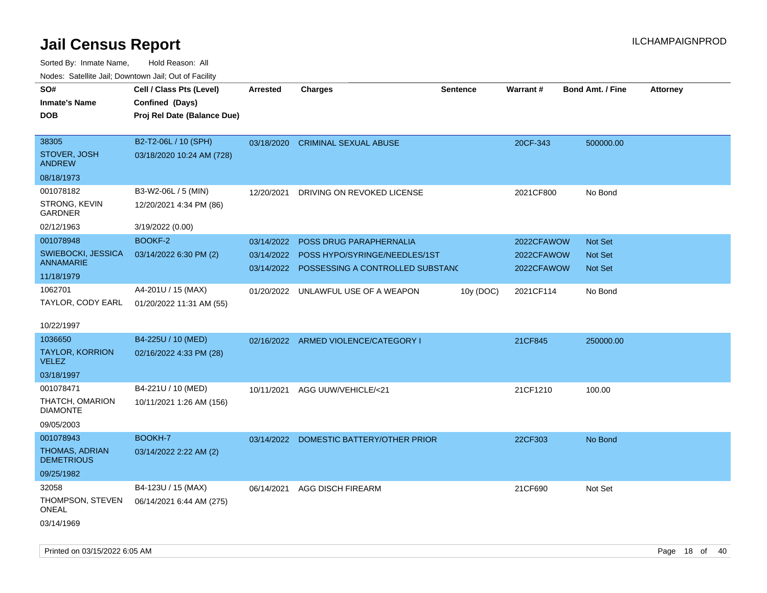| rouco. Calcinic Jan, Downtown Jan, Out of Facility |                             |                 |                                             |                 |                 |                         |                 |
|----------------------------------------------------|-----------------------------|-----------------|---------------------------------------------|-----------------|-----------------|-------------------------|-----------------|
| SO#                                                | Cell / Class Pts (Level)    | <b>Arrested</b> | <b>Charges</b>                              | <b>Sentence</b> | <b>Warrant#</b> | <b>Bond Amt. / Fine</b> | <b>Attorney</b> |
| Inmate's Name                                      | Confined (Days)             |                 |                                             |                 |                 |                         |                 |
| DOB                                                | Proj Rel Date (Balance Due) |                 |                                             |                 |                 |                         |                 |
|                                                    |                             |                 |                                             |                 |                 |                         |                 |
| 38305                                              | B2-T2-06L / 10 (SPH)        | 03/18/2020      | <b>CRIMINAL SEXUAL ABUSE</b>                |                 | 20CF-343        | 500000.00               |                 |
| STOVER, JOSH<br>ANDREW                             | 03/18/2020 10:24 AM (728)   |                 |                                             |                 |                 |                         |                 |
| 08/18/1973                                         |                             |                 |                                             |                 |                 |                         |                 |
| 001078182                                          | B3-W2-06L / 5 (MIN)         | 12/20/2021      | DRIVING ON REVOKED LICENSE                  |                 | 2021CF800       | No Bond                 |                 |
| STRONG, KEVIN<br>GARDNER                           | 12/20/2021 4:34 PM (86)     |                 |                                             |                 |                 |                         |                 |
| 02/12/1963                                         | 3/19/2022 (0.00)            |                 |                                             |                 |                 |                         |                 |
| 001078948                                          | BOOKF-2                     | 03/14/2022      | POSS DRUG PARAPHERNALIA                     |                 | 2022CFAWOW      | <b>Not Set</b>          |                 |
| SWIEBOCKI, JESSICA                                 | 03/14/2022 6:30 PM (2)      | 03/14/2022      | POSS HYPO/SYRINGE/NEEDLES/1ST               |                 | 2022CFAWOW      | Not Set                 |                 |
| ANNAMARIE                                          |                             |                 | 03/14/2022 POSSESSING A CONTROLLED SUBSTANC |                 | 2022CFAWOW      | Not Set                 |                 |
| 11/18/1979                                         |                             |                 |                                             |                 |                 |                         |                 |
| 1062701                                            | A4-201U / 15 (MAX)          | 01/20/2022      | UNLAWFUL USE OF A WEAPON                    | 10y (DOC)       | 2021CF114       | No Bond                 |                 |
| TAYLOR, CODY EARL                                  | 01/20/2022 11:31 AM (55)    |                 |                                             |                 |                 |                         |                 |
| 10/22/1997                                         |                             |                 |                                             |                 |                 |                         |                 |
| 1036650                                            | B4-225U / 10 (MED)          |                 | 02/16/2022 ARMED VIOLENCE/CATEGORY I        |                 | 21CF845         | 250000.00               |                 |
| <b>TAYLOR, KORRION</b><br>VELEZ                    | 02/16/2022 4:33 PM (28)     |                 |                                             |                 |                 |                         |                 |
| 03/18/1997                                         |                             |                 |                                             |                 |                 |                         |                 |
| 001078471                                          | B4-221U / 10 (MED)          | 10/11/2021      | AGG UUW/VEHICLE/<21                         |                 | 21CF1210        | 100.00                  |                 |
| THATCH, OMARION<br><b>DIAMONTE</b>                 | 10/11/2021 1:26 AM (156)    |                 |                                             |                 |                 |                         |                 |
| 09/05/2003                                         |                             |                 |                                             |                 |                 |                         |                 |
| 001078943                                          | <b>BOOKH-7</b>              |                 | 03/14/2022 DOMESTIC BATTERY/OTHER PRIOR     |                 | 22CF303         | No Bond                 |                 |
| THOMAS, ADRIAN<br><b>DEMETRIOUS</b>                | 03/14/2022 2:22 AM (2)      |                 |                                             |                 |                 |                         |                 |
| 09/25/1982                                         |                             |                 |                                             |                 |                 |                         |                 |
| 32058                                              | B4-123U / 15 (MAX)          | 06/14/2021      | <b>AGG DISCH FIREARM</b>                    |                 | 21CF690         | Not Set                 |                 |
| THOMPSON, STEVEN<br>ONEAL                          | 06/14/2021 6:44 AM (275)    |                 |                                             |                 |                 |                         |                 |
| 03/14/1969                                         |                             |                 |                                             |                 |                 |                         |                 |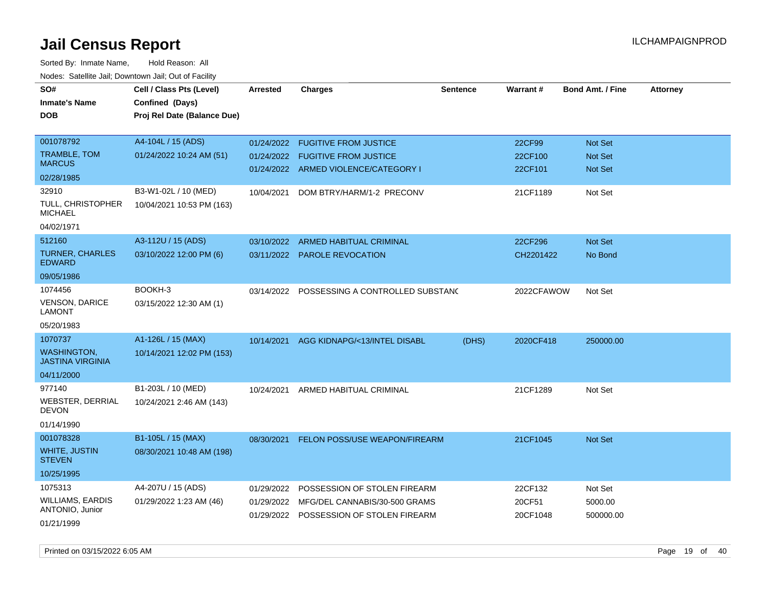| SO#                                          | Cell / Class Pts (Level)    | <b>Arrested</b> | <b>Charges</b>                           | <b>Sentence</b> | Warrant#   | <b>Bond Amt. / Fine</b> | <b>Attorney</b> |
|----------------------------------------------|-----------------------------|-----------------|------------------------------------------|-----------------|------------|-------------------------|-----------------|
| <b>Inmate's Name</b>                         | Confined (Days)             |                 |                                          |                 |            |                         |                 |
| <b>DOB</b>                                   | Proj Rel Date (Balance Due) |                 |                                          |                 |            |                         |                 |
|                                              |                             |                 |                                          |                 |            |                         |                 |
| 001078792                                    | A4-104L / 15 (ADS)          | 01/24/2022      | <b>FUGITIVE FROM JUSTICE</b>             |                 | 22CF99     | Not Set                 |                 |
| TRAMBLE, TOM                                 | 01/24/2022 10:24 AM (51)    | 01/24/2022      | <b>FUGITIVE FROM JUSTICE</b>             |                 | 22CF100    | Not Set                 |                 |
| <b>MARCUS</b>                                |                             |                 | 01/24/2022 ARMED VIOLENCE/CATEGORY I     |                 | 22CF101    | Not Set                 |                 |
| 02/28/1985                                   |                             |                 |                                          |                 |            |                         |                 |
| 32910                                        | B3-W1-02L / 10 (MED)        | 10/04/2021      | DOM BTRY/HARM/1-2 PRECONV                |                 | 21CF1189   | Not Set                 |                 |
| <b>TULL, CHRISTOPHER</b><br><b>MICHAEL</b>   | 10/04/2021 10:53 PM (163)   |                 |                                          |                 |            |                         |                 |
| 04/02/1971                                   |                             |                 |                                          |                 |            |                         |                 |
| 512160                                       | A3-112U / 15 (ADS)          | 03/10/2022      | ARMED HABITUAL CRIMINAL                  |                 | 22CF296    | Not Set                 |                 |
| <b>TURNER, CHARLES</b><br><b>EDWARD</b>      | 03/10/2022 12:00 PM (6)     |                 | 03/11/2022 PAROLE REVOCATION             |                 | CH2201422  | No Bond                 |                 |
| 09/05/1986                                   |                             |                 |                                          |                 |            |                         |                 |
| 1074456                                      | BOOKH-3                     | 03/14/2022      | POSSESSING A CONTROLLED SUBSTAND         |                 | 2022CFAWOW | Not Set                 |                 |
| <b>VENSON, DARICE</b><br><b>LAMONT</b>       | 03/15/2022 12:30 AM (1)     |                 |                                          |                 |            |                         |                 |
| 05/20/1983                                   |                             |                 |                                          |                 |            |                         |                 |
| 1070737                                      | A1-126L / 15 (MAX)          | 10/14/2021      | AGG KIDNAPG/<13/INTEL DISABL             | (DHS)           | 2020CF418  | 250000.00               |                 |
| <b>WASHINGTON</b><br><b>JASTINA VIRGINIA</b> | 10/14/2021 12:02 PM (153)   |                 |                                          |                 |            |                         |                 |
| 04/11/2000                                   |                             |                 |                                          |                 |            |                         |                 |
| 977140                                       | B1-203L / 10 (MED)          | 10/24/2021      | ARMED HABITUAL CRIMINAL                  |                 | 21CF1289   | Not Set                 |                 |
| WEBSTER, DERRIAL<br><b>DEVON</b>             | 10/24/2021 2:46 AM (143)    |                 |                                          |                 |            |                         |                 |
| 01/14/1990                                   |                             |                 |                                          |                 |            |                         |                 |
| 001078328                                    | B1-105L / 15 (MAX)          | 08/30/2021      | FELON POSS/USE WEAPON/FIREARM            |                 | 21CF1045   | Not Set                 |                 |
| <b>WHITE, JUSTIN</b><br><b>STEVEN</b>        | 08/30/2021 10:48 AM (198)   |                 |                                          |                 |            |                         |                 |
| 10/25/1995                                   |                             |                 |                                          |                 |            |                         |                 |
| 1075313                                      | A4-207U / 15 (ADS)          | 01/29/2022      | POSSESSION OF STOLEN FIREARM             |                 | 22CF132    | Not Set                 |                 |
| <b>WILLIAMS, EARDIS</b>                      | 01/29/2022 1:23 AM (46)     |                 | 01/29/2022 MFG/DEL CANNABIS/30-500 GRAMS |                 | 20CF51     | 5000.00                 |                 |
| <b>ANTONIO, Junior</b>                       |                             | 01/29/2022      | POSSESSION OF STOLEN FIREARM             |                 | 20CF1048   | 500000.00               |                 |
| 01/21/1999                                   |                             |                 |                                          |                 |            |                         |                 |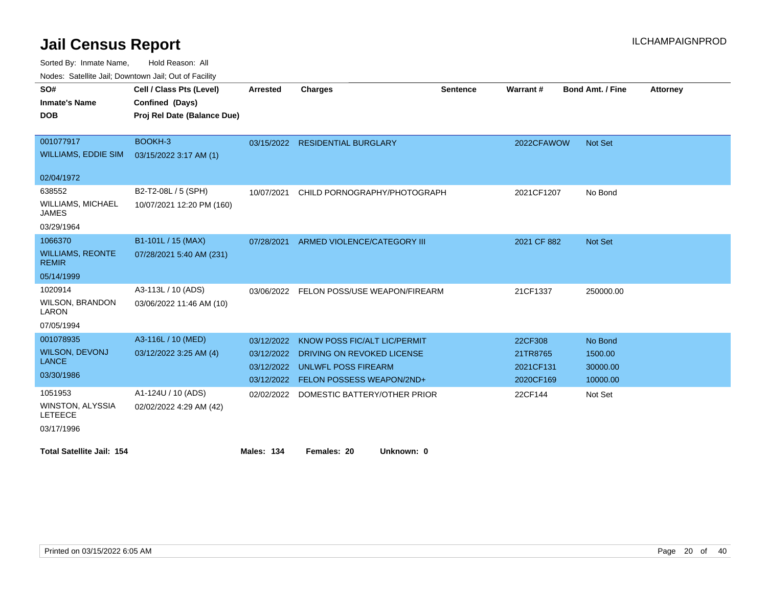Sorted By: Inmate Name, Hold Reason: All

Nodes: Satellite Jail; Downtown Jail; Out of Facility

| SO#                                      | Cell / Class Pts (Level)    | <b>Arrested</b> | <b>Charges</b>                           | <b>Sentence</b> | <b>Warrant#</b> | <b>Bond Amt. / Fine</b> | <b>Attorney</b> |
|------------------------------------------|-----------------------------|-----------------|------------------------------------------|-----------------|-----------------|-------------------------|-----------------|
| <b>Inmate's Name</b>                     | Confined (Days)             |                 |                                          |                 |                 |                         |                 |
| <b>DOB</b>                               | Proj Rel Date (Balance Due) |                 |                                          |                 |                 |                         |                 |
|                                          |                             |                 |                                          |                 |                 |                         |                 |
| 001077917                                | BOOKH-3                     |                 | 03/15/2022 RESIDENTIAL BURGLARY          |                 | 2022CFAWOW      | Not Set                 |                 |
| <b>WILLIAMS, EDDIE SIM</b>               | 03/15/2022 3:17 AM (1)      |                 |                                          |                 |                 |                         |                 |
|                                          |                             |                 |                                          |                 |                 |                         |                 |
| 02/04/1972                               |                             |                 |                                          |                 |                 |                         |                 |
| 638552                                   | B2-T2-08L / 5 (SPH)         | 10/07/2021      | CHILD PORNOGRAPHY/PHOTOGRAPH             |                 | 2021CF1207      | No Bond                 |                 |
| <b>WILLIAMS, MICHAEL</b><br><b>JAMES</b> | 10/07/2021 12:20 PM (160)   |                 |                                          |                 |                 |                         |                 |
| 03/29/1964                               |                             |                 |                                          |                 |                 |                         |                 |
| 1066370                                  | B1-101L / 15 (MAX)          | 07/28/2021      | ARMED VIOLENCE/CATEGORY III              |                 | 2021 CF 882     | Not Set                 |                 |
| <b>WILLIAMS, REONTE</b><br><b>REMIR</b>  | 07/28/2021 5:40 AM (231)    |                 |                                          |                 |                 |                         |                 |
| 05/14/1999                               |                             |                 |                                          |                 |                 |                         |                 |
| 1020914                                  | A3-113L / 10 (ADS)          |                 | 03/06/2022 FELON POSS/USE WEAPON/FIREARM |                 | 21CF1337        | 250000.00               |                 |
| <b>WILSON, BRANDON</b><br>LARON          | 03/06/2022 11:46 AM (10)    |                 |                                          |                 |                 |                         |                 |
| 07/05/1994                               |                             |                 |                                          |                 |                 |                         |                 |
| 001078935                                | A3-116L / 10 (MED)          | 03/12/2022      | KNOW POSS FIC/ALT LIC/PERMIT             |                 | 22CF308         | No Bond                 |                 |
| <b>WILSON, DEVONJ</b>                    | 03/12/2022 3:25 AM (4)      | 03/12/2022      | DRIVING ON REVOKED LICENSE               |                 | 21TR8765        | 1500.00                 |                 |
| <b>LANCE</b>                             |                             | 03/12/2022      | <b>UNLWFL POSS FIREARM</b>               |                 | 2021CF131       | 30000.00                |                 |
| 03/30/1986                               |                             | 03/12/2022      | FELON POSSESS WEAPON/2ND+                |                 | 2020CF169       | 10000.00                |                 |
| 1051953                                  | A1-124U / 10 (ADS)          | 02/02/2022      | DOMESTIC BATTERY/OTHER PRIOR             |                 | 22CF144         | Not Set                 |                 |
| WINSTON, ALYSSIA<br><b>LETEECE</b>       | 02/02/2022 4:29 AM (42)     |                 |                                          |                 |                 |                         |                 |
| 03/17/1996                               |                             |                 |                                          |                 |                 |                         |                 |
| <b>Total Satellite Jail: 154</b>         |                             | Males: 134      | Females: 20<br>Unknown: 0                |                 |                 |                         |                 |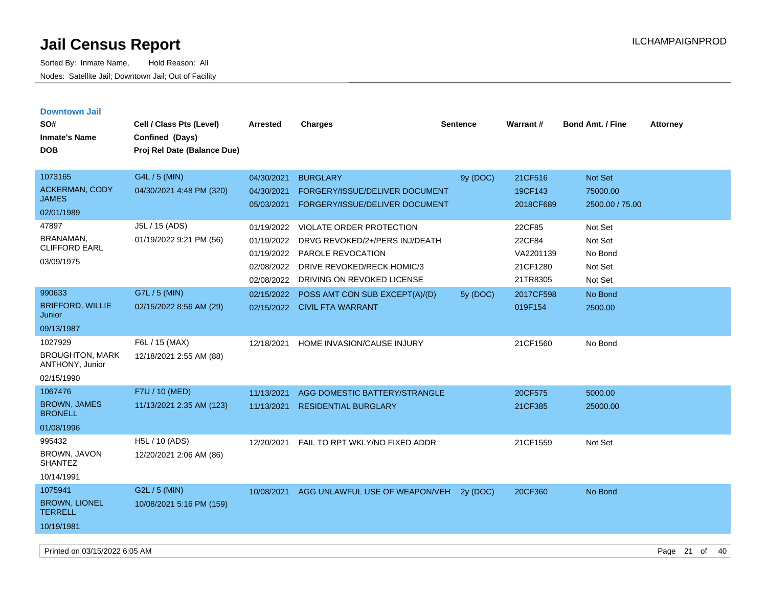| <b>Downtown Jail</b>                      |                             |            |                                                    |                 |           |                         |                 |
|-------------------------------------------|-----------------------------|------------|----------------------------------------------------|-----------------|-----------|-------------------------|-----------------|
| SO#                                       | Cell / Class Pts (Level)    | Arrested   | <b>Charges</b>                                     | <b>Sentence</b> | Warrant#  | <b>Bond Amt. / Fine</b> | <b>Attorney</b> |
| <b>Inmate's Name</b>                      | Confined (Days)             |            |                                                    |                 |           |                         |                 |
| <b>DOB</b>                                | Proj Rel Date (Balance Due) |            |                                                    |                 |           |                         |                 |
|                                           |                             |            |                                                    |                 |           |                         |                 |
| 1073165                                   | G4L / 5 (MIN)               | 04/30/2021 | <b>BURGLARY</b>                                    | 9y (DOC)        | 21CF516   | Not Set                 |                 |
| <b>ACKERMAN, CODY</b>                     | 04/30/2021 4:48 PM (320)    | 04/30/2021 | FORGERY/ISSUE/DELIVER DOCUMENT                     |                 | 19CF143   | 75000.00                |                 |
| <b>JAMES</b>                              |                             | 05/03/2021 | FORGERY/ISSUE/DELIVER DOCUMENT                     |                 | 2018CF689 | 2500.00 / 75.00         |                 |
| 02/01/1989                                |                             |            |                                                    |                 |           |                         |                 |
| 47897                                     | J5L / 15 (ADS)              | 01/19/2022 | VIOLATE ORDER PROTECTION                           |                 | 22CF85    | Not Set                 |                 |
| <b>BRANAMAN</b><br><b>CLIFFORD EARL</b>   | 01/19/2022 9:21 PM (56)     | 01/19/2022 | DRVG REVOKED/2+/PERS INJ/DEATH                     |                 | 22CF84    | Not Set                 |                 |
| 03/09/1975                                |                             | 01/19/2022 | PAROLE REVOCATION                                  |                 | VA2201139 | No Bond                 |                 |
|                                           |                             | 02/08/2022 | DRIVE REVOKED/RECK HOMIC/3                         |                 | 21CF1280  | Not Set                 |                 |
|                                           |                             | 02/08/2022 | DRIVING ON REVOKED LICENSE                         |                 | 21TR8305  | Not Set                 |                 |
| 990633                                    | G7L / 5 (MIN)               | 02/15/2022 | POSS AMT CON SUB EXCEPT(A)/(D)                     | 5y (DOC)        | 2017CF598 | No Bond                 |                 |
| <b>BRIFFORD, WILLIE</b><br>Junior         | 02/15/2022 8:56 AM (29)     |            | 02/15/2022 CIVIL FTA WARRANT                       |                 | 019F154   | 2500.00                 |                 |
| 09/13/1987                                |                             |            |                                                    |                 |           |                         |                 |
| 1027929                                   | F6L / 15 (MAX)              | 12/18/2021 | HOME INVASION/CAUSE INJURY                         |                 | 21CF1560  | No Bond                 |                 |
| <b>BROUGHTON, MARK</b><br>ANTHONY, Junior | 12/18/2021 2:55 AM (88)     |            |                                                    |                 |           |                         |                 |
| 02/15/1990                                |                             |            |                                                    |                 |           |                         |                 |
| 1067476                                   | F7U / 10 (MED)              | 11/13/2021 | AGG DOMESTIC BATTERY/STRANGLE                      |                 | 20CF575   | 5000.00                 |                 |
| <b>BROWN, JAMES</b><br><b>BRONELL</b>     | 11/13/2021 2:35 AM (123)    | 11/13/2021 | <b>RESIDENTIAL BURGLARY</b>                        |                 | 21CF385   | 25000.00                |                 |
| 01/08/1996                                |                             |            |                                                    |                 |           |                         |                 |
| 995432                                    | H5L / 10 (ADS)              | 12/20/2021 | FAIL TO RPT WKLY/NO FIXED ADDR                     |                 | 21CF1559  | Not Set                 |                 |
| <b>BROWN, JAVON</b><br><b>SHANTEZ</b>     | 12/20/2021 2:06 AM (86)     |            |                                                    |                 |           |                         |                 |
| 10/14/1991                                |                             |            |                                                    |                 |           |                         |                 |
| 1075941                                   | G2L / 5 (MIN)               |            | 10/08/2021 AGG UNLAWFUL USE OF WEAPON/VEH 2y (DOC) |                 | 20CF360   | No Bond                 |                 |
| <b>BROWN, LIONEL</b><br><b>TERRELL</b>    | 10/08/2021 5:16 PM (159)    |            |                                                    |                 |           |                         |                 |
| 10/19/1981                                |                             |            |                                                    |                 |           |                         |                 |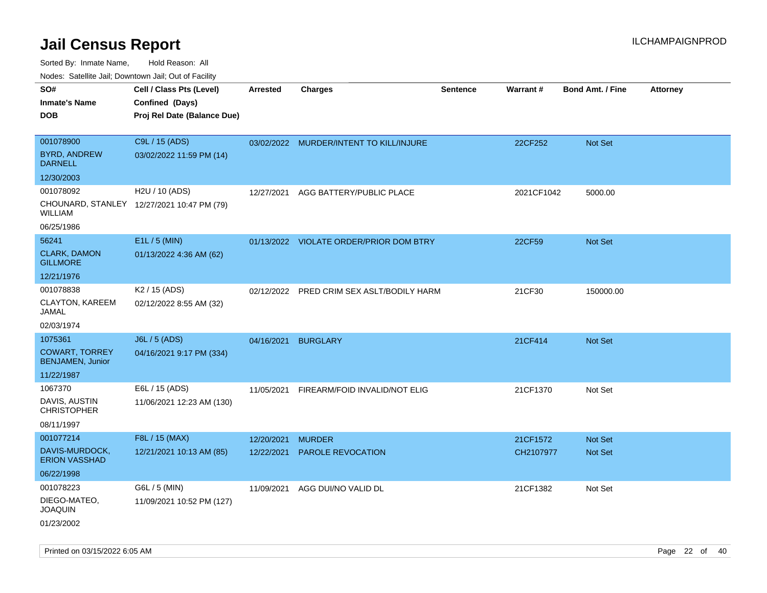Sorted By: Inmate Name, Hold Reason: All Nodes: Satellite Jail; Downtown Jail; Out of Facility

| rouco. Calcinic Jan, Downtown Jan, Out of Facility |                                            |                 |                                           |                 |                 |                         |                 |
|----------------------------------------------------|--------------------------------------------|-----------------|-------------------------------------------|-----------------|-----------------|-------------------------|-----------------|
| SO#                                                | Cell / Class Pts (Level)                   | <b>Arrested</b> | <b>Charges</b>                            | <b>Sentence</b> | <b>Warrant#</b> | <b>Bond Amt. / Fine</b> | <b>Attorney</b> |
| Inmate's Name                                      | Confined (Days)                            |                 |                                           |                 |                 |                         |                 |
| <b>DOB</b>                                         | Proj Rel Date (Balance Due)                |                 |                                           |                 |                 |                         |                 |
|                                                    |                                            |                 |                                           |                 |                 |                         |                 |
| 001078900                                          | C9L / 15 (ADS)                             |                 | 03/02/2022 MURDER/INTENT TO KILL/INJURE   |                 | 22CF252         | <b>Not Set</b>          |                 |
| <b>BYRD, ANDREW</b><br><b>DARNELL</b>              | 03/02/2022 11:59 PM (14)                   |                 |                                           |                 |                 |                         |                 |
| 12/30/2003                                         |                                            |                 |                                           |                 |                 |                         |                 |
| 001078092                                          | H2U / 10 (ADS)                             | 12/27/2021      | AGG BATTERY/PUBLIC PLACE                  |                 | 2021CF1042      | 5000.00                 |                 |
| WILLIAM                                            | CHOUNARD, STANLEY 12/27/2021 10:47 PM (79) |                 |                                           |                 |                 |                         |                 |
| 06/25/1986                                         |                                            |                 |                                           |                 |                 |                         |                 |
| 56241                                              | $E1L / 5$ (MIN)                            |                 | 01/13/2022 VIOLATE ORDER/PRIOR DOM BTRY   |                 | 22CF59          | <b>Not Set</b>          |                 |
| <b>CLARK, DAMON</b><br><b>GILLMORE</b>             | 01/13/2022 4:36 AM (62)                    |                 |                                           |                 |                 |                         |                 |
| 12/21/1976                                         |                                            |                 |                                           |                 |                 |                         |                 |
| 001078838                                          | K <sub>2</sub> / 15 (ADS)                  |                 | 02/12/2022 PRED CRIM SEX ASLT/BODILY HARM |                 | 21CF30          | 150000.00               |                 |
| CLAYTON, KAREEM<br>JAMAL                           | 02/12/2022 8:55 AM (32)                    |                 |                                           |                 |                 |                         |                 |
| 02/03/1974                                         |                                            |                 |                                           |                 |                 |                         |                 |
| 1075361                                            | <b>J6L / 5 (ADS)</b>                       | 04/16/2021      | <b>BURGLARY</b>                           |                 | 21CF414         | Not Set                 |                 |
| <b>COWART, TORREY</b><br><b>BENJAMEN, Junior</b>   | 04/16/2021 9:17 PM (334)                   |                 |                                           |                 |                 |                         |                 |
| 11/22/1987                                         |                                            |                 |                                           |                 |                 |                         |                 |
| 1067370                                            | E6L / 15 (ADS)                             | 11/05/2021      | FIREARM/FOID INVALID/NOT ELIG             |                 | 21CF1370        | Not Set                 |                 |
| DAVIS, AUSTIN<br>CHRISTOPHER                       | 11/06/2021 12:23 AM (130)                  |                 |                                           |                 |                 |                         |                 |
| 08/11/1997                                         |                                            |                 |                                           |                 |                 |                         |                 |
| 001077214                                          | F8L / 15 (MAX)                             | 12/20/2021      | <b>MURDER</b>                             |                 | 21CF1572        | <b>Not Set</b>          |                 |
| DAVIS-MURDOCK,<br><b>ERION VASSHAD</b>             | 12/21/2021 10:13 AM (85)                   | 12/22/2021      | <b>PAROLE REVOCATION</b>                  |                 | CH2107977       | Not Set                 |                 |
| 06/22/1998                                         |                                            |                 |                                           |                 |                 |                         |                 |
| 001078223                                          | G6L / 5 (MIN)                              | 11/09/2021      | AGG DUI/NO VALID DL                       |                 | 21CF1382        | Not Set                 |                 |
| DIEGO-MATEO,<br>JOAQUIN                            | 11/09/2021 10:52 PM (127)                  |                 |                                           |                 |                 |                         |                 |
| 01/23/2002                                         |                                            |                 |                                           |                 |                 |                         |                 |

Printed on 03/15/2022 6:05 AM Page 22 of 40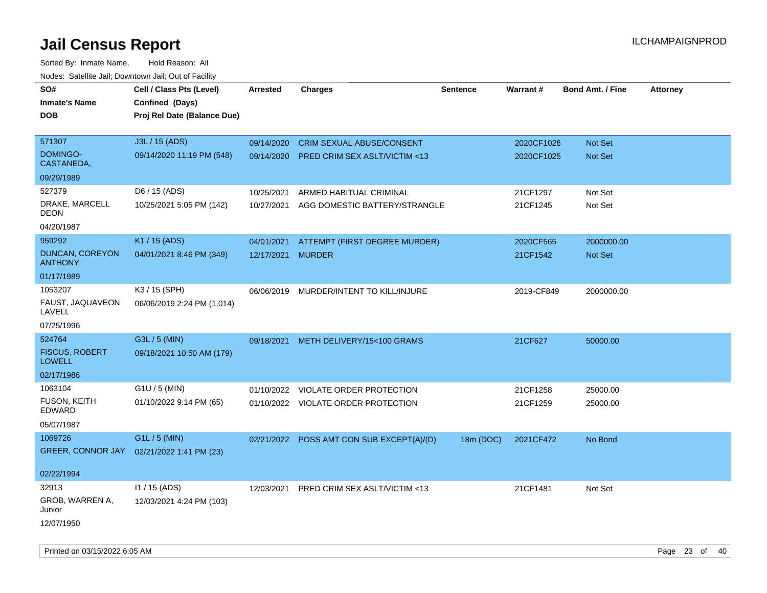Sorted By: Inmate Name, Hold Reason: All Nodes: Satellite Jail; Downtown Jail; Out of Facility

| roacs. Catellite Jall, Downtown Jall, Out of Facility |                             |                   |                                           |                 |            |                         |                 |
|-------------------------------------------------------|-----------------------------|-------------------|-------------------------------------------|-----------------|------------|-------------------------|-----------------|
| SO#                                                   | Cell / Class Pts (Level)    | <b>Arrested</b>   | <b>Charges</b>                            | <b>Sentence</b> | Warrant#   | <b>Bond Amt. / Fine</b> | <b>Attorney</b> |
| <b>Inmate's Name</b>                                  | Confined (Days)             |                   |                                           |                 |            |                         |                 |
| <b>DOB</b>                                            | Proj Rel Date (Balance Due) |                   |                                           |                 |            |                         |                 |
|                                                       |                             |                   |                                           |                 |            |                         |                 |
| 571307                                                | J3L / 15 (ADS)              | 09/14/2020        | <b>CRIM SEXUAL ABUSE/CONSENT</b>          |                 | 2020CF1026 | Not Set                 |                 |
| <b>DOMINGO-</b><br>CASTANEDA,                         | 09/14/2020 11:19 PM (548)   |                   | 09/14/2020 PRED CRIM SEX ASLT/VICTIM <13  |                 | 2020CF1025 | Not Set                 |                 |
| 09/29/1989                                            |                             |                   |                                           |                 |            |                         |                 |
| 527379                                                | D6 / 15 (ADS)               | 10/25/2021        | ARMED HABITUAL CRIMINAL                   |                 | 21CF1297   | Not Set                 |                 |
| DRAKE, MARCELL<br><b>DEON</b>                         | 10/25/2021 5:05 PM (142)    | 10/27/2021        | AGG DOMESTIC BATTERY/STRANGLE             |                 | 21CF1245   | Not Set                 |                 |
| 04/20/1987                                            |                             |                   |                                           |                 |            |                         |                 |
| 959292                                                | K1 / 15 (ADS)               | 04/01/2021        | ATTEMPT (FIRST DEGREE MURDER)             |                 | 2020CF565  | 2000000.00              |                 |
| <b>DUNCAN, COREYON</b><br><b>ANTHONY</b>              | 04/01/2021 8:46 PM (349)    | 12/17/2021 MURDER |                                           |                 | 21CF1542   | Not Set                 |                 |
| 01/17/1989                                            |                             |                   |                                           |                 |            |                         |                 |
| 1053207                                               | K3 / 15 (SPH)               |                   | 06/06/2019 MURDER/INTENT TO KILL/INJURE   |                 | 2019-CF849 | 2000000.00              |                 |
| FAUST, JAQUAVEON<br>LAVELL                            | 06/06/2019 2:24 PM (1,014)  |                   |                                           |                 |            |                         |                 |
| 07/25/1996                                            |                             |                   |                                           |                 |            |                         |                 |
| 524764                                                | G3L / 5 (MIN)               | 09/18/2021        | METH DELIVERY/15<100 GRAMS                |                 | 21CF627    | 50000.00                |                 |
| <b>FISCUS, ROBERT</b><br><b>LOWELL</b>                | 09/18/2021 10:50 AM (179)   |                   |                                           |                 |            |                         |                 |
| 02/17/1986                                            |                             |                   |                                           |                 |            |                         |                 |
| 1063104                                               | $G1U / 5$ (MIN)             | 01/10/2022        | VIOLATE ORDER PROTECTION                  |                 | 21CF1258   | 25000.00                |                 |
| <b>FUSON, KEITH</b><br><b>EDWARD</b>                  | 01/10/2022 9:14 PM (65)     |                   | 01/10/2022 VIOLATE ORDER PROTECTION       |                 | 21CF1259   | 25000.00                |                 |
| 05/07/1987                                            |                             |                   |                                           |                 |            |                         |                 |
| 1069726                                               | G1L / 5 (MIN)               |                   | 02/21/2022 POSS AMT CON SUB EXCEPT(A)/(D) | 18m (DOC)       | 2021CF472  | No Bond                 |                 |
| GREER, CONNOR JAY                                     | 02/21/2022 1:41 PM (23)     |                   |                                           |                 |            |                         |                 |
|                                                       |                             |                   |                                           |                 |            |                         |                 |
| 02/22/1994                                            |                             |                   |                                           |                 |            |                         |                 |
| 32913                                                 | $11 / 15$ (ADS)             |                   | 12/03/2021 PRED CRIM SEX ASLT/VICTIM <13  |                 | 21CF1481   | Not Set                 |                 |
| GROB, WARREN A,<br>Junior                             | 12/03/2021 4:24 PM (103)    |                   |                                           |                 |            |                         |                 |
| 12/07/1950                                            |                             |                   |                                           |                 |            |                         |                 |

Printed on 03/15/2022 6:05 AM Page 23 of 40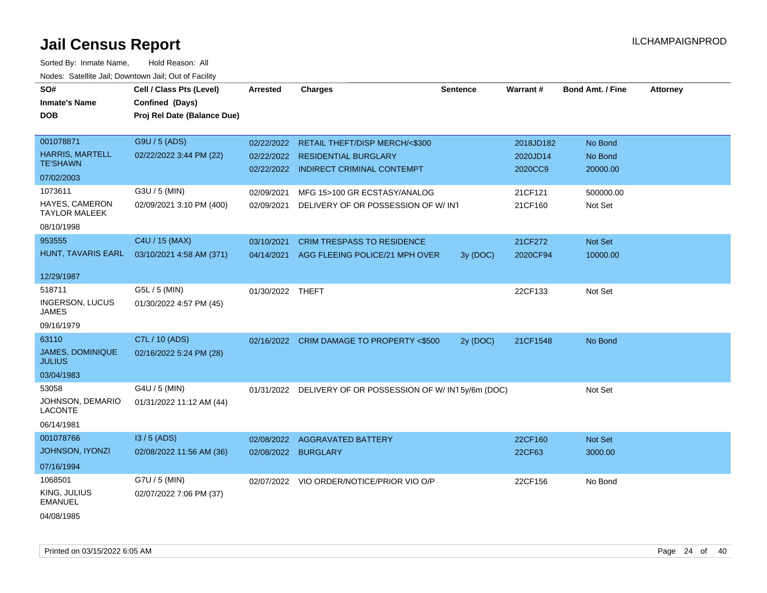| SO#<br><b>Inmate's Name</b><br><b>DOB</b>                              | Cell / Class Pts (Level)<br>Confined (Days)<br>Proj Rel Date (Balance Due) | <b>Arrested</b>                   | <b>Charges</b>                                                                                         | <b>Sentence</b> | Warrant#                         | <b>Bond Amt. / Fine</b>        | <b>Attorney</b> |
|------------------------------------------------------------------------|----------------------------------------------------------------------------|-----------------------------------|--------------------------------------------------------------------------------------------------------|-----------------|----------------------------------|--------------------------------|-----------------|
| 001078871<br><b>HARRIS, MARTELL</b><br><b>TE'SHAWN</b><br>07/02/2003   | G9U / 5 (ADS)<br>02/22/2022 3:44 PM (22)                                   | 02/22/2022<br>02/22/2022          | RETAIL THEFT/DISP MERCH/<\$300<br><b>RESIDENTIAL BURGLARY</b><br>02/22/2022 INDIRECT CRIMINAL CONTEMPT |                 | 2018JD182<br>2020JD14<br>2020CC9 | No Bond<br>No Bond<br>20000.00 |                 |
| 1073611<br><b>HAYES, CAMERON</b><br><b>TAYLOR MALEEK</b><br>08/10/1998 | G3U / 5 (MIN)<br>02/09/2021 3:10 PM (400)                                  | 02/09/2021<br>02/09/2021          | MFG 15>100 GR ECSTASY/ANALOG<br>DELIVERY OF OR POSSESSION OF W/INT                                     |                 | 21CF121<br>21CF160               | 500000.00<br>Not Set           |                 |
| 953555<br>HUNT, TAVARIS EARL<br>12/29/1987                             | C4U / 15 (MAX)<br>03/10/2021 4:58 AM (371)                                 | 03/10/2021<br>04/14/2021          | <b>CRIM TRESPASS TO RESIDENCE</b><br>AGG FLEEING POLICE/21 MPH OVER                                    | 3y (DOC)        | 21CF272<br>2020CF94              | Not Set<br>10000.00            |                 |
| 518711<br>INGERSON, LUCUS<br>JAMES<br>09/16/1979                       | G5L / 5 (MIN)<br>01/30/2022 4:57 PM (45)                                   | 01/30/2022 THEFT                  |                                                                                                        |                 | 22CF133                          | Not Set                        |                 |
| 63110<br><b>JAMES, DOMINIQUE</b><br><b>JULIUS</b><br>03/04/1983        | C7L / 10 (ADS)<br>02/16/2022 5:24 PM (28)                                  |                                   | 02/16/2022 CRIM DAMAGE TO PROPERTY <\$500                                                              | 2y (DOC)        | 21CF1548                         | No Bond                        |                 |
| 53058<br>JOHNSON, DEMARIO<br><b>LACONTE</b><br>06/14/1981              | G4U / 5 (MIN)<br>01/31/2022 11:12 AM (44)                                  |                                   | 01/31/2022 DELIVERY OF OR POSSESSION OF W/IN15y/6m (DOC)                                               |                 |                                  | Not Set                        |                 |
| 001078766<br>JOHNSON, IYONZI<br>07/16/1994                             | $13/5$ (ADS)<br>02/08/2022 11:56 AM (36)                                   | 02/08/2022<br>02/08/2022 BURGLARY | <b>AGGRAVATED BATTERY</b>                                                                              |                 | 22CF160<br>22CF63                | Not Set<br>3000.00             |                 |
| 1068501<br>KING, JULIUS<br><b>EMANUEL</b><br>04/08/1985                | G7U / 5 (MIN)<br>02/07/2022 7:06 PM (37)                                   |                                   | 02/07/2022 VIO ORDER/NOTICE/PRIOR VIO O/P                                                              |                 | 22CF156                          | No Bond                        |                 |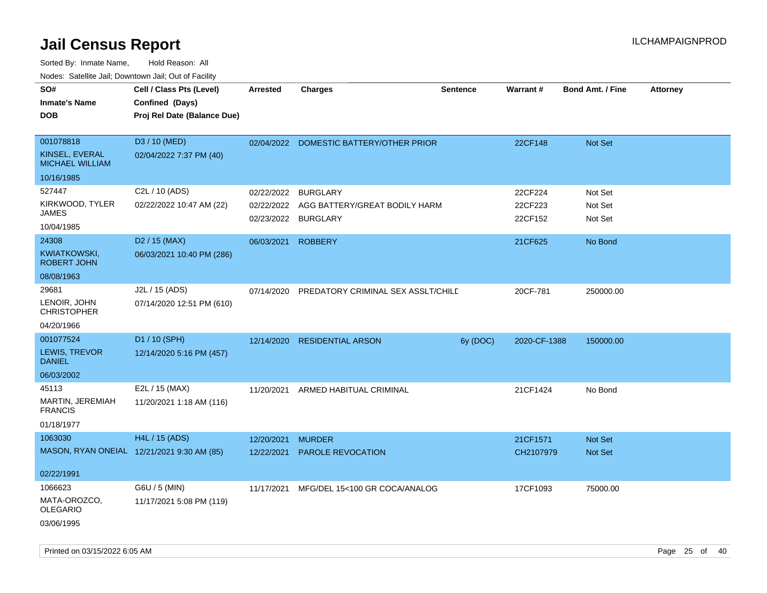| noaco. Catolino call, Domnomi call, Cat of Facilit<br>SO# | Cell / Class Pts (Level)    | <b>Arrested</b> | <b>Charges</b>                          | Sentence | Warrant#     | <b>Bond Amt. / Fine</b> | Attorney |
|-----------------------------------------------------------|-----------------------------|-----------------|-----------------------------------------|----------|--------------|-------------------------|----------|
| <b>Inmate's Name</b>                                      | Confined (Days)             |                 |                                         |          |              |                         |          |
| <b>DOB</b>                                                | Proj Rel Date (Balance Due) |                 |                                         |          |              |                         |          |
|                                                           |                             |                 |                                         |          |              |                         |          |
| 001078818                                                 | D3 / 10 (MED)               |                 | 02/04/2022 DOMESTIC BATTERY/OTHER PRIOR |          | 22CF148      | Not Set                 |          |
| KINSEL, EVERAL<br><b>MICHAEL WILLIAM</b>                  | 02/04/2022 7:37 PM (40)     |                 |                                         |          |              |                         |          |
| 10/16/1985                                                |                             |                 |                                         |          |              |                         |          |
| 527447                                                    | C2L / 10 (ADS)              | 02/22/2022      | <b>BURGLARY</b>                         |          | 22CF224      | Not Set                 |          |
| KIRKWOOD, TYLER                                           | 02/22/2022 10:47 AM (22)    | 02/22/2022      | AGG BATTERY/GREAT BODILY HARM           |          | 22CF223      | Not Set                 |          |
| JAMES<br>10/04/1985                                       |                             | 02/23/2022      | <b>BURGLARY</b>                         |          | 22CF152      | Not Set                 |          |
| 24308                                                     | D <sub>2</sub> / 15 (MAX)   | 06/03/2021      | <b>ROBBERY</b>                          |          | 21CF625      | No Bond                 |          |
| KWIATKOWSKI,                                              | 06/03/2021 10:40 PM (286)   |                 |                                         |          |              |                         |          |
| <b>ROBERT JOHN</b>                                        |                             |                 |                                         |          |              |                         |          |
| 08/08/1963                                                |                             |                 |                                         |          |              |                         |          |
| 29681                                                     | J2L / 15 (ADS)              | 07/14/2020      | PREDATORY CRIMINAL SEX ASSLT/CHILD      |          | 20CF-781     | 250000.00               |          |
| LENOIR, JOHN<br><b>CHRISTOPHER</b>                        | 07/14/2020 12:51 PM (610)   |                 |                                         |          |              |                         |          |
| 04/20/1966                                                |                             |                 |                                         |          |              |                         |          |
| 001077524                                                 | D1 / 10 (SPH)               |                 | 12/14/2020 RESIDENTIAL ARSON            | 6y (DOC) | 2020-CF-1388 | 150000.00               |          |
| LEWIS, TREVOR<br><b>DANIEL</b>                            | 12/14/2020 5:16 PM (457)    |                 |                                         |          |              |                         |          |
| 06/03/2002                                                |                             |                 |                                         |          |              |                         |          |
| 45113                                                     | E2L / 15 (MAX)              | 11/20/2021      | ARMED HABITUAL CRIMINAL                 |          | 21CF1424     | No Bond                 |          |
| MARTIN, JEREMIAH<br><b>FRANCIS</b>                        | 11/20/2021 1:18 AM (116)    |                 |                                         |          |              |                         |          |
| 01/18/1977                                                |                             |                 |                                         |          |              |                         |          |
| 1063030                                                   | H4L / 15 (ADS)              | 12/20/2021      | <b>MURDER</b>                           |          | 21CF1571     | <b>Not Set</b>          |          |
| MASON, RYAN ONEIAL 12/21/2021 9:30 AM (85)                |                             | 12/22/2021      | PAROLE REVOCATION                       |          | CH2107979    | Not Set                 |          |
| 02/22/1991                                                |                             |                 |                                         |          |              |                         |          |
| 1066623                                                   | G6U / 5 (MIN)               | 11/17/2021      | MFG/DEL 15<100 GR COCA/ANALOG           |          | 17CF1093     | 75000.00                |          |
| MATA-OROZCO.<br><b>OLEGARIO</b>                           | 11/17/2021 5:08 PM (119)    |                 |                                         |          |              |                         |          |
| 03/06/1995                                                |                             |                 |                                         |          |              |                         |          |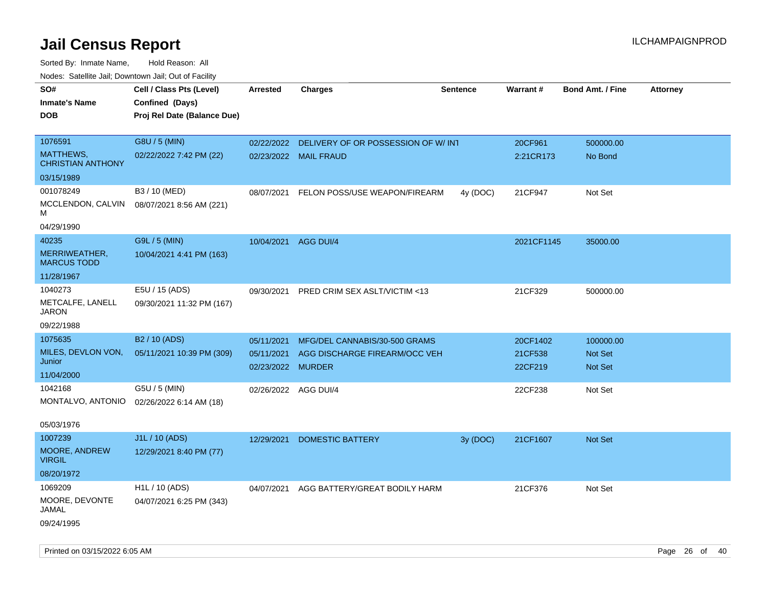Sorted By: Inmate Name, Hold Reason: All Nodes: Satellite Jail; Downtown Jail; Out of Facility

| <b>NOULD:</b> Catoline bail, Downtown bail, Out of I dollty                                         |                                                                                                    |                                                                       |                                                                |                 |                                           |                                            |                 |
|-----------------------------------------------------------------------------------------------------|----------------------------------------------------------------------------------------------------|-----------------------------------------------------------------------|----------------------------------------------------------------|-----------------|-------------------------------------------|--------------------------------------------|-----------------|
| SO#<br><b>Inmate's Name</b><br><b>DOB</b>                                                           | Cell / Class Pts (Level)<br>Confined (Days)<br>Proj Rel Date (Balance Due)                         | Arrested                                                              | <b>Charges</b>                                                 | <b>Sentence</b> | Warrant#                                  | <b>Bond Amt. / Fine</b>                    | <b>Attorney</b> |
| 1076591<br>MATTHEWS,<br><b>CHRISTIAN ANTHONY</b><br>03/15/1989                                      | G8U / 5 (MIN)<br>02/22/2022 7:42 PM (22)                                                           | 02/22/2022                                                            | DELIVERY OF OR POSSESSION OF W/ INT<br>02/23/2022 MAIL FRAUD   |                 | 20CF961<br>2:21CR173                      | 500000.00<br>No Bond                       |                 |
| 001078249<br>MCCLENDON, CALVIN<br>м<br>04/29/1990                                                   | B3 / 10 (MED)<br>08/07/2021 8:56 AM (221)                                                          | 08/07/2021                                                            | FELON POSS/USE WEAPON/FIREARM                                  | 4y (DOC)        | 21CF947                                   | Not Set                                    |                 |
| 40235<br>MERRIWEATHER,<br><b>MARCUS TODD</b><br>11/28/1967                                          | G9L / 5 (MIN)<br>10/04/2021 4:41 PM (163)                                                          | 10/04/2021                                                            | AGG DUI/4                                                      |                 | 2021CF1145                                | 35000.00                                   |                 |
| 1040273<br>METCALFE, LANELL<br><b>JARON</b><br>09/22/1988                                           | E5U / 15 (ADS)<br>09/30/2021 11:32 PM (167)                                                        | 09/30/2021                                                            | PRED CRIM SEX ASLT/VICTIM <13                                  |                 | 21CF329                                   | 500000.00                                  |                 |
| 1075635<br>MILES, DEVLON VON,<br>Junior<br>11/04/2000<br>1042168<br>MONTALVO, ANTONIO<br>05/03/1976 | B <sub>2</sub> / 10 (ADS)<br>05/11/2021 10:39 PM (309)<br>G5U / 5 (MIN)<br>02/26/2022 6:14 AM (18) | 05/11/2021<br>05/11/2021<br>02/23/2022 MURDER<br>02/26/2022 AGG DUI/4 | MFG/DEL CANNABIS/30-500 GRAMS<br>AGG DISCHARGE FIREARM/OCC VEH |                 | 20CF1402<br>21CF538<br>22CF219<br>22CF238 | 100000.00<br>Not Set<br>Not Set<br>Not Set |                 |
| 1007239<br>MOORE, ANDREW<br><b>VIRGIL</b><br>08/20/1972                                             | J1L / 10 (ADS)<br>12/29/2021 8:40 PM (77)                                                          | 12/29/2021                                                            | <b>DOMESTIC BATTERY</b>                                        | 3y (DOC)        | 21CF1607                                  | Not Set                                    |                 |
| 1069209<br>MOORE, DEVONTE<br>JAMAL<br>09/24/1995                                                    | H <sub>1</sub> L / 10 (ADS)<br>04/07/2021 6:25 PM (343)                                            | 04/07/2021                                                            | AGG BATTERY/GREAT BODILY HARM                                  |                 | 21CF376                                   | Not Set                                    |                 |

Printed on 03/15/2022 6:05 AM Page 26 of 40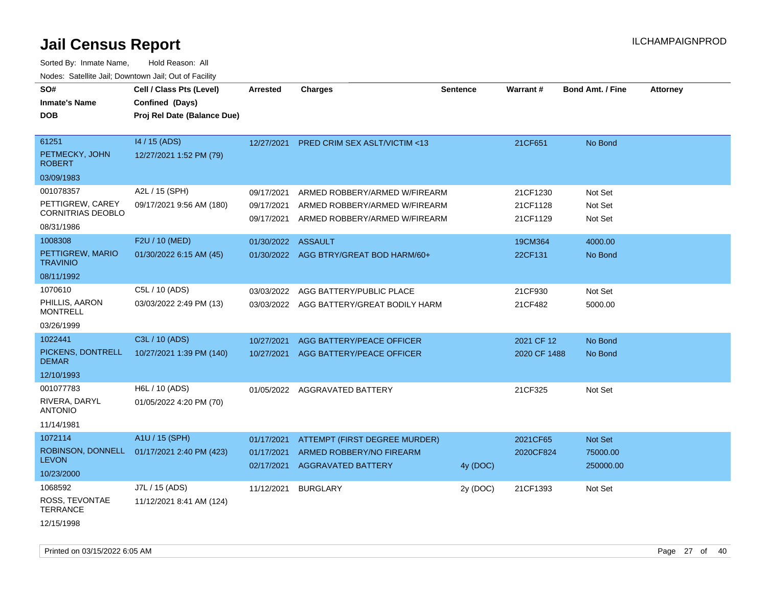| SO#<br><b>Inmate's Name</b><br><b>DOB</b>                        | Cell / Class Pts (Level)<br>Confined (Days)<br>Proj Rel Date (Balance Due) | <b>Arrested</b>                        | <b>Charges</b>                                                                                  | <b>Sentence</b> | Warrant#                         | <b>Bond Amt. / Fine</b>          | <b>Attorney</b> |
|------------------------------------------------------------------|----------------------------------------------------------------------------|----------------------------------------|-------------------------------------------------------------------------------------------------|-----------------|----------------------------------|----------------------------------|-----------------|
| 61251<br>PETMECKY, JOHN<br><b>ROBERT</b><br>03/09/1983           | 14 / 15 (ADS)<br>12/27/2021 1:52 PM (79)                                   | 12/27/2021                             | PRED CRIM SEX ASLT/VICTIM <13                                                                   |                 | 21CF651                          | No Bond                          |                 |
| 001078357<br>PETTIGREW, CAREY<br>CORNITRIAS DEOBLO<br>08/31/1986 | A2L / 15 (SPH)<br>09/17/2021 9:56 AM (180)                                 | 09/17/2021<br>09/17/2021<br>09/17/2021 | ARMED ROBBERY/ARMED W/FIREARM<br>ARMED ROBBERY/ARMED W/FIREARM<br>ARMED ROBBERY/ARMED W/FIREARM |                 | 21CF1230<br>21CF1128<br>21CF1129 | Not Set<br>Not Set<br>Not Set    |                 |
| 1008308<br>PETTIGREW, MARIO<br><b>TRAVINIO</b><br>08/11/1992     | F2U / 10 (MED)<br>01/30/2022 6:15 AM (45)                                  | 01/30/2022 ASSAULT                     | 01/30/2022 AGG BTRY/GREAT BOD HARM/60+                                                          |                 | 19CM364<br>22CF131               | 4000.00<br>No Bond               |                 |
| 1070610<br>PHILLIS, AARON<br><b>MONTRELL</b><br>03/26/1999       | C5L / 10 (ADS)<br>03/03/2022 2:49 PM (13)                                  | 03/03/2022                             | AGG BATTERY/PUBLIC PLACE<br>03/03/2022 AGG BATTERY/GREAT BODILY HARM                            |                 | 21CF930<br>21CF482               | Not Set<br>5000.00               |                 |
| 1022441<br>PICKENS, DONTRELL<br><b>DEMAR</b><br>12/10/1993       | C3L / 10 (ADS)<br>10/27/2021 1:39 PM (140)                                 | 10/27/2021<br>10/27/2021               | AGG BATTERY/PEACE OFFICER<br>AGG BATTERY/PEACE OFFICER                                          |                 | 2021 CF 12<br>2020 CF 1488       | No Bond<br>No Bond               |                 |
| 001077783<br>RIVERA, DARYL<br><b>ANTONIO</b><br>11/14/1981       | H6L / 10 (ADS)<br>01/05/2022 4:20 PM (70)                                  |                                        | 01/05/2022 AGGRAVATED BATTERY                                                                   |                 | 21CF325                          | Not Set                          |                 |
| 1072114<br>ROBINSON, DONNELL<br><b>LEVON</b><br>10/23/2000       | A1U / 15 (SPH)<br>01/17/2021 2:40 PM (423)                                 | 01/17/2021<br>01/17/2021<br>02/17/2021 | ATTEMPT (FIRST DEGREE MURDER)<br>ARMED ROBBERY/NO FIREARM<br>AGGRAVATED BATTERY                 | 4y (DOC)        | 2021CF65<br>2020CF824            | Not Set<br>75000.00<br>250000.00 |                 |
| 1068592<br>ROSS, TEVONTAE<br><b>TERRANCE</b><br>12/15/1998       | J7L / 15 (ADS)<br>11/12/2021 8:41 AM (124)                                 | 11/12/2021                             | <b>BURGLARY</b>                                                                                 | 2y (DOC)        | 21CF1393                         | Not Set                          |                 |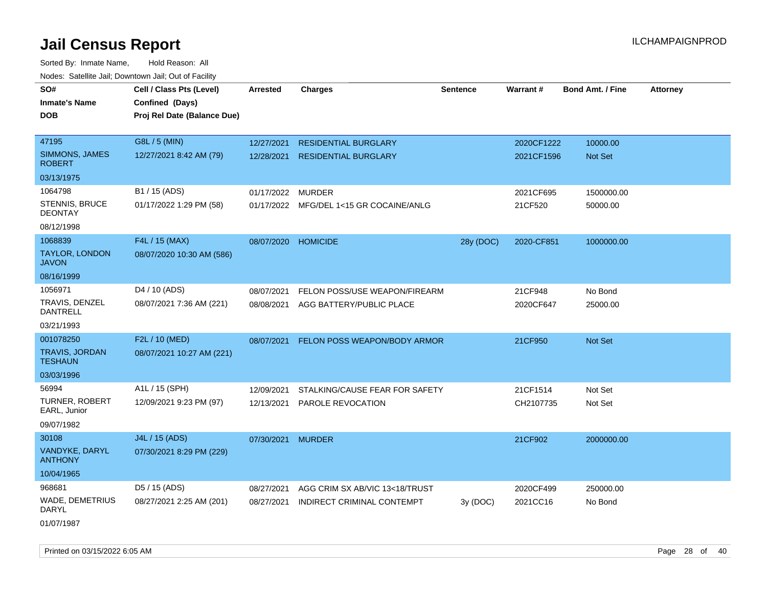| rougs. Calcing Jan, Downtown Jan, Out of Facinty |                                             |                     |                                         |                 |            |                         |                 |
|--------------------------------------------------|---------------------------------------------|---------------------|-----------------------------------------|-----------------|------------|-------------------------|-----------------|
| SO#<br><b>Inmate's Name</b>                      | Cell / Class Pts (Level)<br>Confined (Days) | <b>Arrested</b>     | <b>Charges</b>                          | <b>Sentence</b> | Warrant#   | <b>Bond Amt. / Fine</b> | <b>Attorney</b> |
| <b>DOB</b>                                       | Proj Rel Date (Balance Due)                 |                     |                                         |                 |            |                         |                 |
| 47195                                            | G8L / 5 (MIN)                               | 12/27/2021          | <b>RESIDENTIAL BURGLARY</b>             |                 | 2020CF1222 | 10000.00                |                 |
| SIMMONS, JAMES<br><b>ROBERT</b>                  | 12/27/2021 8:42 AM (79)                     | 12/28/2021          | <b>RESIDENTIAL BURGLARY</b>             |                 | 2021CF1596 | Not Set                 |                 |
| 03/13/1975                                       |                                             |                     |                                         |                 |            |                         |                 |
| 1064798                                          | B1 / 15 (ADS)                               | 01/17/2022          | <b>MURDER</b>                           |                 | 2021CF695  | 1500000.00              |                 |
| STENNIS, BRUCE<br><b>DEONTAY</b>                 | 01/17/2022 1:29 PM (58)                     |                     | 01/17/2022 MFG/DEL 1<15 GR COCAINE/ANLG |                 | 21CF520    | 50000.00                |                 |
| 08/12/1998                                       |                                             |                     |                                         |                 |            |                         |                 |
| 1068839                                          | F4L / 15 (MAX)                              | 08/07/2020 HOMICIDE |                                         | 28y (DOC)       | 2020-CF851 | 1000000.00              |                 |
| <b>TAYLOR, LONDON</b><br><b>JAVON</b>            | 08/07/2020 10:30 AM (586)                   |                     |                                         |                 |            |                         |                 |
| 08/16/1999                                       |                                             |                     |                                         |                 |            |                         |                 |
| 1056971                                          | D4 / 10 (ADS)                               | 08/07/2021          | FELON POSS/USE WEAPON/FIREARM           |                 | 21CF948    | No Bond                 |                 |
| TRAVIS, DENZEL<br><b>DANTRELL</b>                | 08/07/2021 7:36 AM (221)                    |                     | 08/08/2021 AGG BATTERY/PUBLIC PLACE     |                 | 2020CF647  | 25000.00                |                 |
| 03/21/1993                                       |                                             |                     |                                         |                 |            |                         |                 |
| 001078250                                        | F2L / 10 (MED)                              |                     | 08/07/2021 FELON POSS WEAPON/BODY ARMOR |                 | 21CF950    | Not Set                 |                 |
| <b>TRAVIS, JORDAN</b><br><b>TESHAUN</b>          | 08/07/2021 10:27 AM (221)                   |                     |                                         |                 |            |                         |                 |
| 03/03/1996                                       |                                             |                     |                                         |                 |            |                         |                 |
| 56994                                            | A1L / 15 (SPH)                              | 12/09/2021          | STALKING/CAUSE FEAR FOR SAFETY          |                 | 21CF1514   | Not Set                 |                 |
| TURNER, ROBERT<br>EARL, Junior                   | 12/09/2021 9:23 PM (97)                     | 12/13/2021          | PAROLE REVOCATION                       |                 | CH2107735  | Not Set                 |                 |
| 09/07/1982                                       |                                             |                     |                                         |                 |            |                         |                 |
| 30108                                            | J4L / 15 (ADS)                              | 07/30/2021 MURDER   |                                         |                 | 21CF902    | 2000000.00              |                 |
| VANDYKE, DARYL<br><b>ANTHONY</b>                 | 07/30/2021 8:29 PM (229)                    |                     |                                         |                 |            |                         |                 |
| 10/04/1965                                       |                                             |                     |                                         |                 |            |                         |                 |
| 968681                                           | D5 / 15 (ADS)                               | 08/27/2021          | AGG CRIM SX AB/VIC 13<18/TRUST          |                 | 2020CF499  | 250000.00               |                 |
| <b>WADE, DEMETRIUS</b><br>DARYL                  | 08/27/2021 2:25 AM (201)                    | 08/27/2021          | INDIRECT CRIMINAL CONTEMPT              | 3y (DOC)        | 2021CC16   | No Bond                 |                 |
| 01/07/1987                                       |                                             |                     |                                         |                 |            |                         |                 |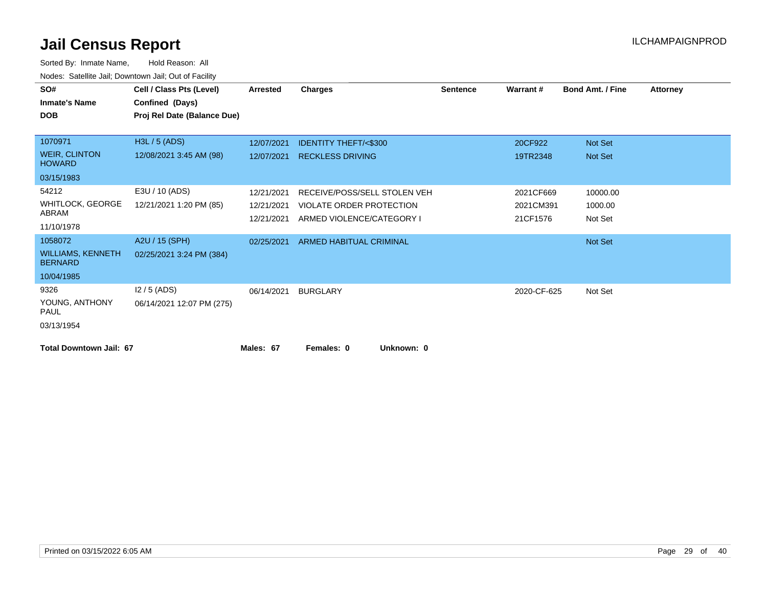| SO#                                        | Cell / Class Pts (Level)    | <b>Arrested</b> | Charges                         | <b>Sentence</b> | Warrant#    | <b>Bond Amt. / Fine</b> | <b>Attorney</b> |
|--------------------------------------------|-----------------------------|-----------------|---------------------------------|-----------------|-------------|-------------------------|-----------------|
| <b>Inmate's Name</b>                       | Confined (Days)             |                 |                                 |                 |             |                         |                 |
| <b>DOB</b>                                 | Proj Rel Date (Balance Due) |                 |                                 |                 |             |                         |                 |
|                                            |                             |                 |                                 |                 |             |                         |                 |
| 1070971                                    | H3L / 5 (ADS)               | 12/07/2021      | <b>IDENTITY THEFT/&lt;\$300</b> |                 | 20CF922     | Not Set                 |                 |
| <b>WEIR, CLINTON</b><br><b>HOWARD</b>      | 12/08/2021 3:45 AM (98)     | 12/07/2021      | <b>RECKLESS DRIVING</b>         |                 | 19TR2348    | Not Set                 |                 |
| 03/15/1983                                 |                             |                 |                                 |                 |             |                         |                 |
| 54212                                      | E3U / 10 (ADS)              | 12/21/2021      | RECEIVE/POSS/SELL STOLEN VEH    |                 | 2021CF669   | 10000.00                |                 |
| <b>WHITLOCK, GEORGE</b>                    | 12/21/2021 1:20 PM (85)     | 12/21/2021      | VIOLATE ORDER PROTECTION        |                 | 2021CM391   | 1000.00                 |                 |
| ABRAM                                      |                             | 12/21/2021      | ARMED VIOLENCE/CATEGORY I       |                 | 21CF1576    | Not Set                 |                 |
| 11/10/1978                                 |                             |                 |                                 |                 |             |                         |                 |
| 1058072                                    | A2U / 15 (SPH)              | 02/25/2021      | <b>ARMED HABITUAL CRIMINAL</b>  |                 |             | Not Set                 |                 |
| <b>WILLIAMS, KENNETH</b><br><b>BERNARD</b> | 02/25/2021 3:24 PM (384)    |                 |                                 |                 |             |                         |                 |
| 10/04/1985                                 |                             |                 |                                 |                 |             |                         |                 |
| 9326                                       | $12/5$ (ADS)                | 06/14/2021      | <b>BURGLARY</b>                 |                 | 2020-CF-625 | Not Set                 |                 |
| YOUNG, ANTHONY<br><b>PAUL</b>              | 06/14/2021 12:07 PM (275)   |                 |                                 |                 |             |                         |                 |
| 03/13/1954                                 |                             |                 |                                 |                 |             |                         |                 |
| <b>Total Downtown Jail: 67</b>             |                             | Males: 67       | Females: 0<br>Unknown: 0        |                 |             |                         |                 |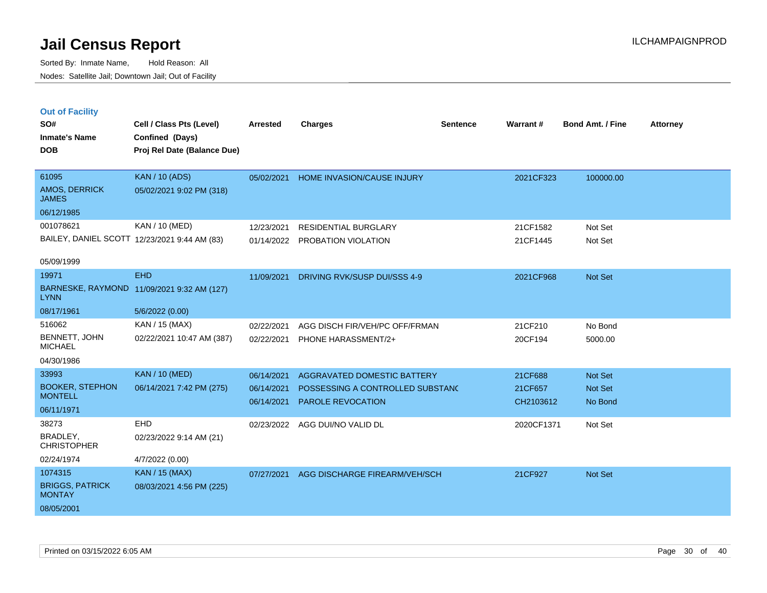Sorted By: Inmate Name, Hold Reason: All Nodes: Satellite Jail; Downtown Jail; Out of Facility

| <b>Out of Facility</b> |                          |                 |         |          |          |                         |                 |
|------------------------|--------------------------|-----------------|---------|----------|----------|-------------------------|-----------------|
| SO#                    | Cell / Class Pts (Level) | <b>Arrested</b> | Charges | Sentence | Warrant# | <b>Bond Amt. / Fine</b> | <b>Attorney</b> |
| <b>Inmate's Name</b>   | Confined (Days)          |                 |         |          |          |                         |                 |

**DOB Proj Rel Date (Balance Due)**

| 61095                                        | <b>KAN</b> / 10 (ADS)    | 05/02/2021 | <b>HOME INVASION/CAUSE INJURY</b> | 2021CF323 | 100000.00 |
|----------------------------------------------|--------------------------|------------|-----------------------------------|-----------|-----------|
| <b>AMOS, DERRICK</b><br><b>JAMES</b>         | 05/02/2021 9:02 PM (318) |            |                                   |           |           |
| 06/12/1985                                   |                          |            |                                   |           |           |
| 001078621                                    | KAN / 10 (MED)           | 12/23/2021 | <b>RESIDENTIAL BURGLARY</b>       | 21CF1582  | Not Set   |
| BAILEY, DANIEL SCOTT 12/23/2021 9:44 AM (83) |                          | 01/14/2022 | PROBATION VIOLATION               | 21CF1445  | Not Set   |
| 05/09/1999                                   |                          |            |                                   |           |           |
| 19971                                        | <b>EHD</b>               | 11/09/2021 | DRIVING RVK/SUSP DUI/SSS 4-9      | 2021CF968 | Not Set   |
| <b>BARNESKE, RAYMOND</b><br><b>LYNN</b>      | 11/09/2021 9:32 AM (127) |            |                                   |           |           |

| 08/17/1961                | 5/6/2022 (0.00)           |            |                                |         |         |
|---------------------------|---------------------------|------------|--------------------------------|---------|---------|
| 516062                    | KAN / 15 (MAX)            | 02/22/2021 | AGG DISCH FIR/VEH/PC OFF/FRMAN | 21CF210 | No Bond |
| BENNETT, JOHN<br>MICHAEL  | 02/22/2021 10:47 AM (387) | 02/22/2021 | <b>PHONE HARASSMENT/2+</b>     | 20CF194 | 5000.00 |
| 04/30/1986                |                           |            |                                |         |         |
| 33993                     | KAN / 10 (MED)            | 06/14/2021 | AGGRAVATED DOMESTIC BATTERY    | 21CF688 | Not Set |
| $R = 2.1777$ $R = 2.1771$ |                           |            |                                |         |         |

| <b>BOOKER, STEPHON</b><br><b>MONTELL</b> | 06/14/2021 7:42 PM (275) | 06/14/2021<br>06/14/2021 | POSSESSING A CONTROLLED SUBSTANC<br><b>PAROLE REVOCATION</b> | 21CF657<br>CH2103612 | Not Set<br>No Bond |
|------------------------------------------|--------------------------|--------------------------|--------------------------------------------------------------|----------------------|--------------------|
| 06/11/1971                               |                          |                          |                                                              |                      |                    |
| 38273                                    | <b>EHD</b>               | 02/23/2022               | AGG DUI/NO VALID DL                                          | 2020CF1371           | Not Set            |
| BRADLEY,<br><b>CHRISTOPHER</b>           | 02/23/2022 9:14 AM (21)  |                          |                                                              |                      |                    |
| 02/24/1974                               | 4/7/2022 (0.00)          |                          |                                                              |                      |                    |
| 1074315                                  | <b>KAN</b> / 15 (MAX)    | 07/27/2021               | AGG DISCHARGE FIREARM/VEH/SCH                                | 21CF927              | Not Set            |
| <b>BRIGGS, PATRICK</b><br><b>MONTAY</b>  | 08/03/2021 4:56 PM (225) |                          |                                                              |                      |                    |
| 08/05/2001                               |                          |                          |                                                              |                      |                    |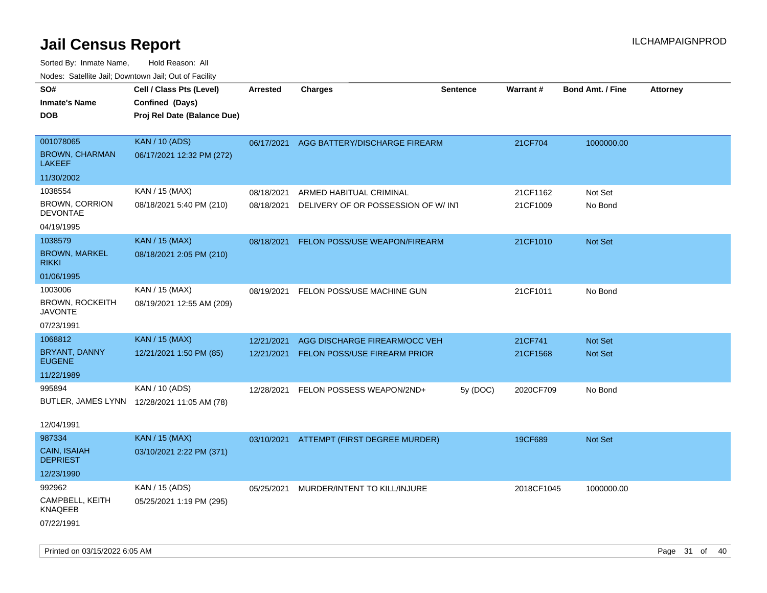| ivouss. Satellite Jali, Downtown Jali, Out of Facility |                                             |                 |                                          |                 |            |                         |                 |
|--------------------------------------------------------|---------------------------------------------|-----------------|------------------------------------------|-----------------|------------|-------------------------|-----------------|
| SO#                                                    | Cell / Class Pts (Level)                    | <b>Arrested</b> | <b>Charges</b>                           | <b>Sentence</b> | Warrant#   | <b>Bond Amt. / Fine</b> | <b>Attorney</b> |
| <b>Inmate's Name</b>                                   | Confined (Days)                             |                 |                                          |                 |            |                         |                 |
| <b>DOB</b>                                             | Proj Rel Date (Balance Due)                 |                 |                                          |                 |            |                         |                 |
|                                                        |                                             |                 |                                          |                 |            |                         |                 |
| 001078065                                              | <b>KAN / 10 (ADS)</b>                       |                 | 06/17/2021 AGG BATTERY/DISCHARGE FIREARM |                 | 21CF704    | 1000000.00              |                 |
| <b>BROWN, CHARMAN</b><br>LAKEEF                        | 06/17/2021 12:32 PM (272)                   |                 |                                          |                 |            |                         |                 |
| 11/30/2002                                             |                                             |                 |                                          |                 |            |                         |                 |
| 1038554                                                | KAN / 15 (MAX)                              | 08/18/2021      | ARMED HABITUAL CRIMINAL                  |                 | 21CF1162   | Not Set                 |                 |
| <b>BROWN, CORRION</b><br><b>DEVONTAE</b>               | 08/18/2021 5:40 PM (210)                    | 08/18/2021      | DELIVERY OF OR POSSESSION OF W/INT       |                 | 21CF1009   | No Bond                 |                 |
| 04/19/1995                                             |                                             |                 |                                          |                 |            |                         |                 |
| 1038579                                                | <b>KAN / 15 (MAX)</b>                       | 08/18/2021      | FELON POSS/USE WEAPON/FIREARM            |                 | 21CF1010   | <b>Not Set</b>          |                 |
| <b>BROWN, MARKEL</b><br>rikki                          | 08/18/2021 2:05 PM (210)                    |                 |                                          |                 |            |                         |                 |
| 01/06/1995                                             |                                             |                 |                                          |                 |            |                         |                 |
| 1003006                                                | KAN / 15 (MAX)                              | 08/19/2021      | FELON POSS/USE MACHINE GUN               |                 | 21CF1011   | No Bond                 |                 |
| BROWN, ROCKEITH<br>JAVONTE                             | 08/19/2021 12:55 AM (209)                   |                 |                                          |                 |            |                         |                 |
| 07/23/1991                                             |                                             |                 |                                          |                 |            |                         |                 |
| 1068812                                                | <b>KAN / 15 (MAX)</b>                       | 12/21/2021      | AGG DISCHARGE FIREARM/OCC VEH            |                 | 21CF741    | Not Set                 |                 |
| BRYANT, DANNY<br><b>EUGENE</b>                         | 12/21/2021 1:50 PM (85)                     | 12/21/2021      | FELON POSS/USE FIREARM PRIOR             |                 | 21CF1568   | <b>Not Set</b>          |                 |
| 11/22/1989                                             |                                             |                 |                                          |                 |            |                         |                 |
| 995894                                                 | KAN / 10 (ADS)                              | 12/28/2021      | FELON POSSESS WEAPON/2ND+                | 5y (DOC)        | 2020CF709  | No Bond                 |                 |
|                                                        | BUTLER, JAMES LYNN 12/28/2021 11:05 AM (78) |                 |                                          |                 |            |                         |                 |
|                                                        |                                             |                 |                                          |                 |            |                         |                 |
| 12/04/1991                                             |                                             |                 |                                          |                 |            |                         |                 |
| 987334                                                 | <b>KAN / 15 (MAX)</b>                       |                 | 03/10/2021 ATTEMPT (FIRST DEGREE MURDER) |                 | 19CF689    | Not Set                 |                 |
| CAIN, ISAIAH<br><b>DEPRIEST</b>                        | 03/10/2021 2:22 PM (371)                    |                 |                                          |                 |            |                         |                 |
| 12/23/1990                                             |                                             |                 |                                          |                 |            |                         |                 |
| 992962                                                 | KAN / 15 (ADS)                              | 05/25/2021      | MURDER/INTENT TO KILL/INJURE             |                 | 2018CF1045 | 1000000.00              |                 |
| CAMPBELL, KEITH<br>KNAQEEB                             | 05/25/2021 1:19 PM (295)                    |                 |                                          |                 |            |                         |                 |
| 07/22/1991                                             |                                             |                 |                                          |                 |            |                         |                 |
|                                                        |                                             |                 |                                          |                 |            |                         |                 |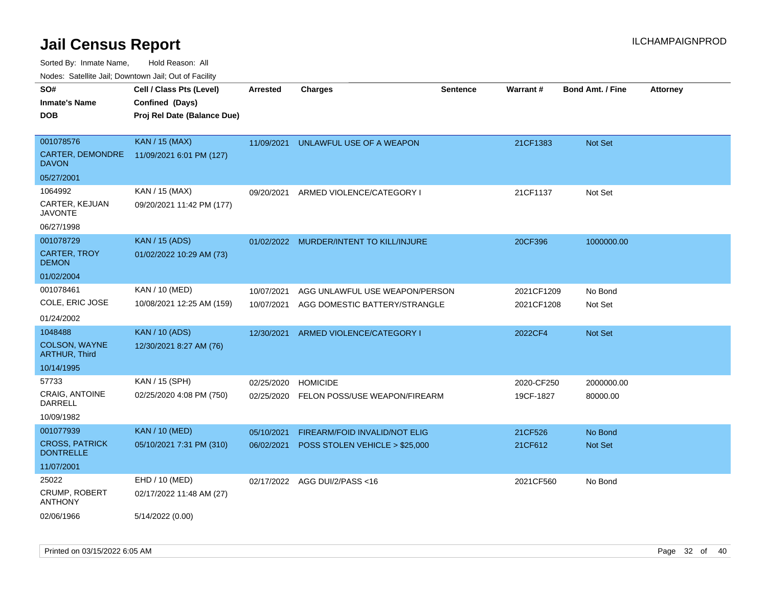Sorted By: Inmate Name, Hold Reason: All

Nodes: Satellite Jail; Downtown Jail; Out of Facility

| SO#                                       | Cell / Class Pts (Level)    | <b>Arrested</b> | <b>Charges</b>                       | <b>Sentence</b> | Warrant#   | <b>Bond Amt. / Fine</b> | <b>Attorney</b> |
|-------------------------------------------|-----------------------------|-----------------|--------------------------------------|-----------------|------------|-------------------------|-----------------|
| <b>Inmate's Name</b>                      | Confined (Days)             |                 |                                      |                 |            |                         |                 |
| <b>DOB</b>                                | Proj Rel Date (Balance Due) |                 |                                      |                 |            |                         |                 |
|                                           |                             |                 |                                      |                 |            |                         |                 |
| 001078576                                 | <b>KAN / 15 (MAX)</b>       | 11/09/2021      | UNLAWFUL USE OF A WEAPON             |                 | 21CF1383   | <b>Not Set</b>          |                 |
| CARTER, DEMONDRE<br><b>DAVON</b>          | 11/09/2021 6:01 PM (127)    |                 |                                      |                 |            |                         |                 |
| 05/27/2001                                |                             |                 |                                      |                 |            |                         |                 |
| 1064992                                   | KAN / 15 (MAX)              | 09/20/2021      | ARMED VIOLENCE/CATEGORY I            |                 | 21CF1137   | Not Set                 |                 |
| CARTER, KEJUAN<br><b>JAVONTE</b>          | 09/20/2021 11:42 PM (177)   |                 |                                      |                 |            |                         |                 |
| 06/27/1998                                |                             |                 |                                      |                 |            |                         |                 |
| 001078729                                 | <b>KAN</b> / 15 (ADS)       | 01/02/2022      | MURDER/INTENT TO KILL/INJURE         |                 | 20CF396    | 1000000.00              |                 |
| <b>CARTER, TROY</b><br><b>DEMON</b>       | 01/02/2022 10:29 AM (73)    |                 |                                      |                 |            |                         |                 |
| 01/02/2004                                |                             |                 |                                      |                 |            |                         |                 |
| 001078461                                 | KAN / 10 (MED)              | 10/07/2021      | AGG UNLAWFUL USE WEAPON/PERSON       |                 | 2021CF1209 | No Bond                 |                 |
| COLE, ERIC JOSE                           | 10/08/2021 12:25 AM (159)   | 10/07/2021      | AGG DOMESTIC BATTERY/STRANGLE        |                 | 2021CF1208 | Not Set                 |                 |
| 01/24/2002                                |                             |                 |                                      |                 |            |                         |                 |
| 1048488                                   | <b>KAN / 10 (ADS)</b>       | 12/30/2021      | ARMED VIOLENCE/CATEGORY I            |                 | 2022CF4    | Not Set                 |                 |
| COLSON, WAYNE<br><b>ARTHUR, Third</b>     | 12/30/2021 8:27 AM (76)     |                 |                                      |                 |            |                         |                 |
| 10/14/1995                                |                             |                 |                                      |                 |            |                         |                 |
| 57733                                     | KAN / 15 (SPH)              | 02/25/2020      | <b>HOMICIDE</b>                      |                 | 2020-CF250 | 2000000.00              |                 |
| <b>CRAIG, ANTOINE</b><br>DARRELL          | 02/25/2020 4:08 PM (750)    | 02/25/2020      | FELON POSS/USE WEAPON/FIREARM        |                 | 19CF-1827  | 80000.00                |                 |
| 10/09/1982                                |                             |                 |                                      |                 |            |                         |                 |
| 001077939                                 | <b>KAN / 10 (MED)</b>       | 05/10/2021      | <b>FIREARM/FOID INVALID/NOT ELIG</b> |                 | 21CF526    | No Bond                 |                 |
| <b>CROSS, PATRICK</b><br><b>DONTRELLE</b> | 05/10/2021 7:31 PM (310)    | 06/02/2021      | POSS STOLEN VEHICLE > \$25,000       |                 | 21CF612    | <b>Not Set</b>          |                 |
| 11/07/2001                                |                             |                 |                                      |                 |            |                         |                 |
| 25022                                     | EHD / 10 (MED)              |                 | 02/17/2022 AGG DUI/2/PASS<16         |                 | 2021CF560  | No Bond                 |                 |
| CRUMP, ROBERT<br><b>ANTHONY</b>           | 02/17/2022 11:48 AM (27)    |                 |                                      |                 |            |                         |                 |
| 02/06/1966                                | 5/14/2022 (0.00)            |                 |                                      |                 |            |                         |                 |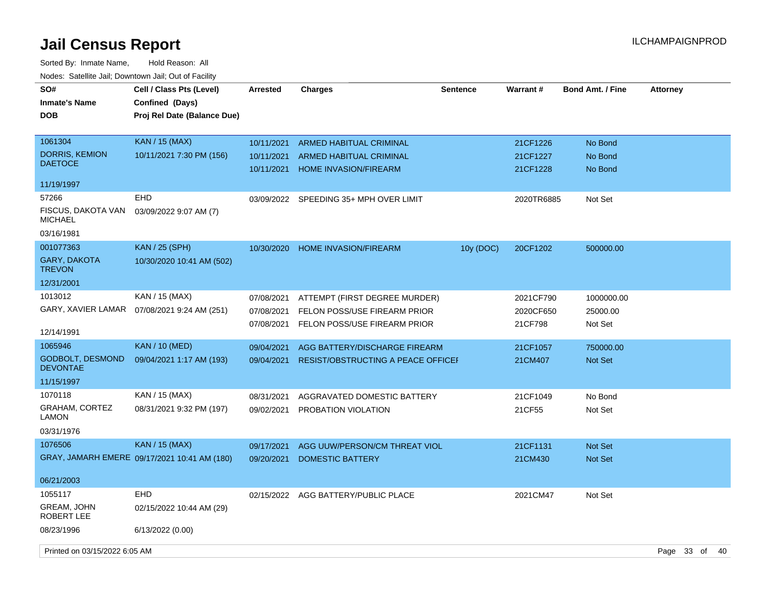| SO#<br><b>Inmate's Name</b><br><b>DOB</b>  | Cell / Class Pts (Level)<br>Confined (Days)<br>Proj Rel Date (Balance Due) | <b>Arrested</b>          | <b>Charges</b>                                                 | <b>Sentence</b> | Warrant#             | <b>Bond Amt. / Fine</b> | <b>Attorney</b>   |
|--------------------------------------------|----------------------------------------------------------------------------|--------------------------|----------------------------------------------------------------|-----------------|----------------------|-------------------------|-------------------|
| 1061304                                    | <b>KAN / 15 (MAX)</b>                                                      | 10/11/2021               | <b>ARMED HABITUAL CRIMINAL</b>                                 |                 | 21CF1226             | No Bond                 |                   |
| <b>DORRIS, KEMION</b><br><b>DAETOCE</b>    | 10/11/2021 7:30 PM (156)                                                   | 10/11/2021<br>10/11/2021 | <b>ARMED HABITUAL CRIMINAL</b><br><b>HOME INVASION/FIREARM</b> |                 | 21CF1227<br>21CF1228 | No Bond<br>No Bond      |                   |
| 11/19/1997                                 |                                                                            |                          |                                                                |                 |                      |                         |                   |
| 57266                                      | <b>EHD</b>                                                                 | 03/09/2022               | SPEEDING 35+ MPH OVER LIMIT                                    |                 | 2020TR6885           | Not Set                 |                   |
| FISCUS, DAKOTA VAN<br><b>MICHAEL</b>       | 03/09/2022 9:07 AM (7)                                                     |                          |                                                                |                 |                      |                         |                   |
| 03/16/1981                                 |                                                                            |                          |                                                                |                 |                      |                         |                   |
| 001077363                                  | <b>KAN / 25 (SPH)</b>                                                      | 10/30/2020               | <b>HOME INVASION/FIREARM</b>                                   | 10y (DOC)       | 20CF1202             | 500000.00               |                   |
| GARY, DAKOTA<br><b>TREVON</b>              | 10/30/2020 10:41 AM (502)                                                  |                          |                                                                |                 |                      |                         |                   |
| 12/31/2001                                 |                                                                            |                          |                                                                |                 |                      |                         |                   |
| 1013012                                    | KAN / 15 (MAX)                                                             | 07/08/2021               | ATTEMPT (FIRST DEGREE MURDER)                                  |                 | 2021CF790            | 1000000.00              |                   |
| GARY, XAVIER LAMAR                         | 07/08/2021 9:24 AM (251)                                                   | 07/08/2021               | FELON POSS/USE FIREARM PRIOR                                   |                 | 2020CF650            | 25000.00                |                   |
| 12/14/1991                                 |                                                                            | 07/08/2021               | FELON POSS/USE FIREARM PRIOR                                   |                 | 21CF798              | Not Set                 |                   |
| 1065946                                    | <b>KAN</b> / 10 (MED)                                                      | 09/04/2021               | AGG BATTERY/DISCHARGE FIREARM                                  |                 | 21CF1057             | 750000.00               |                   |
| <b>GODBOLT, DESMOND</b><br><b>DEVONTAE</b> | 09/04/2021 1:17 AM (193)                                                   | 09/04/2021               | RESIST/OBSTRUCTING A PEACE OFFICEI                             |                 | 21CM407              | <b>Not Set</b>          |                   |
| 11/15/1997                                 |                                                                            |                          |                                                                |                 |                      |                         |                   |
| 1070118                                    | KAN / 15 (MAX)                                                             | 08/31/2021               | AGGRAVATED DOMESTIC BATTERY                                    |                 | 21CF1049             | No Bond                 |                   |
| <b>GRAHAM, CORTEZ</b><br>LAMON             | 08/31/2021 9:32 PM (197)                                                   | 09/02/2021               | PROBATION VIOLATION                                            |                 | 21CF55               | Not Set                 |                   |
| 03/31/1976                                 |                                                                            |                          |                                                                |                 |                      |                         |                   |
| 1076506                                    | <b>KAN / 15 (MAX)</b>                                                      | 09/17/2021               | AGG UUW/PERSON/CM THREAT VIOL                                  |                 | 21CF1131             | Not Set                 |                   |
|                                            | GRAY, JAMARH EMERE 09/17/2021 10:41 AM (180)                               | 09/20/2021               | <b>DOMESTIC BATTERY</b>                                        |                 | 21CM430              | Not Set                 |                   |
| 06/21/2003                                 |                                                                            |                          |                                                                |                 |                      |                         |                   |
| 1055117                                    | <b>EHD</b>                                                                 | 02/15/2022               | AGG BATTERY/PUBLIC PLACE                                       |                 | 2021CM47             | Not Set                 |                   |
| GREAM, JOHN<br>ROBERT LEE                  | 02/15/2022 10:44 AM (29)                                                   |                          |                                                                |                 |                      |                         |                   |
| 08/23/1996                                 | 6/13/2022 (0.00)                                                           |                          |                                                                |                 |                      |                         |                   |
| Printed on 03/15/2022 6:05 AM              |                                                                            |                          |                                                                |                 |                      |                         | Page 33 of<br>-40 |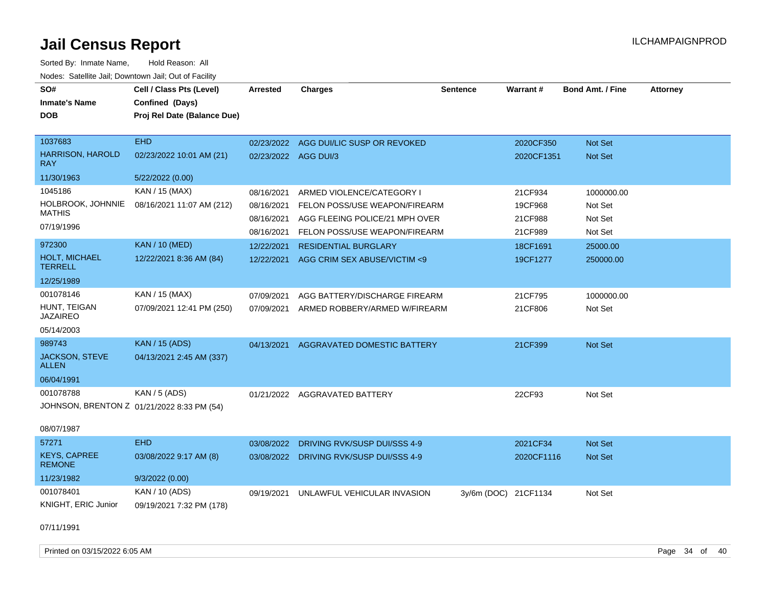| SO#<br><b>Inmate's Name</b><br><b>DOB</b>                             | Cell / Class Pts (Level)<br>Confined (Days)<br>Proj Rel Date (Balance Due) | <b>Arrested</b>                        | <b>Charges</b>                                                                               | Sentence             | Warrant#                      | <b>Bond Amt. / Fine</b>          | <b>Attorney</b> |
|-----------------------------------------------------------------------|----------------------------------------------------------------------------|----------------------------------------|----------------------------------------------------------------------------------------------|----------------------|-------------------------------|----------------------------------|-----------------|
| 1037683<br><b>HARRISON, HAROLD</b><br><b>RAY</b>                      | <b>EHD</b><br>02/23/2022 10:01 AM (21)                                     | 02/23/2022 AGG DUI/3                   | 02/23/2022 AGG DUI/LIC SUSP OR REVOKED                                                       |                      | 2020CF350<br>2020CF1351       | Not Set<br><b>Not Set</b>        |                 |
| 11/30/1963                                                            | 5/22/2022 (0.00)                                                           |                                        |                                                                                              |                      |                               |                                  |                 |
| 1045186<br>HOLBROOK, JOHNNIE<br><b>MATHIS</b><br>07/19/1996           | KAN / 15 (MAX)<br>08/16/2021 11:07 AM (212)                                | 08/16/2021<br>08/16/2021<br>08/16/2021 | ARMED VIOLENCE/CATEGORY I<br>FELON POSS/USE WEAPON/FIREARM<br>AGG FLEEING POLICE/21 MPH OVER |                      | 21CF934<br>19CF968<br>21CF988 | 1000000.00<br>Not Set<br>Not Set |                 |
|                                                                       | <b>KAN / 10 (MED)</b>                                                      | 08/16/2021                             | FELON POSS/USE WEAPON/FIREARM                                                                |                      | 21CF989                       | Not Set                          |                 |
| 972300<br><b>HOLT, MICHAEL</b><br><b>TERRELL</b>                      | 12/22/2021 8:36 AM (84)                                                    | 12/22/2021<br>12/22/2021               | <b>RESIDENTIAL BURGLARY</b><br>AGG CRIM SEX ABUSE/VICTIM <9                                  |                      | 18CF1691<br>19CF1277          | 25000.00<br>250000.00            |                 |
| 12/25/1989                                                            |                                                                            |                                        |                                                                                              |                      |                               |                                  |                 |
| 001078146<br>HUNT, TEIGAN<br><b>JAZAIREO</b>                          | KAN / 15 (MAX)<br>07/09/2021 12:41 PM (250)                                | 07/09/2021<br>07/09/2021               | AGG BATTERY/DISCHARGE FIREARM<br>ARMED ROBBERY/ARMED W/FIREARM                               |                      | 21CF795<br>21CF806            | 1000000.00<br>Not Set            |                 |
| 05/14/2003                                                            |                                                                            |                                        |                                                                                              |                      |                               |                                  |                 |
| 989743<br>JACKSON, STEVE<br>ALLEN                                     | <b>KAN / 15 (ADS)</b><br>04/13/2021 2:45 AM (337)                          | 04/13/2021                             | AGGRAVATED DOMESTIC BATTERY                                                                  |                      | 21CF399                       | Not Set                          |                 |
| 06/04/1991                                                            |                                                                            |                                        |                                                                                              |                      |                               |                                  |                 |
| 001078788<br>JOHNSON, BRENTON Z 01/21/2022 8:33 PM (54)<br>08/07/1987 | KAN / 5 (ADS)                                                              |                                        | 01/21/2022 AGGRAVATED BATTERY                                                                |                      | 22CF93                        | Not Set                          |                 |
| 57271                                                                 | <b>EHD</b>                                                                 | 03/08/2022                             | DRIVING RVK/SUSP DUI/SSS 4-9                                                                 |                      | 2021CF34                      | Not Set                          |                 |
| <b>KEYS, CAPREE</b><br><b>REMONE</b>                                  | 03/08/2022 9:17 AM (8)                                                     | 03/08/2022                             | DRIVING RVK/SUSP DUI/SSS 4-9                                                                 |                      | 2020CF1116                    | Not Set                          |                 |
| 11/23/1982                                                            | 9/3/2022(0.00)                                                             |                                        |                                                                                              |                      |                               |                                  |                 |
| 001078401<br>KNIGHT, ERIC Junior                                      | KAN / 10 (ADS)<br>09/19/2021 7:32 PM (178)                                 | 09/19/2021                             | UNLAWFUL VEHICULAR INVASION                                                                  | 3y/6m (DOC) 21CF1134 |                               | Not Set                          |                 |
| 07/11/1991                                                            |                                                                            |                                        |                                                                                              |                      |                               |                                  |                 |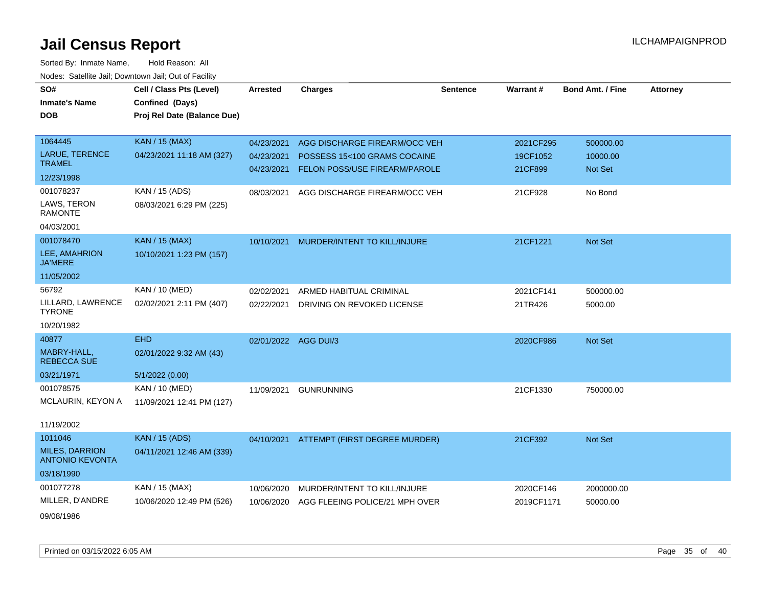| SO#                                             | Cell / Class Pts (Level)    | <b>Arrested</b>      | <b>Charges</b>                           | <b>Sentence</b> | Warrant#   | <b>Bond Amt. / Fine</b> | <b>Attorney</b> |
|-------------------------------------------------|-----------------------------|----------------------|------------------------------------------|-----------------|------------|-------------------------|-----------------|
| <b>Inmate's Name</b>                            | Confined (Days)             |                      |                                          |                 |            |                         |                 |
| <b>DOB</b>                                      | Proj Rel Date (Balance Due) |                      |                                          |                 |            |                         |                 |
|                                                 |                             |                      |                                          |                 |            |                         |                 |
| 1064445                                         | <b>KAN / 15 (MAX)</b>       | 04/23/2021           | AGG DISCHARGE FIREARM/OCC VEH            |                 | 2021CF295  | 500000.00               |                 |
| LARUE, TERENCE<br><b>TRAMEL</b>                 | 04/23/2021 11:18 AM (327)   | 04/23/2021           | POSSESS 15<100 GRAMS COCAINE             |                 | 19CF1052   | 10000.00                |                 |
| 12/23/1998                                      |                             | 04/23/2021           | FELON POSS/USE FIREARM/PAROLE            |                 | 21CF899    | Not Set                 |                 |
|                                                 |                             |                      |                                          |                 |            |                         |                 |
| 001078237                                       | KAN / 15 (ADS)              | 08/03/2021           | AGG DISCHARGE FIREARM/OCC VEH            |                 | 21CF928    | No Bond                 |                 |
| LAWS, TERON<br><b>RAMONTE</b>                   | 08/03/2021 6:29 PM (225)    |                      |                                          |                 |            |                         |                 |
| 04/03/2001                                      |                             |                      |                                          |                 |            |                         |                 |
| 001078470                                       | <b>KAN / 15 (MAX)</b>       | 10/10/2021           | MURDER/INTENT TO KILL/INJURE             |                 | 21CF1221   | Not Set                 |                 |
| LEE, AMAHRION<br><b>JA'MERE</b>                 | 10/10/2021 1:23 PM (157)    |                      |                                          |                 |            |                         |                 |
| 11/05/2002                                      |                             |                      |                                          |                 |            |                         |                 |
| 56792                                           | KAN / 10 (MED)              | 02/02/2021           | ARMED HABITUAL CRIMINAL                  |                 | 2021CF141  | 500000.00               |                 |
| LILLARD, LAWRENCE<br><b>TYRONE</b>              | 02/02/2021 2:11 PM (407)    | 02/22/2021           | DRIVING ON REVOKED LICENSE               |                 | 21TR426    | 5000.00                 |                 |
| 10/20/1982                                      |                             |                      |                                          |                 |            |                         |                 |
| 40877                                           | <b>EHD</b>                  | 02/01/2022 AGG DUI/3 |                                          |                 | 2020CF986  | Not Set                 |                 |
| MABRY-HALL,<br><b>REBECCA SUE</b>               | 02/01/2022 9:32 AM (43)     |                      |                                          |                 |            |                         |                 |
| 03/21/1971                                      | 5/1/2022 (0.00)             |                      |                                          |                 |            |                         |                 |
| 001078575                                       | KAN / 10 (MED)              | 11/09/2021           | <b>GUNRUNNING</b>                        |                 | 21CF1330   | 750000.00               |                 |
| MCLAURIN, KEYON A                               | 11/09/2021 12:41 PM (127)   |                      |                                          |                 |            |                         |                 |
|                                                 |                             |                      |                                          |                 |            |                         |                 |
| 11/19/2002                                      |                             |                      |                                          |                 |            |                         |                 |
| 1011046                                         | <b>KAN / 15 (ADS)</b>       |                      | 04/10/2021 ATTEMPT (FIRST DEGREE MURDER) |                 | 21CF392    | Not Set                 |                 |
| <b>MILES, DARRION</b><br><b>ANTONIO KEVONTA</b> | 04/11/2021 12:46 AM (339)   |                      |                                          |                 |            |                         |                 |
| 03/18/1990                                      |                             |                      |                                          |                 |            |                         |                 |
| 001077278                                       | KAN / 15 (MAX)              | 10/06/2020           | MURDER/INTENT TO KILL/INJURE             |                 | 2020CF146  | 2000000.00              |                 |
| MILLER, D'ANDRE                                 | 10/06/2020 12:49 PM (526)   | 10/06/2020           | AGG FLEEING POLICE/21 MPH OVER           |                 | 2019CF1171 | 50000.00                |                 |
| 09/08/1986                                      |                             |                      |                                          |                 |            |                         |                 |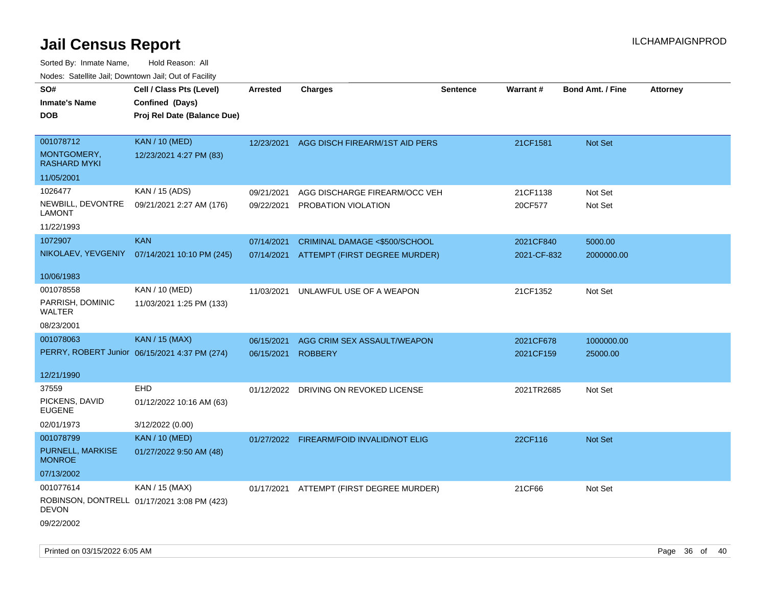Sorted By: Inmate Name, Hold Reason: All Nodes: Satellite Jail; Downtown Jail; Out of Facility

| Todoo: Catolino can, Bomnomii can, Oat of Faoint<br>SO#<br><b>Inmate's Name</b><br><b>DOB</b> | Cell / Class Pts (Level)<br>Confined (Days)<br>Proj Rel Date (Balance Due) | Arrested                 | <b>Charges</b>                                                 | <b>Sentence</b> | <b>Warrant#</b>          | <b>Bond Amt. / Fine</b> | <b>Attorney</b> |
|-----------------------------------------------------------------------------------------------|----------------------------------------------------------------------------|--------------------------|----------------------------------------------------------------|-----------------|--------------------------|-------------------------|-----------------|
| 001078712<br>MONTGOMERY,<br><b>RASHARD MYKI</b>                                               | <b>KAN / 10 (MED)</b><br>12/23/2021 4:27 PM (83)                           | 12/23/2021               | AGG DISCH FIREARM/1ST AID PERS                                 |                 | 21CF1581                 | Not Set                 |                 |
| 11/05/2001                                                                                    |                                                                            |                          |                                                                |                 |                          |                         |                 |
| 1026477<br>NEWBILL, DEVONTRE<br>LAMONT                                                        | KAN / 15 (ADS)<br>09/21/2021 2:27 AM (176)                                 | 09/21/2021<br>09/22/2021 | AGG DISCHARGE FIREARM/OCC VEH<br>PROBATION VIOLATION           |                 | 21CF1138<br>20CF577      | Not Set<br>Not Set      |                 |
| 11/22/1993                                                                                    |                                                                            |                          |                                                                |                 |                          |                         |                 |
| 1072907                                                                                       | <b>KAN</b><br>NIKOLAEV, YEVGENIY 07/14/2021 10:10 PM (245)                 | 07/14/2021<br>07/14/2021 | CRIMINAL DAMAGE <\$500/SCHOOL<br>ATTEMPT (FIRST DEGREE MURDER) |                 | 2021CF840<br>2021-CF-832 | 5000.00<br>2000000.00   |                 |
| 10/06/1983                                                                                    |                                                                            |                          |                                                                |                 |                          |                         |                 |
| 001078558<br>PARRISH, DOMINIC<br><b>WALTER</b>                                                | KAN / 10 (MED)<br>11/03/2021 1:25 PM (133)                                 | 11/03/2021               | UNLAWFUL USE OF A WEAPON                                       |                 | 21CF1352                 | Not Set                 |                 |
| 08/23/2001                                                                                    |                                                                            |                          |                                                                |                 |                          |                         |                 |
| 001078063                                                                                     | <b>KAN / 15 (MAX)</b>                                                      | 06/15/2021               | AGG CRIM SEX ASSAULT/WEAPON                                    |                 | 2021CF678                | 1000000.00              |                 |
|                                                                                               | PERRY, ROBERT Junior 06/15/2021 4:37 PM (274)                              | 06/15/2021               | <b>ROBBERY</b>                                                 |                 | 2021CF159                | 25000.00                |                 |
| 12/21/1990<br>37559                                                                           | <b>EHD</b>                                                                 |                          |                                                                |                 |                          |                         |                 |
| PICKENS, DAVID<br><b>EUGENE</b>                                                               | 01/12/2022 10:16 AM (63)                                                   | 01/12/2022               | DRIVING ON REVOKED LICENSE                                     |                 | 2021TR2685               | Not Set                 |                 |
| 02/01/1973                                                                                    | 3/12/2022 (0.00)                                                           |                          |                                                                |                 |                          |                         |                 |
| 001078799                                                                                     | <b>KAN / 10 (MED)</b>                                                      | 01/27/2022               | FIREARM/FOID INVALID/NOT ELIG                                  |                 | 22CF116                  | Not Set                 |                 |
| PURNELL, MARKISE<br><b>MONROE</b>                                                             | 01/27/2022 9:50 AM (48)                                                    |                          |                                                                |                 |                          |                         |                 |
| 07/13/2002                                                                                    |                                                                            |                          |                                                                |                 |                          |                         |                 |
| 001077614<br><b>DEVON</b><br>09/22/2002                                                       | KAN / 15 (MAX)<br>ROBINSON, DONTRELL 01/17/2021 3:08 PM (423)              |                          | 01/17/2021 ATTEMPT (FIRST DEGREE MURDER)                       |                 | 21CF66                   | Not Set                 |                 |
|                                                                                               |                                                                            |                          |                                                                |                 |                          |                         |                 |

Printed on 03/15/2022 6:05 AM Page 36 of 40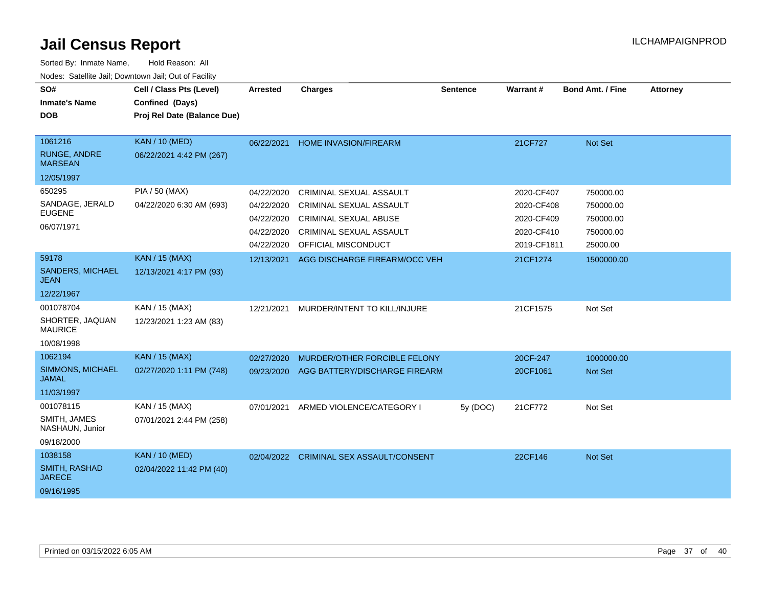| SO#<br><b>Inmate's Name</b><br><b>DOB</b>                      | Cell / Class Pts (Level)<br>Confined (Days)<br>Proj Rel Date (Balance Due) | Arrested                                                           | <b>Charges</b>                                                                                                                                            | <b>Sentence</b> | Warrant#                                                            | Bond Amt. / Fine                                             | <b>Attorney</b> |
|----------------------------------------------------------------|----------------------------------------------------------------------------|--------------------------------------------------------------------|-----------------------------------------------------------------------------------------------------------------------------------------------------------|-----------------|---------------------------------------------------------------------|--------------------------------------------------------------|-----------------|
| 1061216<br><b>RUNGE, ANDRE</b><br><b>MARSEAN</b><br>12/05/1997 | <b>KAN / 10 (MED)</b><br>06/22/2021 4:42 PM (267)                          | 06/22/2021                                                         | <b>HOME INVASION/FIREARM</b>                                                                                                                              |                 | 21CF727                                                             | Not Set                                                      |                 |
| 650295<br>SANDAGE, JERALD<br><b>EUGENE</b><br>06/07/1971       | <b>PIA / 50 (MAX)</b><br>04/22/2020 6:30 AM (693)                          | 04/22/2020<br>04/22/2020<br>04/22/2020<br>04/22/2020<br>04/22/2020 | <b>CRIMINAL SEXUAL ASSAULT</b><br><b>CRIMINAL SEXUAL ASSAULT</b><br><b>CRIMINAL SEXUAL ABUSE</b><br><b>CRIMINAL SEXUAL ASSAULT</b><br>OFFICIAL MISCONDUCT |                 | 2020-CF407<br>2020-CF408<br>2020-CF409<br>2020-CF410<br>2019-CF1811 | 750000.00<br>750000.00<br>750000.00<br>750000.00<br>25000.00 |                 |
| 59178<br><b>SANDERS, MICHAEL</b><br><b>JEAN</b><br>12/22/1967  | <b>KAN / 15 (MAX)</b><br>12/13/2021 4:17 PM (93)                           | 12/13/2021                                                         | AGG DISCHARGE FIREARM/OCC VEH                                                                                                                             |                 | 21CF1274                                                            | 1500000.00                                                   |                 |
| 001078704<br>SHORTER, JAQUAN<br><b>MAURICE</b><br>10/08/1998   | KAN / 15 (MAX)<br>12/23/2021 1:23 AM (83)                                  | 12/21/2021                                                         | MURDER/INTENT TO KILL/INJURE                                                                                                                              |                 | 21CF1575                                                            | Not Set                                                      |                 |
| 1062194<br>SIMMONS, MICHAEL<br><b>JAMAL</b><br>11/03/1997      | <b>KAN / 15 (MAX)</b><br>02/27/2020 1:11 PM (748)                          | 02/27/2020<br>09/23/2020                                           | MURDER/OTHER FORCIBLE FELONY<br>AGG BATTERY/DISCHARGE FIREARM                                                                                             |                 | 20CF-247<br>20CF1061                                                | 1000000.00<br>Not Set                                        |                 |
| 001078115<br>SMITH, JAMES<br>NASHAUN, Junior<br>09/18/2000     | KAN / 15 (MAX)<br>07/01/2021 2:44 PM (258)                                 | 07/01/2021                                                         | ARMED VIOLENCE/CATEGORY I                                                                                                                                 | 5y (DOC)        | 21CF772                                                             | Not Set                                                      |                 |
| 1038158<br><b>SMITH, RASHAD</b><br><b>JARECE</b><br>09/16/1995 | <b>KAN / 10 (MED)</b><br>02/04/2022 11:42 PM (40)                          | 02/04/2022                                                         | <b>CRIMINAL SEX ASSAULT/CONSENT</b>                                                                                                                       |                 | 22CF146                                                             | Not Set                                                      |                 |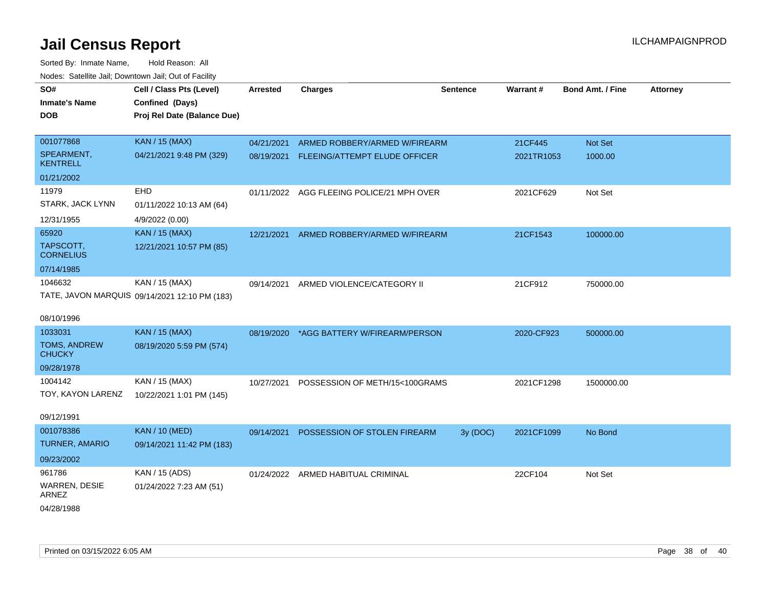| SO#                           | Cell / Class Pts (Level)                      | <b>Arrested</b> | <b>Charges</b>                 | <b>Sentence</b> | Warrant#   | Bond Amt. / Fine | <b>Attorney</b> |
|-------------------------------|-----------------------------------------------|-----------------|--------------------------------|-----------------|------------|------------------|-----------------|
| <b>Inmate's Name</b>          | Confined (Days)                               |                 |                                |                 |            |                  |                 |
| <b>DOB</b>                    | Proj Rel Date (Balance Due)                   |                 |                                |                 |            |                  |                 |
|                               |                                               |                 |                                |                 |            |                  |                 |
| 001077868                     | <b>KAN / 15 (MAX)</b>                         | 04/21/2021      | ARMED ROBBERY/ARMED W/FIREARM  |                 | 21CF445    | <b>Not Set</b>   |                 |
| SPEARMENT,<br><b>KENTRELL</b> | 04/21/2021 9:48 PM (329)                      | 08/19/2021      | FLEEING/ATTEMPT ELUDE OFFICER  |                 | 2021TR1053 | 1000.00          |                 |
| 01/21/2002                    |                                               |                 |                                |                 |            |                  |                 |
| 11979                         | EHD                                           | 01/11/2022      | AGG FLEEING POLICE/21 MPH OVER |                 | 2021CF629  | Not Set          |                 |
| STARK, JACK LYNN              | 01/11/2022 10:13 AM (64)                      |                 |                                |                 |            |                  |                 |
| 12/31/1955                    | 4/9/2022 (0.00)                               |                 |                                |                 |            |                  |                 |
| 65920                         | <b>KAN / 15 (MAX)</b>                         | 12/21/2021      | ARMED ROBBERY/ARMED W/FIREARM  |                 | 21CF1543   | 100000.00        |                 |
| TAPSCOTT,<br><b>CORNELIUS</b> | 12/21/2021 10:57 PM (85)                      |                 |                                |                 |            |                  |                 |
| 07/14/1985                    |                                               |                 |                                |                 |            |                  |                 |
| 1046632                       | KAN / 15 (MAX)                                | 09/14/2021      | ARMED VIOLENCE/CATEGORY II     |                 | 21CF912    | 750000.00        |                 |
|                               | TATE, JAVON MARQUIS 09/14/2021 12:10 PM (183) |                 |                                |                 |            |                  |                 |
|                               |                                               |                 |                                |                 |            |                  |                 |
| 08/10/1996                    |                                               |                 |                                |                 |            |                  |                 |
| 1033031                       | <b>KAN / 15 (MAX)</b>                         | 08/19/2020      | *AGG BATTERY W/FIREARM/PERSON  |                 | 2020-CF923 | 500000.00        |                 |
| TOMS, ANDREW<br><b>CHUCKY</b> | 08/19/2020 5:59 PM (574)                      |                 |                                |                 |            |                  |                 |
| 09/28/1978                    |                                               |                 |                                |                 |            |                  |                 |
| 1004142                       | KAN / 15 (MAX)                                | 10/27/2021      | POSSESSION OF METH/15<100GRAMS |                 | 2021CF1298 | 1500000.00       |                 |
| TOY, KAYON LARENZ             | 10/22/2021 1:01 PM (145)                      |                 |                                |                 |            |                  |                 |
|                               |                                               |                 |                                |                 |            |                  |                 |
| 09/12/1991                    |                                               |                 |                                |                 |            |                  |                 |
| 001078386                     | <b>KAN / 10 (MED)</b>                         | 09/14/2021      | POSSESSION OF STOLEN FIREARM   | 3y(DOC)         | 2021CF1099 | No Bond          |                 |
| <b>TURNER, AMARIO</b>         | 09/14/2021 11:42 PM (183)                     |                 |                                |                 |            |                  |                 |
| 09/23/2002                    |                                               |                 |                                |                 |            |                  |                 |
| 961786                        | KAN / 15 (ADS)                                | 01/24/2022      | ARMED HABITUAL CRIMINAL        |                 | 22CF104    | Not Set          |                 |
| <b>WARREN, DESIE</b><br>ARNEZ | 01/24/2022 7:23 AM (51)                       |                 |                                |                 |            |                  |                 |
| 04/28/1988                    |                                               |                 |                                |                 |            |                  |                 |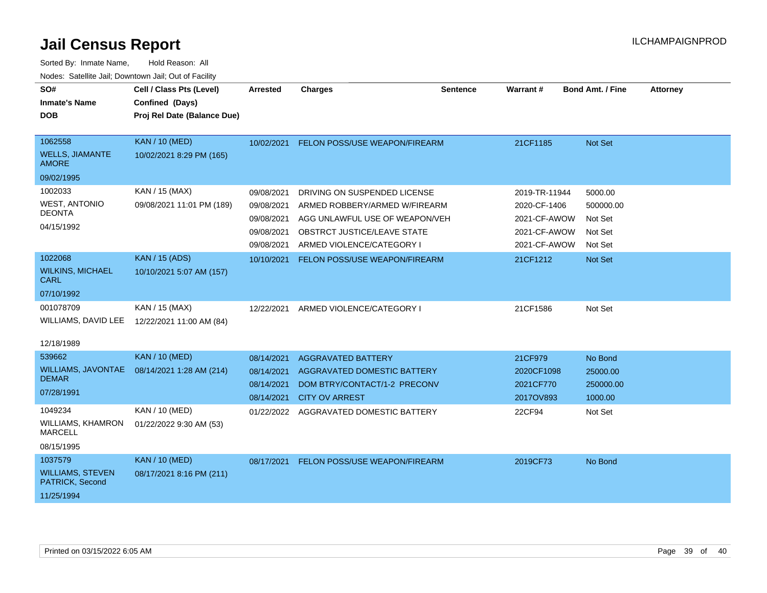| SO#<br><b>Inmate's Name</b><br><b>DOB</b>                      | Cell / Class Pts (Level)<br>Confined (Days)<br>Proj Rel Date (Balance Due) | <b>Arrested</b>                                                    | <b>Charges</b>                                                                                                                                                     | <b>Sentence</b> | Warrant#                                                                      | <b>Bond Amt. / Fine</b>                               | <b>Attorney</b> |
|----------------------------------------------------------------|----------------------------------------------------------------------------|--------------------------------------------------------------------|--------------------------------------------------------------------------------------------------------------------------------------------------------------------|-----------------|-------------------------------------------------------------------------------|-------------------------------------------------------|-----------------|
| 1062558<br><b>WELLS, JIAMANTE</b><br><b>AMORE</b>              | <b>KAN / 10 (MED)</b><br>10/02/2021 8:29 PM (165)                          | 10/02/2021                                                         | FELON POSS/USE WEAPON/FIREARM                                                                                                                                      |                 | 21CF1185                                                                      | <b>Not Set</b>                                        |                 |
| 09/02/1995                                                     |                                                                            |                                                                    |                                                                                                                                                                    |                 |                                                                               |                                                       |                 |
| 1002033<br><b>WEST, ANTONIO</b><br><b>DEONTA</b><br>04/15/1992 | KAN / 15 (MAX)<br>09/08/2021 11:01 PM (189)                                | 09/08/2021<br>09/08/2021<br>09/08/2021<br>09/08/2021<br>09/08/2021 | DRIVING ON SUSPENDED LICENSE<br>ARMED ROBBERY/ARMED W/FIREARM<br>AGG UNLAWFUL USE OF WEAPON/VEH<br><b>OBSTRCT JUSTICE/LEAVE STATE</b><br>ARMED VIOLENCE/CATEGORY I |                 | 2019-TR-11944<br>2020-CF-1406<br>2021-CF-AWOW<br>2021-CF-AWOW<br>2021-CF-AWOW | 5000.00<br>500000.00<br>Not Set<br>Not Set<br>Not Set |                 |
| 1022068                                                        | <b>KAN / 15 (ADS)</b>                                                      | 10/10/2021                                                         | FELON POSS/USE WEAPON/FIREARM                                                                                                                                      |                 | 21CF1212                                                                      | Not Set                                               |                 |
| <b>WILKINS, MICHAEL</b><br><b>CARL</b>                         | 10/10/2021 5:07 AM (157)                                                   |                                                                    |                                                                                                                                                                    |                 |                                                                               |                                                       |                 |
| 07/10/1992                                                     |                                                                            |                                                                    |                                                                                                                                                                    |                 |                                                                               |                                                       |                 |
| 001078709<br>WILLIAMS, DAVID LEE                               | KAN / 15 (MAX)<br>12/22/2021 11:00 AM (84)                                 | 12/22/2021                                                         | ARMED VIOLENCE/CATEGORY I                                                                                                                                          |                 | 21CF1586                                                                      | Not Set                                               |                 |
| 12/18/1989                                                     |                                                                            |                                                                    |                                                                                                                                                                    |                 |                                                                               |                                                       |                 |
| 539662                                                         | <b>KAN / 10 (MED)</b>                                                      | 08/14/2021                                                         | <b>AGGRAVATED BATTERY</b>                                                                                                                                          |                 | 21CF979                                                                       | No Bond                                               |                 |
| <b>WILLIAMS, JAVONTAE</b><br><b>DEMAR</b><br>07/28/1991        | 08/14/2021 1:28 AM (214)                                                   | 08/14/2021<br>08/14/2021                                           | <b>AGGRAVATED DOMESTIC BATTERY</b><br>DOM BTRY/CONTACT/1-2 PRECONV                                                                                                 |                 | 2020CF1098<br>2021CF770                                                       | 25000.00<br>250000.00                                 |                 |
|                                                                |                                                                            | 08/14/2021                                                         | <b>CITY OV ARREST</b>                                                                                                                                              |                 | 2017OV893                                                                     | 1000.00                                               |                 |
| 1049234<br><b>WILLIAMS, KHAMRON</b><br><b>MARCELL</b>          | KAN / 10 (MED)<br>01/22/2022 9:30 AM (53)                                  | 01/22/2022                                                         | AGGRAVATED DOMESTIC BATTERY                                                                                                                                        |                 | 22CF94                                                                        | Not Set                                               |                 |
| 08/15/1995                                                     |                                                                            |                                                                    |                                                                                                                                                                    |                 |                                                                               |                                                       |                 |
| 1037579                                                        | <b>KAN / 10 (MED)</b>                                                      | 08/17/2021                                                         | FELON POSS/USE WEAPON/FIREARM                                                                                                                                      |                 | 2019CF73                                                                      | No Bond                                               |                 |
| <b>WILLIAMS, STEVEN</b><br>PATRICK, Second                     | 08/17/2021 8:16 PM (211)                                                   |                                                                    |                                                                                                                                                                    |                 |                                                                               |                                                       |                 |
| 11/25/1994                                                     |                                                                            |                                                                    |                                                                                                                                                                    |                 |                                                                               |                                                       |                 |